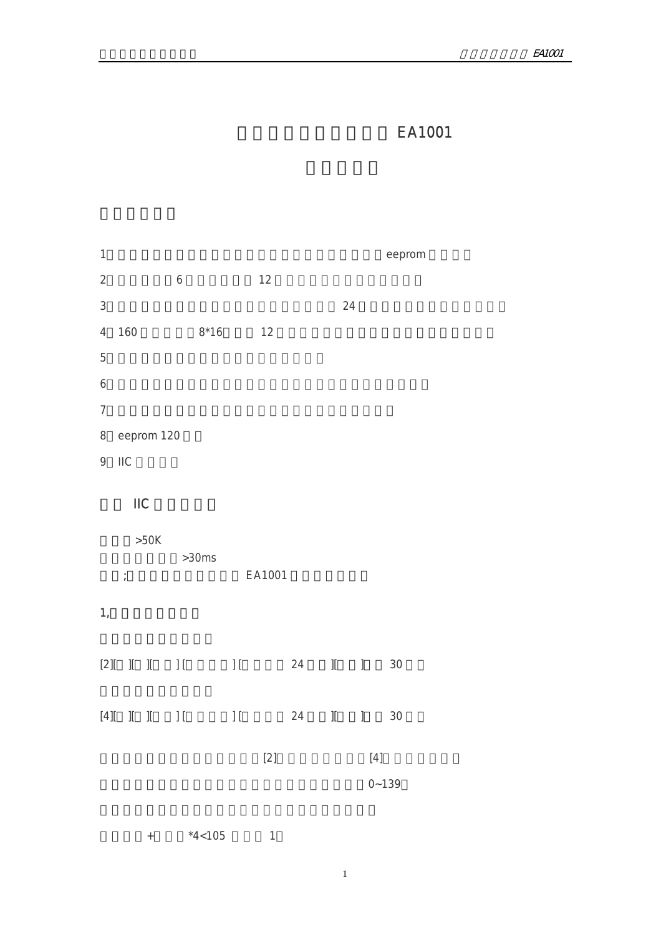# EA1001

| $\mathbf{1}$     |                           |                |                                                |                  |              |                           |    |    |                                                                                                                                                                                                                                                                                                                                                                                                      | eeprom    |
|------------------|---------------------------|----------------|------------------------------------------------|------------------|--------------|---------------------------|----|----|------------------------------------------------------------------------------------------------------------------------------------------------------------------------------------------------------------------------------------------------------------------------------------------------------------------------------------------------------------------------------------------------------|-----------|
| $\overline{2}$   |                           |                |                                                | $\boldsymbol{6}$ |              | 12                        |    |    |                                                                                                                                                                                                                                                                                                                                                                                                      |           |
| $\sqrt{3}$       |                           |                |                                                |                  |              |                           |    | 24 |                                                                                                                                                                                                                                                                                                                                                                                                      |           |
| $\overline{4}$   | 160                       |                |                                                |                  | $8*16$       | 12                        |    |    |                                                                                                                                                                                                                                                                                                                                                                                                      |           |
| 5                |                           |                |                                                |                  |              |                           |    |    |                                                                                                                                                                                                                                                                                                                                                                                                      |           |
| $\boldsymbol{6}$ |                           |                |                                                |                  |              |                           |    |    |                                                                                                                                                                                                                                                                                                                                                                                                      |           |
| $\overline{7}$   |                           |                |                                                |                  |              |                           |    |    |                                                                                                                                                                                                                                                                                                                                                                                                      |           |
| 8                |                           |                | eeprom 120                                     |                  |              |                           |    |    |                                                                                                                                                                                                                                                                                                                                                                                                      |           |
| 9                | $\overline{\mathsf{IIC}}$ |                |                                                |                  |              |                           |    |    |                                                                                                                                                                                                                                                                                                                                                                                                      |           |
|                  |                           | $\mathsf{IIC}$ |                                                |                  |              |                           |    |    |                                                                                                                                                                                                                                                                                                                                                                                                      |           |
|                  | $\frac{1}{l}$             |                | $>50K$                                         |                  | >30ms        | EA1001                    |    |    |                                                                                                                                                                                                                                                                                                                                                                                                      |           |
| $\mathbf{1}_{i}$ |                           |                |                                                |                  |              |                           |    |    |                                                                                                                                                                                                                                                                                                                                                                                                      |           |
|                  |                           |                |                                                |                  |              | $[2] [ ] [ ] [ ] [ ] [ ]$ | 24 |    | $\rm{II}$ – $\rm{I}$                                                                                                                                                                                                                                                                                                                                                                                 | 30        |
|                  |                           |                | $[4][ \quad \  ][\quad \  ][\quad \  \  ]\, [$ |                  | $\mathbb{H}$ |                           | 24 |    | $\mathbb{I}$ . $\mathbb{I}$                                                                                                                                                                                                                                                                                                                                                                          | 30        |
|                  |                           |                |                                                |                  |              | $[2]$                     |    |    | $[4] % \begin{center} \includegraphics[width=\linewidth]{imagesSupplemental/简.png} \end{center} % \vspace*{-1em} % \caption{The image shows the method of the proposed method. The image shows the method of the method. The image shows the method of the method. The image shows the method of the method. The image shows the method of the method is the method of the method.} \label{fig:3} %$ |           |
|                  |                           |                |                                                |                  |              |                           |    |    |                                                                                                                                                                                                                                                                                                                                                                                                      | $0 - 139$ |

 $+$   $*4<105$  1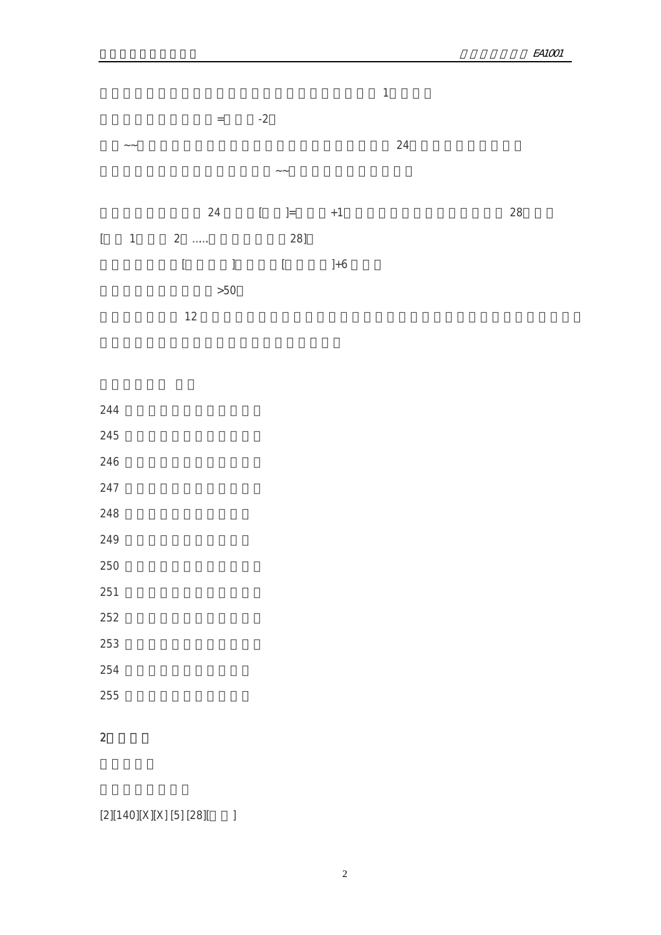

- 244
- 245
- 246
- 247
- 248
- 
- 249
- 250 第二字符行,小时十位字符
- 251 第二字符行,小时个位字符
- 252 第二字符行,分钟十位字符
- 253 第二字符行,分钟个位字符
- 
- 254
- 255
- 
- 2、清屏:
- 
- $[2][140][X][X][5][28][7]$
- 2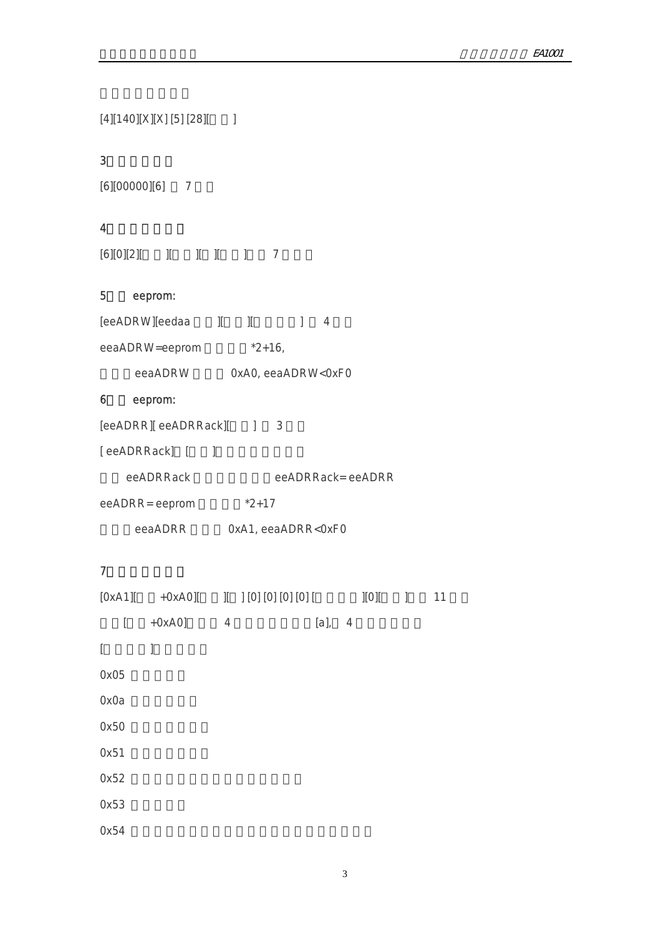[4][140][X][X] [5] [28][ ]

## 3、复位指令:

```
[6][00000][6] 7
```
## 4 and  $\overline{a}$

 $[6][0][2][$   $]$   $]$   $]$   $]$   $]$   $]$   $]$   $]$ 

## 5、写 eeprom:

| [eeADRW][eedaa |                    |  |  |
|----------------|--------------------|--|--|
| eeaADRW=eeprom | $*2+16.$           |  |  |
| eeaADRW        | 0xA0, eeaADRW<0xF0 |  |  |

## 6、读 eeprom:

```
[eeADRR][ eeADRRack][ ] 3
```
[ eeADRRack] [ ]

| eeADRRack | eeADRRack=eeADRR |
|-----------|------------------|
|           |                  |

eeADRR= eeprom \*2+17

eeaADRR 0xA1, eeaADRR<0xF0

## $7$

|          |           |                | $[0xA1]$ +0xA0][ ][ ][0][0][0][0][ | [0] | $\vert$ | 11 |  |
|----------|-----------|----------------|------------------------------------|-----|---------|----|--|
| ſ        | $+0xA0$ ] | $\overline{4}$ | $[a]$ , 4                          |     |         |    |  |
| $\lceil$ | ]         |                |                                    |     |         |    |  |
| 0x05     |           |                |                                    |     |         |    |  |
| 0x0a     |           |                |                                    |     |         |    |  |
| 0x50     |           |                |                                    |     |         |    |  |
| 0x51     |           |                |                                    |     |         |    |  |
| 0x52     |           |                |                                    |     |         |    |  |
| 0x53     |           |                |                                    |     |         |    |  |
| 0x54     |           |                |                                    |     |         |    |  |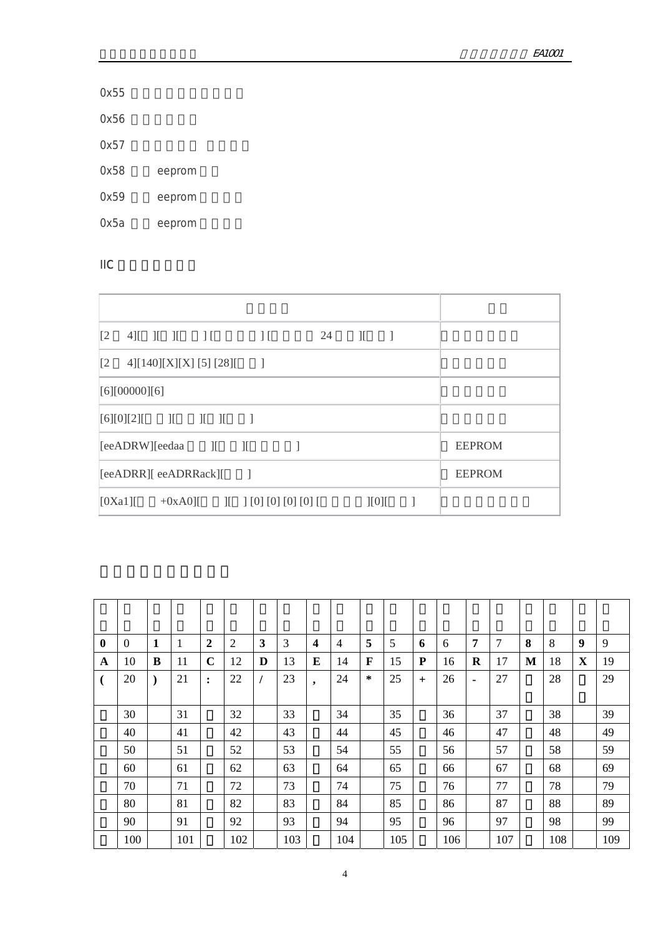| $\mathbf{0}$ | $\mathbf{0}$ | 1         | 1   | 2           | $\overline{2}$ | 3        | 3   | $\overline{\mathbf{4}}$ | $\overline{4}$ | 5            | 5   | 6   | 6   | 7              | 7   | 8 | 8   | 9           | 9   |
|--------------|--------------|-----------|-----|-------------|----------------|----------|-----|-------------------------|----------------|--------------|-----|-----|-----|----------------|-----|---|-----|-------------|-----|
| A            | 10           | B         | 11  | $\mathbf C$ | 12             | D        | 13  | E                       | 14             | $\mathbf{F}$ | 15  | P   | 16  | $\bf R$        | 17  | M | 18  | $\mathbf X$ | 19  |
|              | 20           | $\lambda$ | 21  | :           | 22             | $\prime$ | 23  | $\bullet$               | 24             | ∗            | 25  | $+$ | 26  | $\blacksquare$ | 27  |   | 28  |             | 29  |
|              |              |           |     |             |                |          |     |                         |                |              |     |     |     |                |     |   |     |             |     |
|              | 30           |           | 31  |             | 32             |          | 33  |                         | 34             |              | 35  |     | 36  |                | 37  |   | 38  |             | 39  |
|              | 40           |           | 41  |             | 42             |          | 43  |                         | 44             |              | 45  |     | 46  |                | 47  |   | 48  |             | 49  |
|              | 50           |           | 51  |             | 52             |          | 53  |                         | 54             |              | 55  |     | 56  |                | 57  |   | 58  |             | 59  |
|              | 60           |           | 61  |             | 62             |          | 63  |                         | 64             |              | 65  |     | 66  |                | 67  |   | 68  |             | 69  |
|              | 70           |           | 71  |             | 72             |          | 73  |                         | 74             |              | 75  |     | 76  |                | 77  |   | 78  |             | 79  |
|              | 80           |           | 81  |             | 82             |          | 83  |                         | 84             |              | 85  |     | 86  |                | 87  |   | 88  |             | 89  |
|              | 90           |           | 91  |             | 92             |          | 93  |                         | 94             |              | 95  |     | 96  |                | 97  |   | 98  |             | 99  |
|              | 100          |           | 101 |             | 102            |          | 103 |                         | 104            |              | 105 |     | 106 |                | 107 |   | 108 |             | 109 |

| $\lceil 2 \rceil$<br>$4$ [ ][ ][ ][   | 24<br>$\prod$               | $\mathcal{I}$       | -1 |                |               |
|---------------------------------------|-----------------------------|---------------------|----|----------------|---------------|
| $\sqrt{2}$<br>4][140][X][X] [5] [28][ | $\blacksquare$              |                     |    |                |               |
| [6][00000][6]                         |                             |                     |    |                |               |
| $[6][0][2]$ $[$ $]$ $[$ $]$           | $\sim$ 1                    |                     |    |                |               |
| $[eeADRW][eedaa]$ $[$                 |                             |                     |    |                | <b>EEPROM</b> |
| [eeADRR][ eeADRRack][                 | $\sim$ 1                    |                     |    |                | <b>EEPROM</b> |
| [0Xa1]                                | $+0xA0$ [ ][ ][0][0][0][0][ | $\left[1[0]\right[$ |    | $\blacksquare$ |               |

ń

| <b>IIC</b>        |               |  |                                           |                |    |               |          |               |
|-------------------|---------------|--|-------------------------------------------|----------------|----|---------------|----------|---------------|
|                   |               |  |                                           |                |    |               |          |               |
| $\lceil 2 \rceil$ |               |  | $4$ [ ][ ][ ][                            | $\prod$        | 24 | $\mathcal{I}$ | $\sim$ 1 |               |
| $\lceil 2 \rceil$ |               |  | $4$ [[140][X][X][5][28][                  | $\blacksquare$ |    |               |          |               |
|                   | [6][00000][6] |  |                                           |                |    |               |          |               |
|                   | [6][0][2][    |  | $\begin{bmatrix} 1 & 1 & 1 \end{bmatrix}$ |                |    |               |          |               |
|                   |               |  | $[eeADRW][eedaa$ $][$ $][$                |                |    |               |          | <b>EEPROM</b> |
|                   |               |  |                                           |                |    |               |          |               |

# $\mathsf{IIC}$  and  $\mathsf{IIC}$

| 0x57 |        |
|------|--------|
| 0x58 | eeprom |

0x59 eeprom

0x5a eeprom

0x56

0x55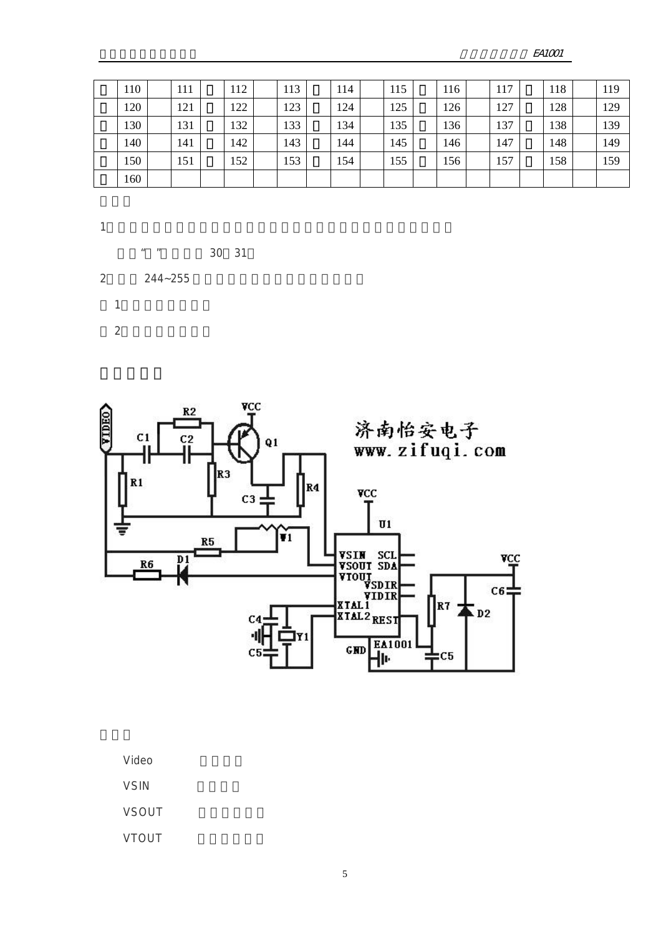$FA1001$ 

| 110 | 111 | 112 | 113 | 114 | 115 | 116 | 117 | 118 | 119 |
|-----|-----|-----|-----|-----|-----|-----|-----|-----|-----|
| 120 | 121 | 122 | 123 | 124 | 125 | 126 | 127 | 128 | 129 |
| 130 | 131 | 132 | 133 | 134 | 135 | 136 | 137 | 138 | 139 |
| 140 | 141 | 142 | 143 | 144 | 145 | 146 | 147 | 148 | 149 |
| 150 | 151 | 152 | 153 | 154 | 155 | 156 | 157 | 158 | 159 |
| 160 |     |     |     |     |     |     |     |     |     |

1

- $" "$  30 31 2 244~255
	- $1$ 2:全白色的格子。

 $\gamma$ CC  $R2$ 济南怡安电子<br>www.zifuqi.com  $C1$  $C<sub>2</sub>$  $Q1$ اا ╢ R<sub>3</sub>  $\overline{\mathbf{R}}$ 1 R4  $\mathbf{v}\in\mathcal{C}$  $C<sub>3</sub>$  $\overline{u}$ Ť1  $R5$ VSIM SCL<br>VSOUT SDA<br>VIOUT SDA<br>VIDIR<br>XTAL1<br>XTAL2 REST  $\frac{D1}{L}$ **VCC**  $R6$  $C6$  $RT \overline{\phantom{1}}$  D2  $C<sub>4</sub>$ 세 IY 1  $GND$   $H<sub>1001</sub>$  $C<sub>5</sub>$ C5 п

Video

**VSIN** 

VSOUT

**VTOUT**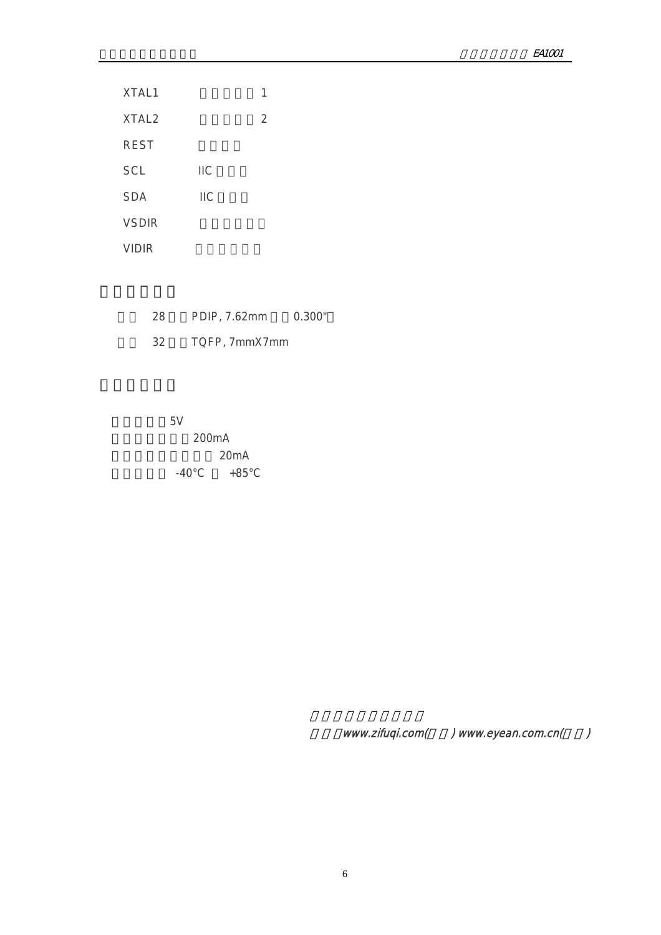| XTAL1             |            | 1 |
|-------------------|------------|---|
| XTAL <sub>2</sub> |            | 2 |
| <b>REST</b>       |            |   |
| <b>SCL</b>        | IIС        |   |
| <b>SDA</b>        | <b>IIC</b> |   |
| <b>VSDIR</b>      |            |   |
| VIDIR             |            |   |

| 28 | PDIP, 7.62mm  | 0.300" |
|----|---------------|--------|
| 32 | TQFP, 7mmX7mm |        |

工作电压:5V 200mA 20mA  $-40^{\circ}$ C  $+85^{\circ}$ C

www.zifuqi.com() www.eyean.com.cn()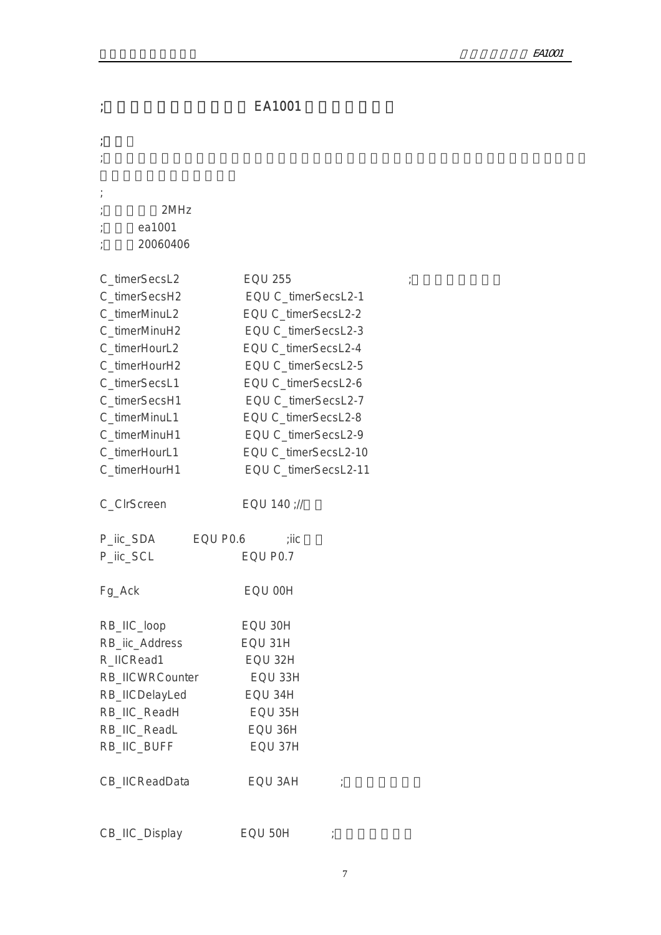| $\boldsymbol{I}$                                                                                                                                                                                                        | EA1001                                                                                                                                                                                                                                                                                       |
|-------------------------------------------------------------------------------------------------------------------------------------------------------------------------------------------------------------------------|----------------------------------------------------------------------------------------------------------------------------------------------------------------------------------------------------------------------------------------------------------------------------------------------|
|                                                                                                                                                                                                                         |                                                                                                                                                                                                                                                                                              |
| 2MHz<br>ea1001<br>20060406                                                                                                                                                                                              |                                                                                                                                                                                                                                                                                              |
| C_timerSecsL2<br>C_timerSecsH2<br>C_timerMinuL2<br>C_timerMinuH2<br>C_timerHourL2<br>C_timerHourH2<br>C_timerSecsL1<br>C_timerSecsH1<br>C_timerMinuL1<br>C_timerMinuH1<br>C_timerHourL1<br>C_timerHourH1<br>C_CIrScreen | <b>EQU 255</b><br>EQU C_timerSecsL2-1<br>EQU C_timerSecsL2-2<br>EQU C_timerSecsL2-3<br>EQU C_timerSecsL2-4<br>EQU C_timerSecsL2-5<br>EQU C_timerSecsL2-6<br>EQU C_timerSecsL2-7<br>EQU C_timerSecsL2-8<br>EQU C_timerSecsL2-9<br>EQU C_timerSecsL2-10<br>EQU C_timerSecsL2-11<br>EQU 140 ;// |
| P_iic_SDA<br>EQU P0.6<br>P_lic_SCL                                                                                                                                                                                      | ;iic<br>EQU P0.7                                                                                                                                                                                                                                                                             |
| Fg_Ack                                                                                                                                                                                                                  | EQU 00H                                                                                                                                                                                                                                                                                      |
| RB_IIC_loop<br>RB_iic_Address<br>R_IICRead1<br>RB_IICWRCounter<br>RB_IICDelayLed<br>RB_IIC_ReadH<br>RB_IIC_ReadL<br>RB_IIC_BUFF                                                                                         | EQU 30H<br>EQU 31H<br>EQU 32H<br>EQU 33H<br>EQU 34H<br>EQU 35H<br>EQU 36H<br>EQU 37H                                                                                                                                                                                                         |
| CB_IICReadData                                                                                                                                                                                                          | EQU 3AH                                                                                                                                                                                                                                                                                      |
| CB_IIC_Display                                                                                                                                                                                                          | EQU 50H                                                                                                                                                                                                                                                                                      |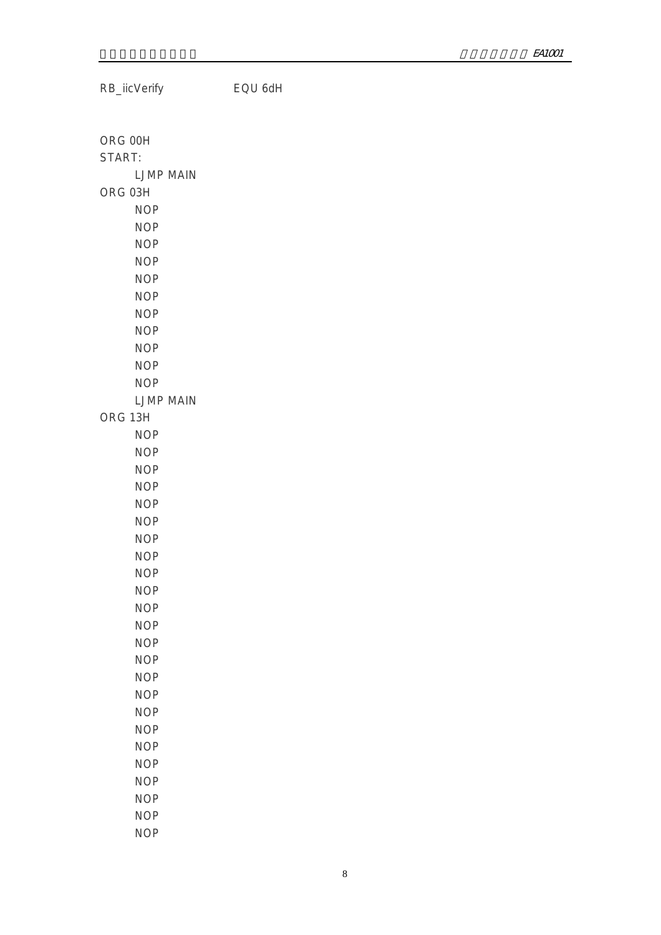RB\_iicVerify EQU 6dH ORG 00H START: LJMP MAIN ORG 03H NOP NOP NOP NOP NOP NOP NOP NOP NOP NOP NOP LJMP MAIN ORG 13H NOP NOP NOP NOP NOP NOP NOP NOP NOP NOP NOP NOP NOP NOP NOP NOP NOP NOP NOP NOP NOP NOP NOP

NOP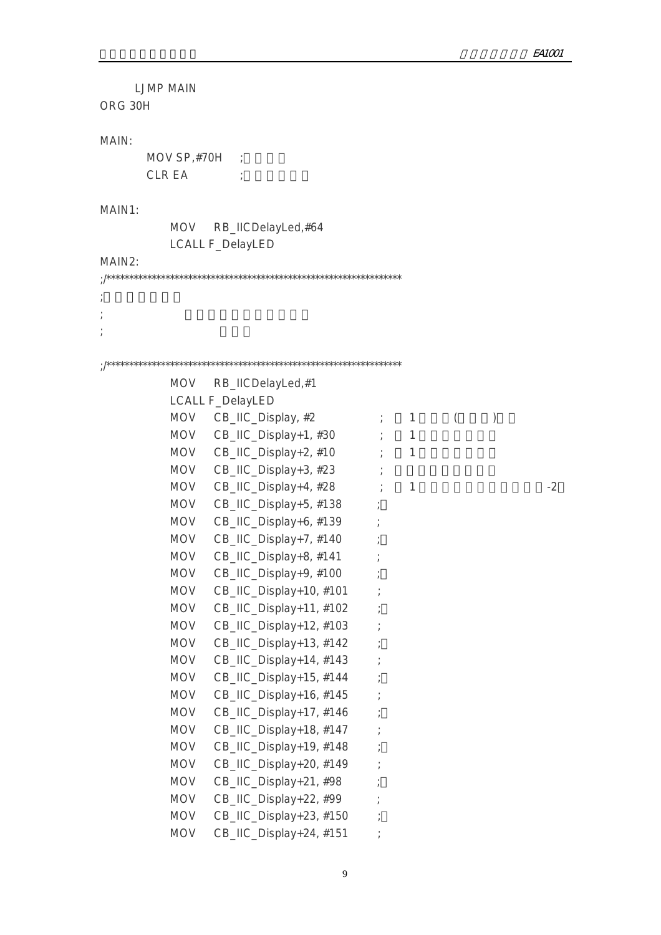LJMP MAIN ORG 30H MAIN:  $MOV SP, #70H$  ; CLR EA ; MAIN1: MOV RB\_IICDelayLed,#64 LCALL F\_DelayLED MAIN2: ;/\*\*\*\*\*\*\*\*\*\*\*\*\*\*\*\*\*\*\*\*\*\*\*\*\*\*\*\*\*\*\*\*\*\*\*\*\*\*\*\*\*\*\*\*\*\*\*\*\*\*\*\*\*\*\*\*\*\*\*\*\*\*\*\*\* ;显示两行字符:  $\frac{1}{k}$  $\frac{1}{l}$ ;/\*\*\*\*\*\*\*\*\*\*\*\*\*\*\*\*\*\*\*\*\*\*\*\*\*\*\*\*\*\*\*\*\*\*\*\*\*\*\*\*\*\*\*\*\*\*\*\*\*\*\*\*\*\*\*\*\*\*\*\*\*\*\*\*\* MOV RB\_IICDelayLed,#1 LCALL F\_DelayLED MOV  $CB\_HC\_Display, #2$  ; 1 () MOV CB\_IIC\_Display+1,  $#30$  ; 1 MOV  $CB\_HC\_Display+2, #10$  ; 1  $MOV$  CB\_IIC\_Display+3, #23 ; MOV  $CB\_HC\_Display+4, #28$  ; 1  $-2$ MOV CB\_IIC\_Display+5, #138 ; MOV CB\_IIC\_Display+6, #139 ; MOV CB\_IIC\_Display+7, #140 ; MOV CB\_IIC\_Display+8, #141 ; MOV CB\_IIC\_Display+9, #100 ; MOV CB\_IIC\_Display+10, #101 ; MOV CB\_IIC\_Display+11, #102 MOV CB\_IIC\_Display+12, #103 ; MOV CB\_IIC\_Display+13, #142 ; MOV CB\_IIC\_Display+14, #143 ; MOV CB\_IIC\_Display+15, #144 ; MOV CB\_IIC\_Display+16, #145 ; MOV CB\_IIC\_Display+17, #146 ; MOV CB\_IIC\_Display+18, #147 ; MOV CB\_IIC\_Display+19, #148 ; MOV CB\_IIC\_Display+20, #149 MOV CB\_IIC\_Display+21, #98 ; MOV CB\_IIC\_Display+22, #99 ; MOV CB\_IIC\_Display+23, #150 ; MOV CB\_IIC\_Display+24, #151 ;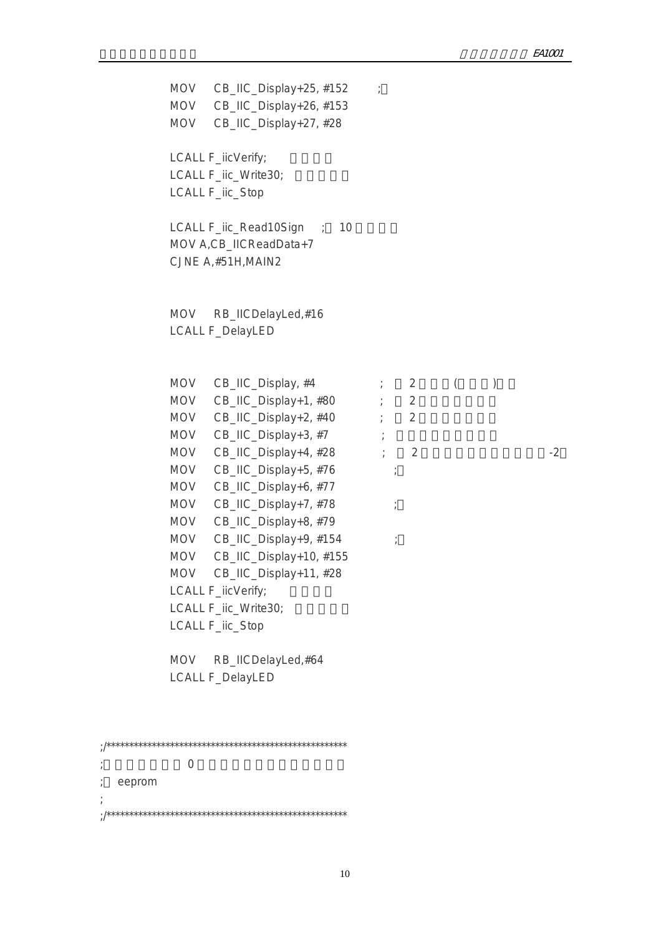|        | MOV<br><b>MOV</b><br><b>MOV</b>                                                                                                                               | CB_IIC_Display+25, #152<br>CB_IIC_Display+26, #153<br>CB_IIC_Display+27, #28                                                                                                                                                                                                                                                                                                                                                |                                                         |                               |          |   |      |
|--------|---------------------------------------------------------------------------------------------------------------------------------------------------------------|-----------------------------------------------------------------------------------------------------------------------------------------------------------------------------------------------------------------------------------------------------------------------------------------------------------------------------------------------------------------------------------------------------------------------------|---------------------------------------------------------|-------------------------------|----------|---|------|
|        |                                                                                                                                                               | LCALL F_iicVerify;<br>LCALL F_iic_Write30;<br>LCALL F_iic_Stop                                                                                                                                                                                                                                                                                                                                                              |                                                         |                               |          |   |      |
|        |                                                                                                                                                               | LCALL F_iic_Read10Sign<br>$\therefore$ 10<br>MOV A, CB_IICReadData+7<br>CJNE A, #51H, MAIN2                                                                                                                                                                                                                                                                                                                                 |                                                         |                               |          |   |      |
|        | MOV                                                                                                                                                           | RB_IICDelayLed,#16<br><b>LCALL F_DelayLED</b>                                                                                                                                                                                                                                                                                                                                                                               |                                                         |                               |          |   |      |
|        | <b>MOV</b><br><b>MOV</b><br><b>MOV</b><br><b>MOV</b><br>MOV<br><b>MOV</b><br><b>MOV</b><br>MOV<br>MOV<br><b>MOV</b><br><b>MOV</b><br><b>MOV</b><br><b>MOV</b> | CB_IIC_Display, #4<br>CB_IIC_Display+1, #80<br>CB_IIC_Display+2, #40<br>CB_IIC_Display+3, #7<br>CB_IIC_Display+4, #28<br>CB_IIC_Display+5, #76<br>CB_IIC_Display+6, #77<br>CB_IIC_Display+7, #78<br>CB_IIC_Display+8, #79<br>CB_IIC_Display+9, #154<br>CB_IIC_Display+10, #155<br>CB_IIC_Display+11, #28<br>LCALL F_iicVerify;<br>LCALL F_iic_Write30;<br>LCALL F_iic_Stop<br>RB_IICDelayLed,#64<br><b>LCALL F_DelayLED</b> | $\ddot{z}$<br>$\frac{1}{I}$<br>$\frac{1}{l}$<br>$\cdot$ | 2<br>$\overline{2}$<br>2<br>2 | $\left($ | ) | $-2$ |
|        |                                                                                                                                                               |                                                                                                                                                                                                                                                                                                                                                                                                                             |                                                         |                               |          |   |      |
| eeprom | $\Omega$                                                                                                                                                      |                                                                                                                                                                                                                                                                                                                                                                                                                             |                                                         |                               |          |   |      |
|        |                                                                                                                                                               |                                                                                                                                                                                                                                                                                                                                                                                                                             |                                                         |                               |          |   |      |

;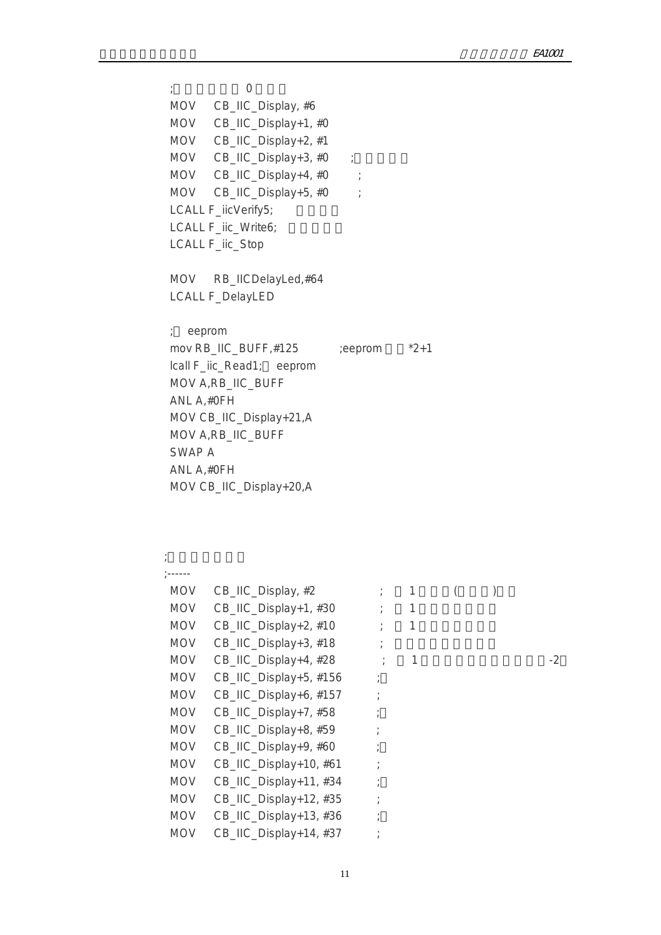$;\qquad \qquad 0$  MOV CB\_IIC\_Display, #6 MOV CB\_IIC\_Display+1, #0 MOV CB\_IIC\_Display+2, #1 MOV  $CB\_HC\_Display+3, #0$  ; MOV CB\_IIC\_Display+4, #0 ; MOV CB\_IIC\_Display+5, #0 ; LCALL F\_iicVerify5; LCALL F\_iic\_Write6; LCALL F\_iic\_Stop MOV RB\_IICDelayLed,#64 LCALL F\_DelayLED ; eeprom mov RB\_IIC\_BUFF, $#125$  ;eeprom  $*2+1$  lcall F\_iic\_Read1; eeprom MOV A,RB\_IIC\_BUFF ANL A,#0FH MOV CB\_IIC\_Display+21,A MOV A,RB\_IIC\_BUFF SWAP A ANL A,#0FH MOV CB\_IIC\_Display+20,A  $\mathcal{A}$ ; and  $\mathcal{A}$  ;------ MOV  $CB\_HC\_Display, #2$  ; 1 ()

| <b>MOV</b> | CB_IIC_Display, #2     |   |  |      |
|------------|------------------------|---|--|------|
| <b>MOV</b> | CB_IIC_Display+1, #30  | 1 |  |      |
| <b>MOV</b> | CB_IIC_Display+2, #10  | 1 |  |      |
| <b>MOV</b> | CB_IIC_Display+3, #18  |   |  |      |
| <b>MOV</b> | CB_IIC_Display+4, #28  | 1 |  | $-2$ |
| <b>MOV</b> | CB_IIC_Display+5, #156 |   |  |      |
| <b>MOV</b> | CB_IIC_Display+6, #157 |   |  |      |
| <b>MOV</b> | CB_IIC_Display+7, #58  |   |  |      |
| <b>MOV</b> | CB_IIC_Display+8, #59  |   |  |      |
| <b>MOV</b> | CB_IIC_Display+9, #60  |   |  |      |
| <b>MOV</b> | CB_IIC_Display+10, #61 |   |  |      |
| <b>MOV</b> | CB_IIC_Display+11, #34 |   |  |      |
| <b>MOV</b> | CB_IIC_Display+12, #35 |   |  |      |
| <b>MOV</b> | CB_IIC_Display+13, #36 |   |  |      |
| <b>MOV</b> | CB_IIC_Display+14, #37 |   |  |      |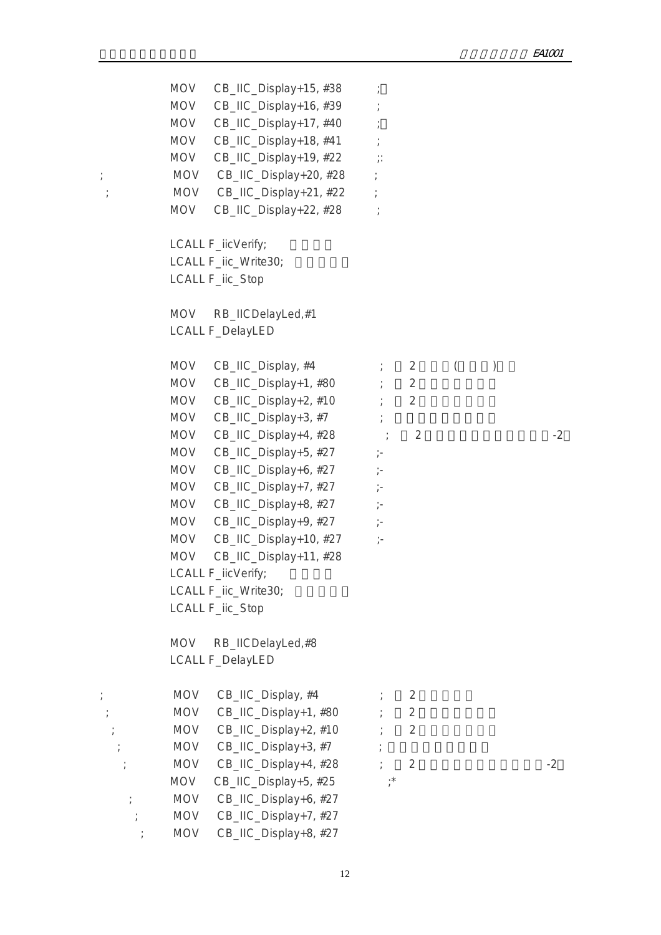MOV CB\_IIC\_Display+15, #38 ; MOV CB\_IIC\_Display+16, #39 ; MOV CB\_IIC\_Display+17, #40 ; MOV CB\_IIC\_Display+18, #41 ; MOV CB\_IIC\_Display+19, #22 ;: ; MOV CB\_IIC\_Display+20, #28 ; ; MOV CB\_IIC\_Display+21, #22 ; MOV CB\_IIC\_Display+22, #28 ; LCALL F\_iicVerify; LCALL F\_iic\_Write30: LCALL F\_iic\_Stop MOV RB\_IICDelayLed,#1 LCALL F\_DelayLED MOV CB\_IIC\_Display,  $#4$   $\qquad \qquad ; \qquad 2$   $\qquad \qquad$  ( $\qquad \qquad )$ MOV CB\_IIC\_Display+1,  $#80$   ${};$  2 MOV  $CB\_HC\_Display+2, #10$  ; 2 MOV CB\_IIC\_Display+3, #7 ; MOV CB\_IIC\_Display+4,  $\#28$   $\qquad \qquad$  2  $\qquad \qquad$  2 MOV CB\_IIC\_Display+5, #27 ;-MOV  $CB$  IIC Display+6, #27  $\vdots$ MOV CB\_IIC\_Display+7, #27 ;-MOV CB\_IIC\_Display+8,  $#27$  ;-MOV CB\_IIC\_Display+9, #27 ;-MOV CB\_IIC\_Display+10, #27 ;- MOV CB\_IIC\_Display+11, #28 LCALL F\_iicVerify; LCALL F\_iic\_Write30; LCALL F\_iic\_Stop MOV RB\_IICDelayLed,#8 LCALL F\_DelayLED  $;$  MOV CB\_IIC\_Display, #4  $;$  2 ; MOV CB\_IIC\_Display+1, #80 ; 2  $MOV$  CB\_IIC\_Display+2, #10 ; 2  $;\qquad \qquad \text{MOV} \quad \text{CB\_IIC\_Display+3, #7} \qquad \qquad ;$ ; MOV  $CB\_HC\_Display+4, #28$  ; 2 MOV  $CB\_HC\_Display+5$ , #25 ;\* ; MOV CB\_IIC\_Display+6, #27 ; MOV CB\_IIC\_Display+7, #27 ; MOV CB\_IIC\_Display+8, #27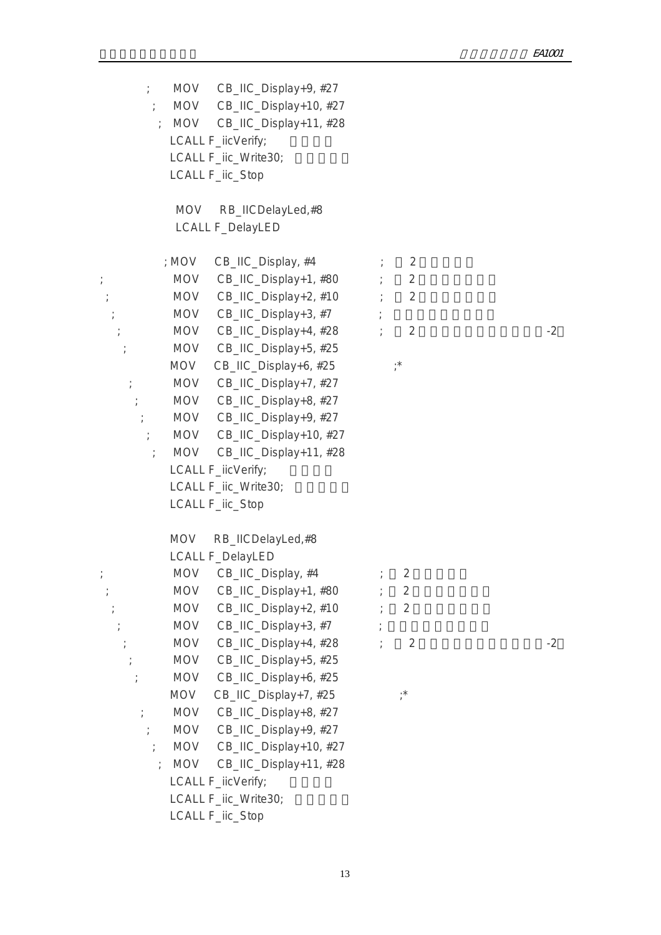; MOV CB\_IIC\_Display+9, #27 ; MOV CB\_IIC\_Display+10, #27 ; MOV CB\_IIC\_Display+11, #28 LCALL F\_iicVerify; LCALL F\_iic\_Write30; LCALL F\_iic\_Stop MOV RB\_IICDelayLed,#8 LCALL F\_DelayLED  $; MOV$  CB\_IIC\_Display,  $#4$   $; 2$  $;\hspace{2cm}$  MOV CB\_IIC\_Display+1, #80  $\hspace{1.5cm}$  ; 2  $;\hspace{1cm}$  MOV CB\_IIC\_Display+2, #10  $\hspace{1cm}$  ; 2  $;\hspace{2cm}$  MOV CB\_IIC\_Display+3, #7  $\hspace{1.6cm}$ ; MOV  $CB\_HC\_Display+4$ ,  $\#28$  ; 2  $\qquad$  -2 ; MOV CB\_IIC\_Display+5, #25 MOV  $CB$ \_IIC\_Display+6, #25  $\ddot{i}$  ; MOV CB\_IIC\_Display+7, #27 ; MOV CB\_IIC\_Display+8, #27 ; MOV CB\_IIC\_Display+9, #27 ; MOV CB\_IIC\_Display+10, #27 ; MOV CB\_IIC\_Display+11, #28 LCALL F\_iicVerify; LCALL F\_iic\_Write30; LCALL F\_iic\_Stop MOV RB\_IICDelayLed,#8 LCALL F\_DelayLED ; MOV CB\_IIC\_Display, #4  $\qquad$  ; 2 ; MOV CB\_IIC\_Display+1, #80 ; 2  $\mathcal{L}$ ; MOV CB\_IIC\_Display+2, #10  $\mathcal{L}$  2  $;\qquad \qquad \text{MOV} \quad \text{CB} \quad \text{IIC} \quad \text{Display+3, #7} \qquad ;$ ; MOV  $CB\_HC\_Display+4, #28$  ; 2 ; MOV CB\_IIC\_Display+5, #25 ; MOV CB\_IIC\_Display+6, #25 MOV CB\_IIC\_Display+7, #25 ;\* ; MOV CB\_IIC\_Display+8, #27 MOV CB\_IIC\_Display+9, #27 ; MOV CB\_IIC\_Display+10, #27 ; MOV CB\_IIC\_Display+11, #28 LCALL F\_iicVerify; LCALL F\_iic\_Write30; LCALL F\_iic\_Stop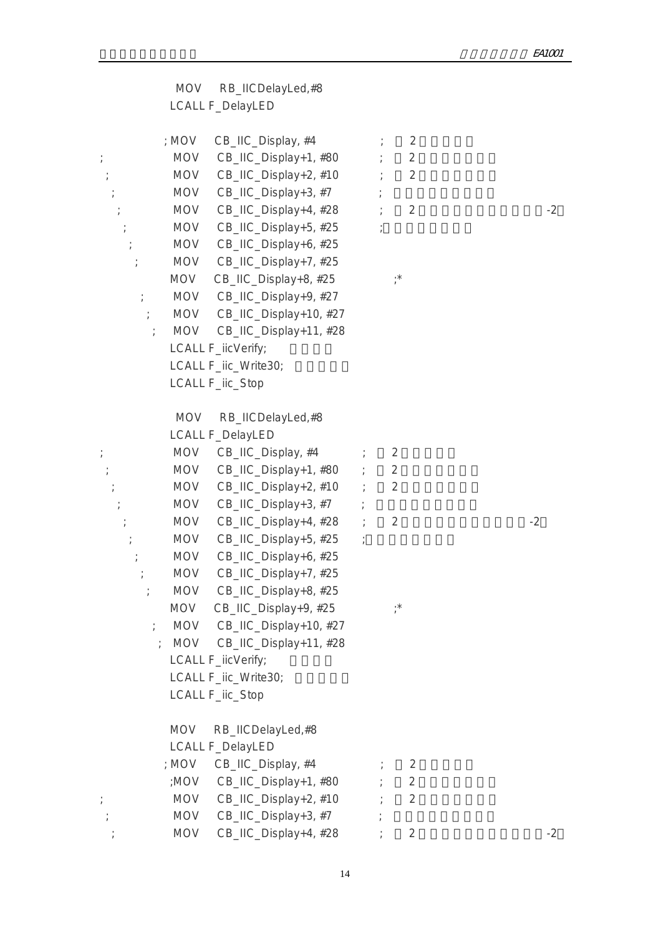| MOV RB_IICDelayLed,#8<br>LCALL F_DelayLED                                                                                                                                                                                                                                                                                                                                                                                                                                                                                                                                                                    |                                                                                            |
|--------------------------------------------------------------------------------------------------------------------------------------------------------------------------------------------------------------------------------------------------------------------------------------------------------------------------------------------------------------------------------------------------------------------------------------------------------------------------------------------------------------------------------------------------------------------------------------------------------------|--------------------------------------------------------------------------------------------|
| CB_IIC_Display, #4<br>; MOV<br><b>MOV</b><br>CB_IIC_Display+1, #80<br>$CB$ _IIC_Display+2, #10 ;<br>MOV<br>CB_IIC_Display+3, #7<br>MOV<br>CB_IIC_Display+4, #28<br><b>MOV</b><br>CB_IIC_Display+5, #25<br><b>MOV</b><br>CB_IIC_Display+6, #25<br>$\frac{1}{l}$<br><b>MOV</b><br>MOV CB_IIC_Display+7, #25<br><b>MOV</b><br>CB_IIC_Display+8, #25<br>MOV CB_IIC_Display+9, #27<br>$\frac{1}{l}$<br>MOV CB_IIC_Display+10, #27<br>CB_IIC_Display+11, #28<br><b>MOV</b><br>LCALL F_iicVerify;<br>LCALL F_iic_Write30;                                                                                           | $\overline{2}$<br>$\overline{2}$<br>$\overline{2}$<br>$\overline{2}$<br>$-2$<br>$, *$      |
| LCALL F_iic_Stop<br>MOV<br>RB_IICDelayLed,#8<br>LCALL F_DelayLED<br>MOV CB_IIC_Display, #4<br>$\frac{1}{l}$<br>MOV CB_IIC_Display+1, #80 ;<br>$\cdot$<br>CB_IIC_Display+2, #10 ;<br>MOV<br>CB_IIC_Display+3, #7<br><b>MOV</b><br>CB_IIC_Display+4, #28 ;<br><b>MOV</b><br>CB_IIC_Display+5, #25 ;<br>MOV<br>CB_IIC_Display+6, #25<br><b>MOV</b><br>MOV<br>CB_IIC_Display+7, #25<br>CB_IIC_Display+8, #25<br><b>MOV</b><br><b>MOV</b><br>CB_IIC_Display+9, #25<br>MOV CB_IIC_Display+10, #27<br>$\frac{1}{l}$<br>MOV CB_IIC_Display+11, #28<br>LCALL F_iicVerify;<br>LCALL F_iic_Write30;<br>LCALL F_iic_Stop | $\overline{2}$<br>$\overline{2}$<br>$\overline{2}$<br>$-2$<br>$\overline{2}$<br>$^{\star}$ |
| RB_IICDelayLed,#8<br><b>MOV</b><br>LCALL F_DelayLED<br>CB_IIC_Display, #4<br>; MOV<br>:MOV CB_IIC_Display+1, #80<br><b>MOV</b><br>CB_IIC_Display+2, #10<br>CB_IIC_Display+3, #7<br><b>MOV</b><br><b>MOV</b><br>CB_IIC_Display+4, #28                                                                                                                                                                                                                                                                                                                                                                         | $\overline{2}$<br>$\overline{2}$<br>$\overline{2}$<br>$\overline{2}$<br>$-2$               |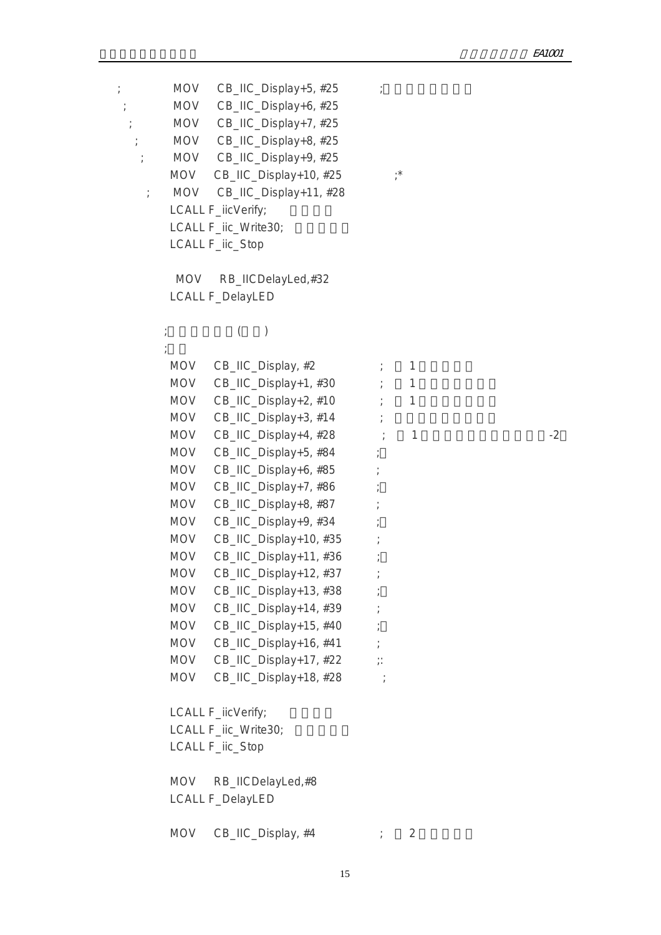$;\hspace{1cm}$  MOV CB\_IIC\_Display+5, #25  $\hspace{1cm}$  ; MOV CB\_IIC\_Display+6, #25 ; MOV CB\_IIC\_Display+7, #25 ; MOV CB\_IIC\_Display+8, #25 ; MOV CB\_IIC\_Display+9, #25 MOV CB\_IIC\_Display+10, #25 ;\* ; MOV CB\_IIC\_Display+11, #28 LCALL F\_iicVerify; LCALL F\_iic\_Write30;

LCALL F\_iic\_Stop

 $\mathbb{R}^2$  ;  $\mathbb{R}^2$  ;  $\mathbb{R}^2$  ;  $\mathbb{R}^2$  ;  $\mathbb{R}^2$  ;  $\mathbb{R}^2$  ;  $\mathbb{R}^2$  ;  $\mathbb{R}^2$  ;  $\mathbb{R}^2$  ;  $\mathbb{R}^2$  ;  $\mathbb{R}^2$  ;  $\mathbb{R}^2$  ;  $\mathbb{R}^2$  ;  $\mathbb{R}^2$  ;  $\mathbb{R}^2$  ;  $\mathbb{R}^2$  ;  $\mathbb{R}^2$  ;

 MOV RB\_IICDelayLed,#32 LCALL F\_DelayLED

## ;修改本机密码(闪烁)

| <b>MOV</b> | CB_IIC_Display, #2     |               | $\mathbf{1}$ |  |      |
|------------|------------------------|---------------|--------------|--|------|
| <b>MOV</b> | CB_IIC_Display+1, #30  |               | $\mathbf{1}$ |  |      |
| <b>MOV</b> | CB_IIC_Display+2, #10  |               | $\mathbf{1}$ |  |      |
| <b>MOV</b> | CB_IIC_Display+3, #14  |               |              |  |      |
| <b>MOV</b> | CB_IIC_Display+4, #28  |               | 1            |  | $-2$ |
| <b>MOV</b> | CB_IIC_Display+5, #84  | $\frac{1}{l}$ |              |  |      |
| <b>MOV</b> | CB_IIC_Display+6, #85  |               |              |  |      |
| <b>MOV</b> | CB_IIC_Display+7, #86  |               |              |  |      |
| <b>MOV</b> | CB_IIC_Display+8, #87  |               |              |  |      |
| <b>MOV</b> | CB_IIC_Display+9, #34  |               |              |  |      |
| <b>MOV</b> | CB_IIC_Display+10, #35 |               |              |  |      |
| <b>MOV</b> | CB_IIC_Display+11, #36 |               |              |  |      |
| <b>MOV</b> | CB_IIC_Display+12, #37 |               |              |  |      |
| <b>MOV</b> | CB_IIC_Display+13, #38 |               |              |  |      |
| <b>MOV</b> | CB_IIC_Display+14, #39 |               |              |  |      |
| <b>MOV</b> | CB_IIC_Display+15, #40 |               |              |  |      |
| <b>MOV</b> | CB_IIC_Display+16, #41 |               |              |  |      |
| <b>MOV</b> | CB_IIC_Display+17, #22 | $\vdots$      |              |  |      |
| <b>MOV</b> | CB_IIC_Display+18, #28 |               |              |  |      |
|            |                        |               |              |  |      |
|            | LCALL F_iicVerify;     |               |              |  |      |
|            | LCALL F_iic_Write30;   |               |              |  |      |
|            | LCALL F_iic_Stop       |               |              |  |      |
|            |                        |               |              |  |      |
| <b>MOV</b> | RB_IICDelayLed,#8      |               |              |  |      |

LCALL F\_DelayLED

 $MOV$  CB\_IIC\_Display,  $#4$   $; 2$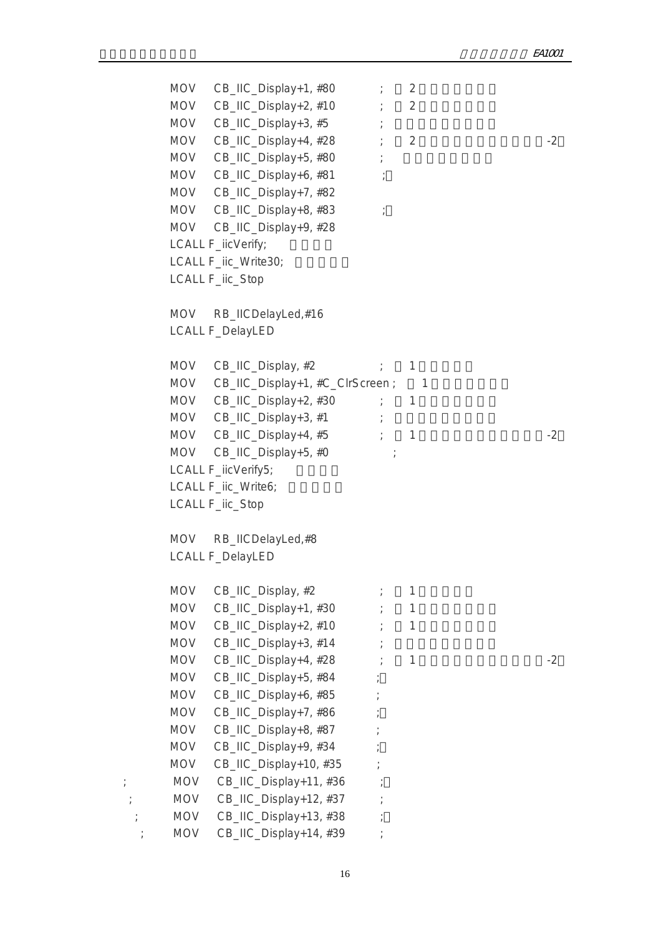```
MOV CB_IIC_Display+1, #80 \qquad \qquad \qquad 2
      MOV CB_IIC_Display+2, #10 ; 2
      MOV CB_IIC_Display+3, #5 ;
      MOV CB_IIC_Display+4, #28 2 2MOV CB_IIC_Display+5, #80 ;
      MOV CB_IIC_Display+6, #81 ;
      MOV CB_IIC_Display+7, #82
      MOV CB_IIC_Display+8, #83 ;
      MOV CB_IIC_Display+9, #28
      LCALL F_iicVerify;
      LCALL F_iic_Write30:
       LCALL F_iic_Stop
      MOV RB_IICDelayLed,#16
       LCALL F_DelayLED
      MOV CB_IIC_Display, #2 ; 1
      MOV CB_IIC_Display+1, #C_ClrScreen ; 1
      MOV CB\_HC\_Display+2, #30 ; 1
      MOV CB_IIC_Display+3, #1 ;
      MOV CB_IIC_Display+4, #5 ; 1 -2MOV CB_IIC_Display+5, #0 ;
      LCALL F_iicVerify5;
      LCALL F_iic_Write6;
       LCALL F_iic_Stop
       MOV RB_IICDelayLed,#8 
       LCALL F_DelayLED
      MOV CB IIC Display, #2 ; 1
      MOV CB\_HC\_Display+1, #30 ; 1
      MOV CB_IIC_Display+2, #10 ; 1
      MOV CB\_HC\_Display+3, #14 ;
      MOV CB\_HC\_Display+4, #28 ; 1 -2MOV CB_IIC_Display+5, #84 ;
      MOV CB_IIC_Display+6, #85 ;
      MOV CB_IIC_Display+7, #86 ;
      MOV CB_IIC_Display+8, #87 ;
      MOV CB_IIC_Display+9, #34 ;
      MOV CB_IIC_Display+10, #35
 ; MOV CB_IIC_Display+11, #36 ;
 ; MOV CB_IIC_Display+12, #37 ;
 \mathcal{L} MOV CB_IIC_Display+13, #38 \mathcal{L}; MOV CB IIC Display+14, #39 ;
```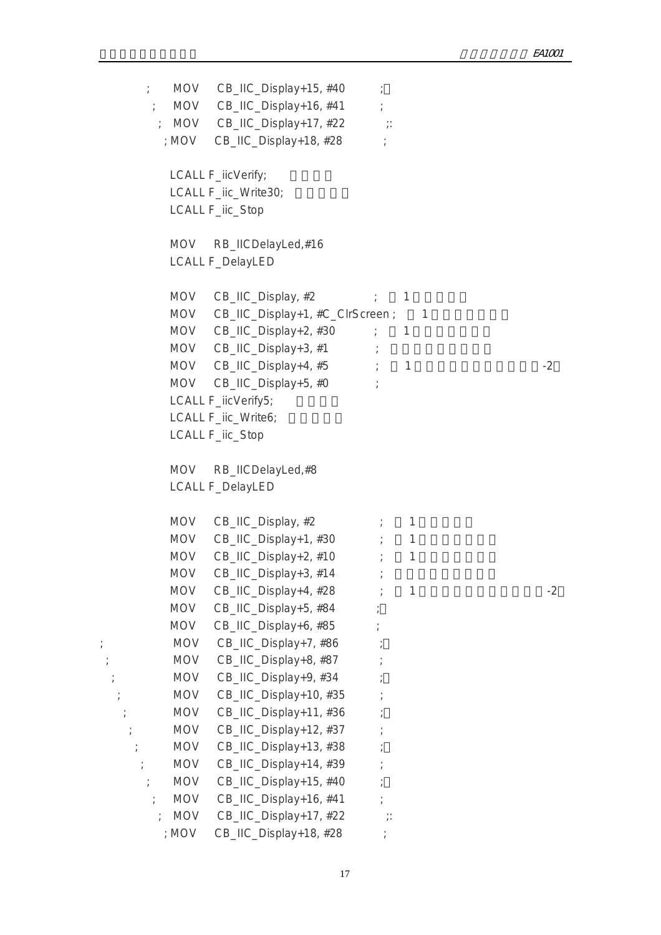```
; MOV CB_IIC_Display+15, #40 ;
        ; MOV CB_IIC_Display+16, #41 ;
       ; MOV CB_IIC_Display+17, #22 ;:
        ; MOV CB_IIC_Display+18, #28 ;
         LCALL F_iicVerify;
         LCALL F_iic_Write30;
          LCALL F_iic_Stop
          MOV RB_IICDelayLed,#16 
          LCALL F_DelayLED
         MOV CB_IIC_Display, #2 \qquad \qquad ; 1
         MOV CB_IIC_Display+1, #C_ClrScreen ; 1
         MOV CB_IIC_Display+2, #30 ; 1
         MOV CB_IIC_Display+3, #1 ;MOV CB_IIC_Display+4, #5 ; 1 \qquad -2
         MOV CB IIC Display+5, #0 ;
         LCALL F_iicVerify5;
         LCALL F_iic_Write6;
          LCALL F_iic_Stop
          MOV RB_IICDelayLed,#8 
          LCALL F_DelayLED
         MOV CB_IIC_Display, #2 \qquad \qquad ; 1
         MOV CB IIC_Display+1, #30 \qquad ; 1
         MOV CB\_HC\_Display+2, #10 ; 1
         MOV CB_IIC_Display+3, #14 ;
         MOV CB_IIC_Display+4, #28 \qquad \qquad 1 \qquad \qquad -2
         MOV CB_IIC_Display+5, #84 ;
         MOV CB_IIC_Display+6, #85 ;
; MOV CB_IIC_Display+7, #86 ;
; MOV CB_IIC_Display+8, #87 ;
         MOV CB_IIC_Display+9, #34 ;
   ; MOV CB_IIC_Display+10, #35 ;
    ; MOV CB_IIC_Display+11, #36 ;
          MOV CB_IIC_Display+12, #37 ;
     ; MOV CB_IIC_Display+13, #38 ;
     ; MOV CB_IIC_Display+14, #39 ;
      ; MOV CB\_HC\_Display+15, #40 ;
       ; MOV CB IIC Display+16, #41 ;
       ; MOV CB_IIC_Display+17, #22 ;:
        ; MOV CB IIC Display+18, #28 ;
```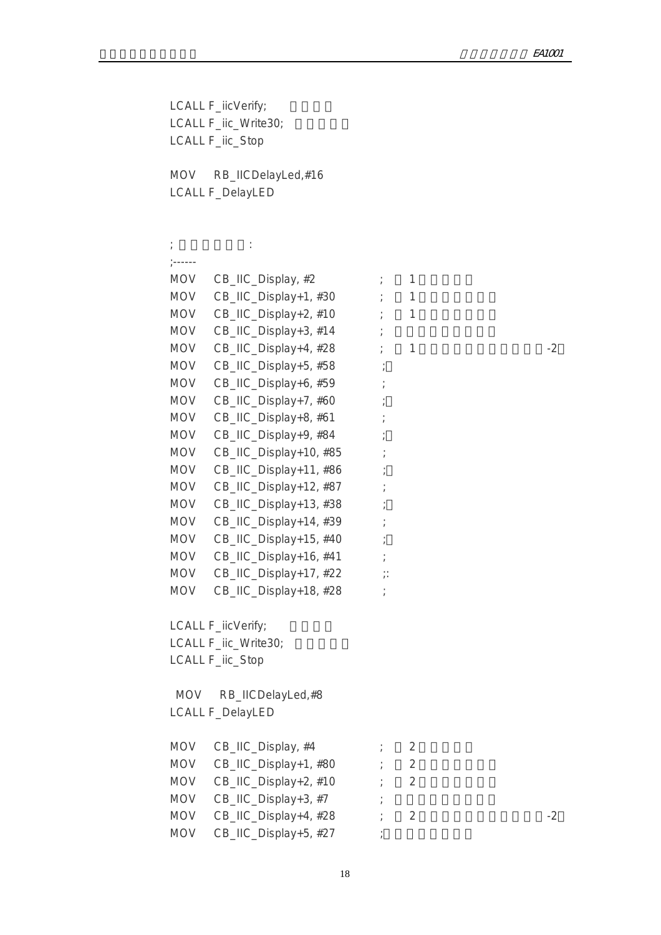LCALL F\_iicVerify; LCALL F\_iic\_Write30; LCALL F\_iic\_Stop MOV RB\_IICDelayLed,#16 LCALL F\_DelayLED

 $\mathcal{L}(\mathcal{L}(\mathcal{L}(\mathcal{L}(\mathcal{L}(\mathcal{L}(\mathcal{L}(\mathcal{L}(\mathcal{L}(\mathcal{L}(\mathcal{L}(\mathcal{L}(\mathcal{L}(\mathcal{L}(\mathcal{L}(\mathcal{L}(\mathcal{L}(\mathcal{L}(\mathcal{L}(\mathcal{L}(\mathcal{L}(\mathcal{L}(\mathcal{L}(\mathcal{L}(\mathcal{L}(\mathcal{L}(\mathcal{L}(\mathcal{L}(\mathcal{L}(\mathcal{L}(\mathcal{L}(\mathcal{L}(\mathcal{L}(\mathcal{L}(\mathcal{L}(\mathcal{L}(\mathcal{$  ;------  $MOV$  CB\_IIC\_Display,  $#2$  ; 1 MOV  $CB\_HC\_Display+1, #30$  ; 1 MOV  $CB$ \_IIC\_Display+2, #10 ; 1 MOV  $CB_1IC_ \text{Display+3, #14}$  ; MOV CB\_IIC\_Display+4,  $#28$  ; 1  $-2$ MOV CB\_IIC\_Display+5, #58 ; MOV CB\_IIC\_Display+6, #59 ; MOV CB\_IIC\_Display+7, #60 ; MOV CB\_IIC\_Display+8, #61 ; MOV CB\_IIC\_Display+9, #84 ; MOV CB\_IIC\_Display+10, #85 ; MOV CB\_IIC\_Display+11, #86 ; MOV CB\_IIC\_Display+12, #87 ; MOV CB\_IIC\_Display+13, #38 ; MOV CB\_IIC\_Display+14, #39 ; MOV CB\_IIC\_Display+15, #40 ; MOV CB\_IIC\_Display+16, #41 ; MOV CB\_IIC\_Display+17, #22 ;: MOV CB\_IIC\_Display+18, #28 ; LCALL F\_iicVerify; LCALL F\_iic\_Write30; LCALL F\_iic\_Stop MOV RB\_IICDelayLed,#8 LCALL F\_DelayLED  $MOV$  CB\_IIC\_Display, #4  $\qquad \qquad ;$  2 MOV  $CB\_HC\_Display+1, #80$  ; 2 MOV  $CB\_HC\_Display+2, #10$  ; 2 MOV  $CB$  IIC\_Display+3, #7  $\qquad$ MOV  $CB\_HC\_Display+4, #28$  ; 2  $MOV$  CB\_IIC\_Display+5, #27 ;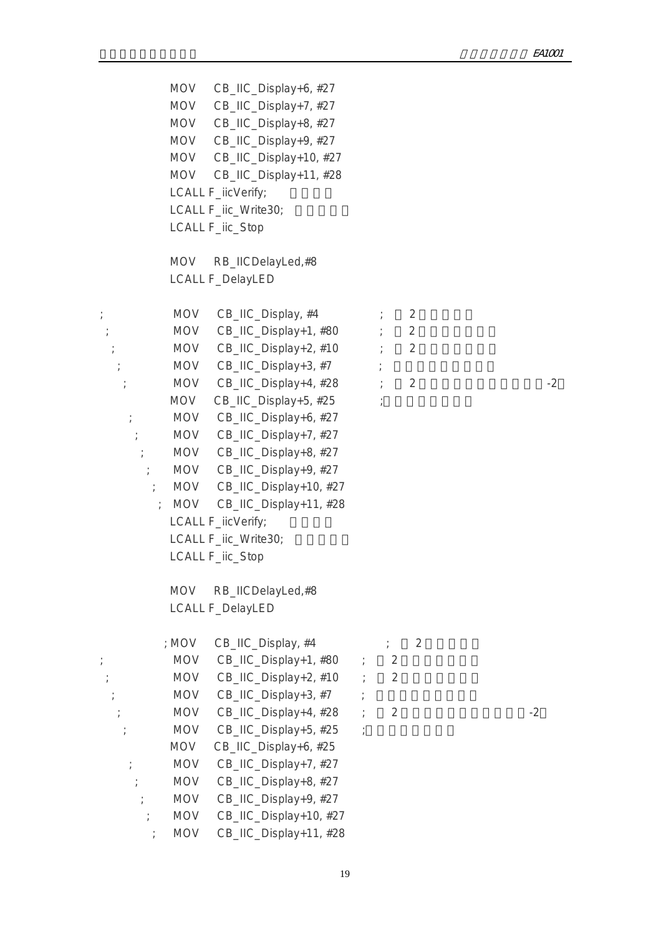MOV CB\_IIC\_Display+6, #27 MOV CB\_IIC\_Display+7, #27 MOV CB\_IIC\_Display+8, #27 MOV CB\_IIC\_Display+9, #27 MOV CB\_IIC\_Display+10, #27 MOV CB\_IIC\_Display+11, #28 LCALL F\_iicVerify; LCALL F\_iic\_Write30; LCALL F\_iic\_Stop MOV RB\_IICDelayLed,#8 LCALL F\_DelayLED  $;\qquad \qquad \text{MOV} \quad \text{CB}\ \text{HC} \quad \text{Display}, \#4 \qquad \qquad ; \qquad 2$  $;\hspace{2cm}$  MOV CB\_IIC\_Display+1, #80  $\hspace{1.5cm} ; \hspace{1.5cm} 2$  $;\qquad \qquad \text{MOV} \quad \text{CB\_IC\_Display+2, #10} \qquad ; \qquad \text{2}$  $;\qquad \qquad \text{MOV} \quad \text{CB} \quad \text{IIC} \quad \text{Display+3, #7} \qquad ;$ ; MOV CB\_IIC\_Display+4,  $#28$  ; 2  $-2$  $MOV$  CB\_IIC\_Display+5, #25 ; ; MOV CB\_IIC\_Display+6, #27 ; MOV CB\_IIC\_Display+7, #27 ; MOV CB\_IIC\_Display+8, #27 ; MOV CB\_IIC\_Display+9, #27 ; MOV CB\_IIC\_Display+10, #27 ; MOV CB\_IIC\_Display+11, #28 LCALL F\_iicVerify; LCALL F\_iic\_Write30; LCALL F\_iic\_Stop MOV RB\_IICDelayLed,#8 LCALL F\_DelayLED ; MOV  $CB\_HC\_Display$ , #4  $\qquad \qquad ; \qquad 2$ ; MOV CB\_IIC\_Display+1, #80 ; 2 显示区起始行数 ; MOV CB\_IIC\_Display+2, #10 ; 2 显示区起始列数  $;$  MOV CB\_IIC\_Display+3, #7  $;$  $\therefore$  MOV CB\_IIC\_Display+4, #28  $\therefore$  2  $\qquad$  -2  $;\hspace{1cm}$  MOV CB\_IIC\_Display+5, #25  $\hspace{0.1cm}$  MOV CB\_IIC\_Display+6, #25 ; MOV CB\_IIC\_Display+7, #27 ; MOV CB\_IIC\_Display+8, #27 ; MOV CB\_IIC\_Display+9, #27 MOV CB\_IIC\_Display+10, #27 ; MOV CB\_IIC\_Display+11, #28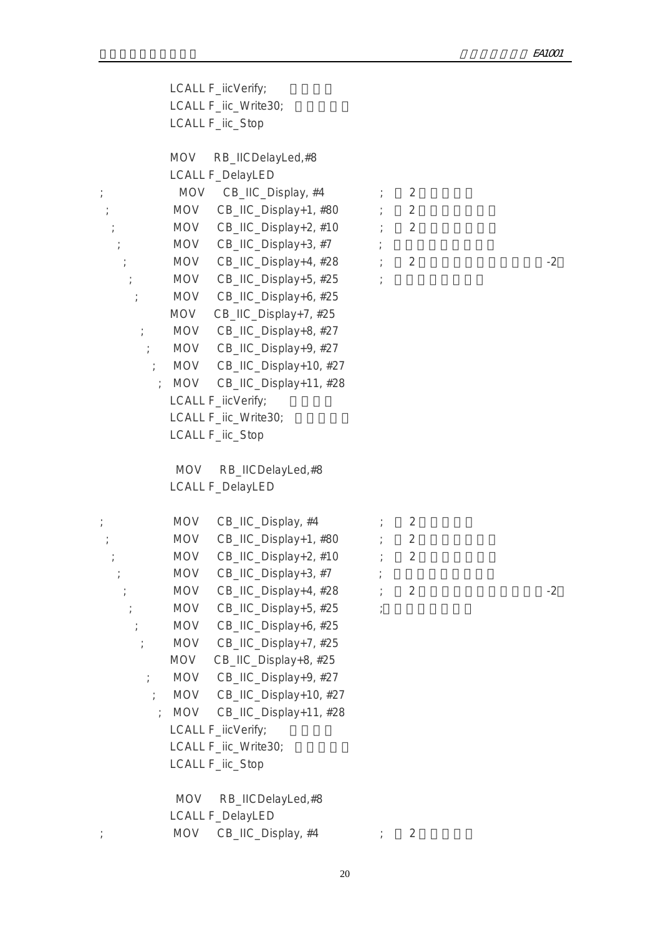|                             | LCALL F_iicVerify;                                           |                |      |
|-----------------------------|--------------------------------------------------------------|----------------|------|
|                             | LCALL F_iic_Write30;                                         |                |      |
|                             | LCALL F_iic_Stop                                             |                |      |
|                             |                                                              |                |      |
|                             | RB_IICDelayLed,#8<br>MOV                                     |                |      |
|                             | <b>LCALL F_DelayLED</b>                                      |                |      |
| $\frac{1}{L}$               | MOV CB_IIC_Display, #4                                       | 2              |      |
|                             | MOV CB_IIC_Display+1, #80                                    | 2              |      |
|                             | MOV CB_IIC_Display+2, #10                                    | 2              |      |
|                             | MOV CB_IIC_Display+3, #7                                     |                |      |
|                             | MOV CB_IIC_Display+4, #28                                    | 2              | $-2$ |
|                             | MOV CB_IIC_Display+5, #25                                    |                |      |
|                             | MOV CB_IIC_Display+6, #25                                    |                |      |
|                             | CB_IIC_Display+7, #25<br>MOV                                 |                |      |
| $\frac{1}{l}$               | MOV CB_IIC_Display+8, #27                                    |                |      |
| $\mathcal{L}$               | MOV CB_IIC_Display+9, #27                                    |                |      |
| $\ddot{r}$                  | MOV CB_IIC_Display+10, #27                                   |                |      |
| $\cdot$ .                   | MOV CB_IIC_Display+11, #28                                   |                |      |
|                             | LCALL F_iicVerify;                                           |                |      |
|                             | LCALL F_iic_Write30;                                         |                |      |
|                             | LCALL F_iic_Stop                                             |                |      |
|                             |                                                              |                |      |
|                             | <b>MOV</b><br>RB_IICDelayLed,#8                              |                |      |
|                             | <b>LCALL F_DelayLED</b>                                      |                |      |
|                             |                                                              |                |      |
| $\cdot$                     | <b>MOV</b><br>CB_IIC_Display, #4                             | 2              |      |
|                             | MOV CB_IIC_Display+1, #80                                    | $\overline{2}$ |      |
|                             | $CB$ _IIC_Display+2, #10 ;<br><b>MOV</b>                     | $\overline{2}$ |      |
|                             | CB_IIC_Display+3, #7<br><b>MOV</b>                           |                |      |
| $\frac{1}{l}$               | <b>MOV</b><br>CB_IIC_Display+4, #28<br>CB_IIC_Display+5, #25 | $\overline{2}$ | $-2$ |
|                             | <b>MOV</b>                                                   |                |      |
|                             | CB_IIC_Display+6, #25<br>MOV<br>MOV CB_IIC_Display+7, #25    |                |      |
| $\frac{1}{l}$               | CB_IIC_Display+8, #25<br>MOV                                 |                |      |
|                             | MOV CB_IIC_Display+9, #27                                    |                |      |
| $\frac{1}{l}$<br>$\ddot{ }$ | CB_IIC_Display+10, #27<br>MOV                                |                |      |
|                             | MOV CB_IIC_Display+11, #28                                   |                |      |
|                             | LCALL F_iicVerify;                                           |                |      |
|                             | LCALL F_iic_Write30;                                         |                |      |
|                             | LCALL F_iic_Stop                                             |                |      |
|                             |                                                              |                |      |
|                             | RB_IICDelayLed,#8<br><b>MOV</b>                              |                |      |
|                             | <b>LCALL F_DelayLED</b>                                      |                |      |
|                             | CB_IIC_Display, #4<br><b>MOV</b>                             | $\overline{2}$ |      |
|                             |                                                              |                |      |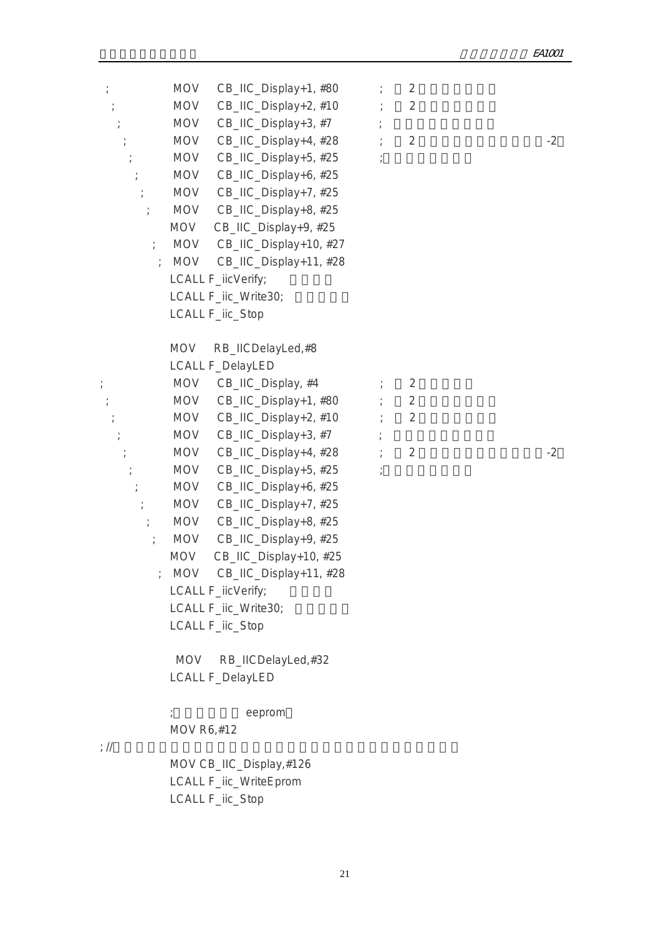| $\frac{1}{l}$<br>$\frac{1}{l}$<br>$\frac{1}{l}$<br>$\frac{1}{l}$ | <b>MOV</b><br>CB_IIC_Display+1, #80<br>CB_IIC_Display+2, #10<br>MOV<br>CB_IIC_Display+3, #7<br><b>MOV</b><br>CB_IIC_Display+4, #28<br><b>MOV</b><br><b>MOV</b><br>CB_IIC_Display+5, #25<br>CB_IIC_Display+6, #25<br><b>MOV</b><br>CB_IIC_Display+7, #25<br>MOV<br><b>MOV</b><br>CB_IIC_Display+8, #25<br>CB_IIC_Display+9, #25<br>MOV<br>MOV<br>CB_IIC_Display+10, #27<br>CB_IIC_Display+11, #28<br><b>MOV</b><br>LCALL F_iicVerify;<br>LCALL F_iic_Write30;<br>LCALL F_iic_Stop                                                                                                              | $\overline{2}$<br>$\overline{2}$<br>$\overline{2}$      | $-2$ |
|------------------------------------------------------------------|-----------------------------------------------------------------------------------------------------------------------------------------------------------------------------------------------------------------------------------------------------------------------------------------------------------------------------------------------------------------------------------------------------------------------------------------------------------------------------------------------------------------------------------------------------------------------------------------------|---------------------------------------------------------|------|
| $\frac{1}{l}$<br>$\frac{1}{l}$<br>$\frac{1}{l}$<br>$\frac{1}{l}$ | <b>MOV</b><br>RB_IICDelayLed,#8<br><b>LCALL F_DelayLED</b><br>CB_IIC_Display, #4<br><b>MOV</b><br>CB_IIC_Display+1, #80<br><b>MOV</b><br>MOV<br>CB_IIC_Display+2, #10<br>CB_IIC_Display+3, #7<br><b>MOV</b><br>CB_IIC_Display+4, #28<br><b>MOV</b><br>CB_IIC_Display+5, #25<br><b>MOV</b><br>CB_IIC_Display+6, #25<br><b>MOV</b><br><b>MOV</b><br>CB_IIC_Display+7, #25<br>CB_IIC_Display+8, #25<br><b>MOV</b><br>CB_IIC_Display+9, #25<br><b>MOV</b><br><b>MOV</b><br>CB_IIC_Display+10, #25<br>MOV CB_IIC_Display+11, #28<br>LCALL F_iicVerify;<br>LCALL F_iic_Write30;<br>LCALL F_iic_Stop | 2<br>$\overline{2}$<br>$\overline{2}$<br>$\overline{2}$ | $-2$ |
| ; $\frac{1}{2}$                                                  | <b>MOV</b><br>RB_IICDelayLed,#32<br><b>LCALL F_DelayLED</b><br>eeprom<br>MOV R6,#12<br>MOV CB_IIC_Display,#126<br>LCALL F_iic_WriteEprom<br>LCALL F_iic_Stop                                                                                                                                                                                                                                                                                                                                                                                                                                  |                                                         |      |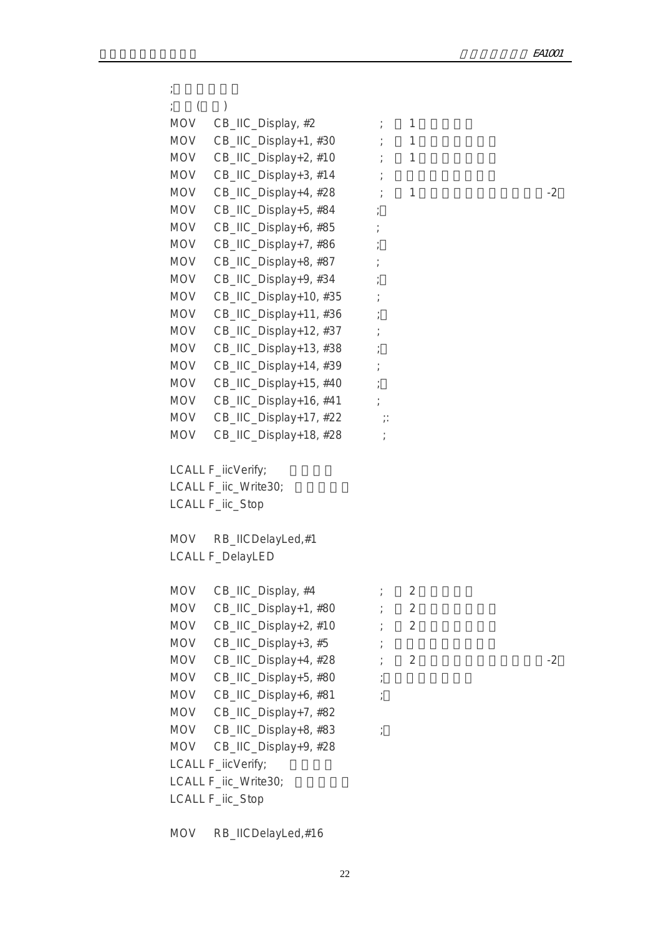```
\mathcal{L}\qquad \qquad ; \qquad (\qquad)MOV CB_IIC_Display, #2 \qquad \qquad ; 1
         MOV CB\_HC\_Display+1, #30 ; 1
         MOV CB_IIC_Display+2, #10 ; 1
         MOV CB_IIC_Display+3, #14 ;
         MOV CB\_HC\_Display+4, #28 ; 1 -2MOV CB_IIC_Display+5, #84 ;
         MOV CB IIC Display+6, #85 ;
         MOV CB_IIC_Display+7, #86 ;
         MOV CB_IIC_Display+8, #87 ;
         MOV CB_IIC_Display+9, #34
         MOV CB_IIC_Display+10, #35 ;
         MOV CB_IIC_Display+11, #36 ;
         MOV CB_IIC_Display+12, #37 ;
         MOV CB_IIC_Display+13, #38 ;
         MOV CB_IIC_Display+14, #39
         MOV CB_IIC_Display+15, #40 ;
         MOV CB_IIC_Display+16, #41 ;
         MOV CB_IIC_Display+17, #22 ;:
         MOV CB_IIC_Display+18, #28 ;
         LCALL F_iicVerify;
         LCALL F_iic_Write30;
          LCALL F_iic_Stop
          MOV RB_IICDelayLed,#1 
          LCALL F_DelayLED
         MOV CB IIC Display, #4 \qquad \qquad ; \qquad 2MOV CB\_HC\_Display+1, #80 ; 2
         MOV CB_IIC_Display+2, #10 ; 2
         MOV CB_IIC_Display+3, #5 ;
         MOV CB\_HC\_Display+4, #28 ; 2
         MOV CB_IIC_Display+5, #80 ;
         MOV CB_IIC_Display+6, #81 ;
          MOV CB_IIC_Display+7, #82
         MOV CB_IIC_Display+8, #83 ;
          MOV CB_IIC_Display+9, #28
         LCALL F_iicVerify;
         LCALL F_iic_Write30;
          LCALL F_iic_Stop
```
MOV RB\_IICDelayLed,#16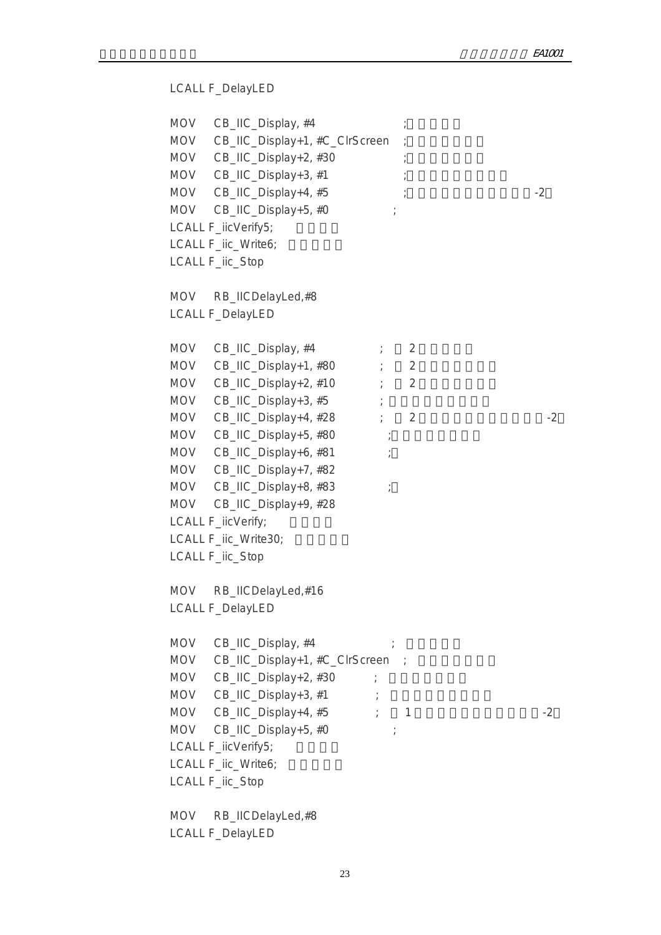```
 LCALL F_DelayLED
MOV CB_IIC_Display, #4
MOV CB_IIC_Display+1, #C_ClrScreen
MOV CB_IIC_Display+2, #30 ;
MOV CB_IIC_Display+3, #1 ;
MOV CB\_HC\_Display+4, #5 ;
MOV CB_IIC_Display+5, #0 ;
LCALL F_iicVerify5;
LCALL F_iic_Write6;
LCALL F_iic_Stop
 MOV RB_IICDelayLed,#8 
 LCALL F_DelayLED
MOV CB_IIC_Display, #4 \qquad \qquad ; \qquad 2MOV CB_IIC_Display+1, #80 ; 2
MOV CB_IIC_Display+2, #10 ; 2
MOV CB_IIC_Display+3, #5 ;
MOV CB\_HC\_Display+4, #28 ? 2
MOV CB_IIC_Display+5, #80 ;
MOV CB_IIC_Display+6, #81 ;
 MOV CB_IIC_Display+7, #82
MOV CB_IIC_Display+8, #83 ;
 MOV CB_IIC_Display+9, #28
LCALL F_iicVerify;
LCALL F_iic_Write30;
 LCALL F_iic_Stop
MOV RB_IICDelayLed,#16
 LCALL F_DelayLED
MOV CB<sub>IIC</sub> Display, #4MOV CB_IIC_Display+1, #C_ClrScreen ;
MOV CB_IIC_Display+2, #30 ;
MOV CB_IIC_Display+3, #1 ;
MOV CB_IIC_Display+4, #5 ; 1 \qquad -2
MOV CB_IIC_Display+5, #0 ;
LCALL F_iicVerify5;
LCALL F_iic_Write6;
 LCALL F_iic_Stop
 MOV RB_IICDelayLed,#8 
 LCALL F_DelayLED
```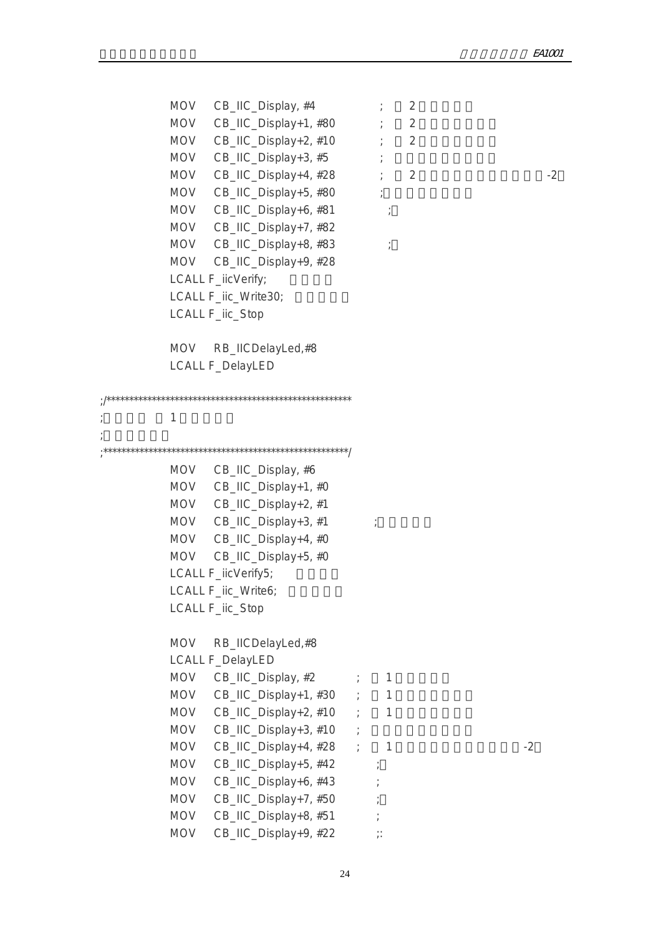$MOV$  CB\_IIC\_Display, #4  $\qquad \qquad ;$  2 MOV  $CB\_HC\_Display+1, #80$  ; 2 MOV  $CB\_HC\_Display+2, #10$  ; 2  $MOV$  CB\_IIC\_Display+3, #5  $\qquad$ MOV  $CB\_HC\_Display+4$ ,  $#28$   $?$  2  $MOV$  CB\_IIC\_Display+5, #80 ; MOV CB\_IIC\_Display+6, #81 ; MOV CB\_IIC\_Display+7, #82 MOV CB\_IIC\_Display+8, #83 ; MOV CB\_IIC\_Display+9, #28 LCALL F\_iicVerify; LCALL F\_iic\_Write30; LCALL F\_iic\_Stop MOV RB\_IICDelayLed,#8 LCALL F\_DelayLED ;/\*\*\*\*\*\*\*\*\*\*\*\*\*\*\*\*\*\*\*\*\*\*\*\*\*\*\*\*\*\*\*\*\*\*\*\*\*\*\*\*\*\*\*\*\*\*\*\*\*\*\*\*\*\* ; the  $1$ ;<br>CHP = CHP = CHP = CHP = CHP = CHP = CHP = CHP = CHP = CHP = CHP = CHP = CHP = CHP = CHP = CHP = CHP = CHP = C ;\*\*\*\*\*\*\*\*\*\*\*\*\*\*\*\*\*\*\*\*\*\*\*\*\*\*\*\*\*\*\*\*\*\*\*\*\*\*\*\*\*\*\*\*\*\*\*\*\*\*\*\*\*\*/ MOV CB\_IIC\_Display, #6 MOV CB\_IIC\_Display+1, #0 MOV CB\_IIC\_Display+2, #1  $MOV$  CB\_IIC\_Display+3, #1 ; MOV CB\_IIC\_Display+4, #0 MOV CB\_IIC\_Display+5, #0 LCALL F\_iicVerify5; LCALL F\_iic\_Write6; LCALL F\_iic\_Stop MOV RB\_IICDelayLed,#8 LCALL F\_DelayLED  $MOV$  CB\_IIC\_Display, #2  $\qquad$  ; 1 MOV  $CB\_HC\_Display+1, #30$  ; 1 MOV  $CB$  IIC Display+2, #10 ; 1 MOV  $CB\_HC\_Display+3, #10$  ; MOV  $CB\_HC\_Display+4, #28$  ; 1  $-2$ MOV CB\_IIC\_Display+5, #42 ; MOV CB\_IIC\_Display+6, #43 ; MOV CB\_IIC\_Display+7, #50 ; MOV CB\_IIC\_Display+8, #51 MOV CB IIC Display+9,  $#22$  ;: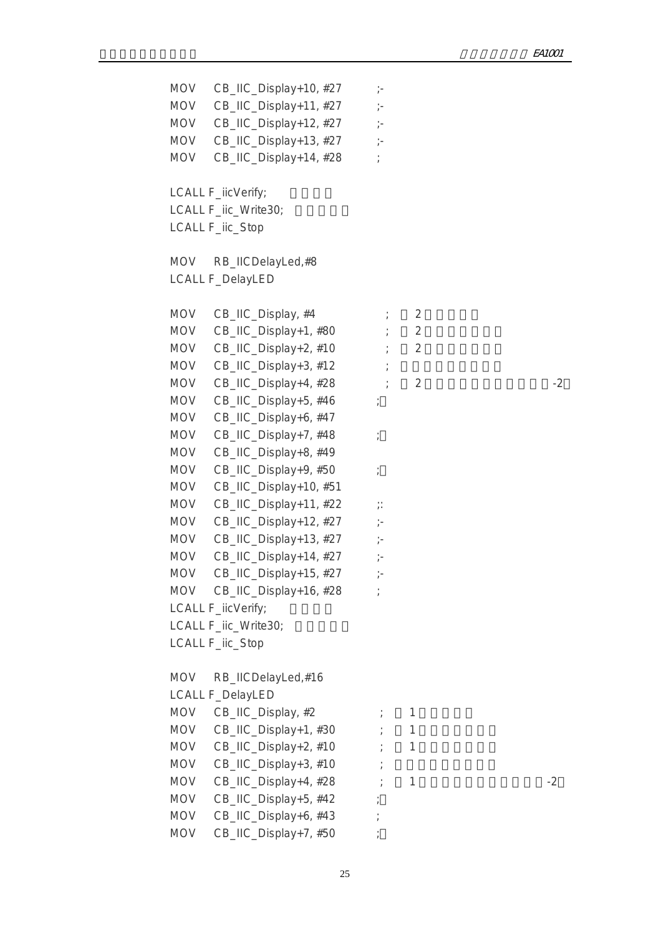MOV CB\_IIC\_Display+10, #27 ;-MOV CB\_IIC\_Display+11, #27 ;-MOV CB\_IIC\_Display+12, #27 ;-MOV CB\_IIC\_Display+13, #27 ;-MOV CB\_IIC\_Display+14, #28 ; LCALL F\_iicVerify; LCALL F\_iic\_Write30; LCALL F\_iic\_Stop MOV RB\_IICDelayLed,#8 LCALL F\_DelayLED MOV CB IIC Display,  $#4$   $\qquad \qquad ; \qquad 2$ MOV  $CB\_HC\_Display+1, #80$  ; 2 MOV CB\_IIC\_Display+2,  $#10$   $\qquad \qquad ; \qquad 2$ MOV  $CB$ <sub>IIC</sub> Display+3, #12  $\vdots$ MOV CB\_IIC\_Display+4,  $#28$   $2$   $2$ MOV CB\_IIC\_Display+5, #46 ; MOV CB\_IIC\_Display+6, #47 MOV CB\_IIC\_Display+7, #48 ; MOV CB\_IIC\_Display+8, #49 MOV CB\_IIC\_Display+9, #50 ; MOV CB\_IIC\_Display+10, #51 MOV CB\_IIC\_Display+11, #22 ;: MOV CB\_IIC\_Display+12, #27 ;-MOV CB\_IIC\_Display+13,  $#27$  ;-MOV CB\_IIC\_Display+14, #27 ;-MOV CB\_IIC\_Display+15, #27 ;-MOV CB IIC Display+16,  $#28$  ; LCALL F\_iicVerify; LCALL F\_iic\_Write30; LCALL F\_iic\_Stop MOV RB\_IICDelayLed,#16 LCALL F\_DelayLED  $MOV$  CB\_IIC\_Display, #2  $\qquad \qquad ; \qquad 1$ MOV  $CB\_HC\_Display+1, #30$  ; 1 MOV  $CB\_HC\_Display+2, #10$  ; 1 MOV  $CB\_HC\_Display+3, #10$ MOV CB\_IIC\_Display+4,  $#28$   $\qquad \qquad$  1  $\qquad \qquad$  -2 MOV CB\_IIC\_Display+5, #42 ; MOV CB\_IIC\_Display+6, #43 ; MOV CB\_IIC\_Display+7, #50 ;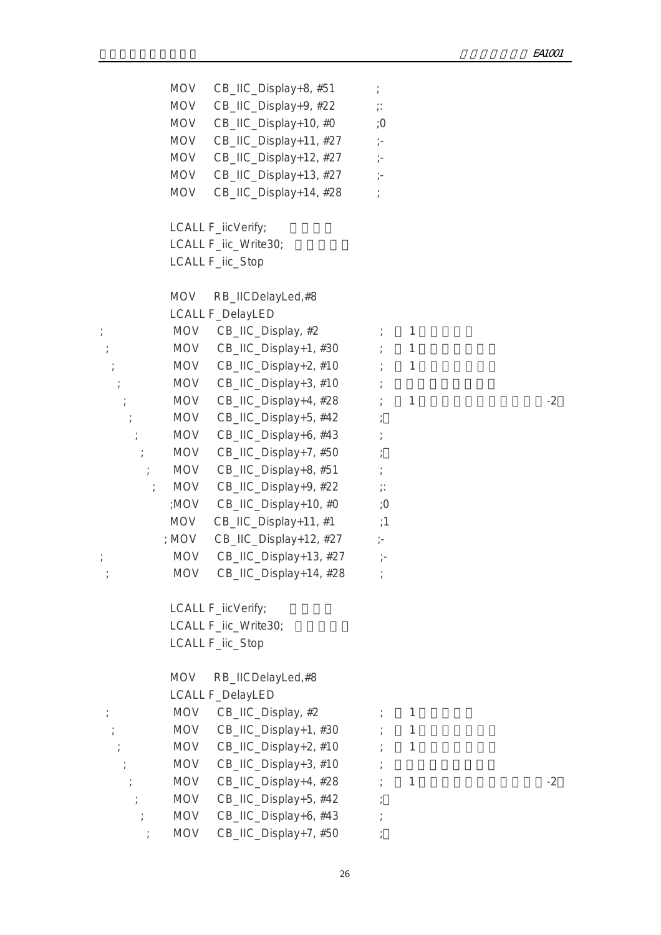MOV CB\_IIC\_Display+8, #51 ; MOV CB\_IIC\_Display+9, #22 ;: MOV CB\_IIC\_Display+10, #0 ;0 MOV CB\_IIC\_Display+11, #27 ;-MOV CB\_IIC\_Display+12, #27 ;-MOV CB\_IIC\_Display+13, #27 ;-MOV CB\_IIC\_Display+14, #28 ; LCALL F\_iicVerify; LCALL F\_iic\_Write30; LCALL F\_iic\_Stop MOV RB\_IICDelayLed,#8 LCALL F\_DelayLED ; MOV CB\_IIC\_Display, #2  $\qquad \qquad ; \qquad 1$  $;\hspace{1cm}$  MOV CB\_IIC\_Display+1, #30  $\hspace{1cm}$  ; 1  $\mathcal{L}$ ; MOV CB\_IIC\_Display+2, #10  $\mathcal{L}$  1  $;\qquad \qquad \text{MOV} \quad \text{CB}\ \text{HC} \quad \text{Display+3, #10} \qquad \qquad ;$ ; MOV  $CB\_HC\_Display+4$ ,  $\#28$  ; 1  $-2$ MOV CB\_IIC\_Display+5, #42 ;  $\mathcal{L}$  MOV CB\_IIC\_Display+6, #43  $\mathcal{L}$ ; MOV CB\_IIC\_Display+7, #50 ; ; MOV  $CB$ \_IIC\_Display+8, #51 ; ; MOV  $CB\_HC\_Display+9, #22$  ;: ;MOV  $CB$  IIC Display+10, #0  $:0$ MOV CB\_IIC\_Display+11, #1 ;1 ; MOV CB\_IIC\_Display+12, #27 ;- ; MOV CB\_IIC\_Display+13, #27 ;- ; MOV CB\_IIC\_Display+14, #28 ; LCALL F\_iicVerify; LCALL F\_iic\_Write30; LCALL F\_iic\_Stop MOV RB\_IICDelayLed,#8 LCALL F\_DelayLED  $;\qquad \qquad \text{MOV} \quad \text{CB} \quad \text{IIC} \quad \text{Display}, \#2 \qquad ; \qquad \text{1}$  $MOV$  CB\_IIC\_Display+1, #30  $\longrightarrow$  1  $;\qquad \qquad \text{MOV} \quad \text{CB\_IIC\_Display+2, #10} \qquad ; \qquad \text{1}$  $MOV$  CB\_IIC\_Display+3, #10 ; ; MOV  $CB\_HC\_Display+4$ , #28 ; 1 ; MOV CB\_IIC\_Display+5, #42 ; ; MOV CB\_IIC\_Display+6, #43 ; ; MOV CB IIC Display+7,  $#50$  ;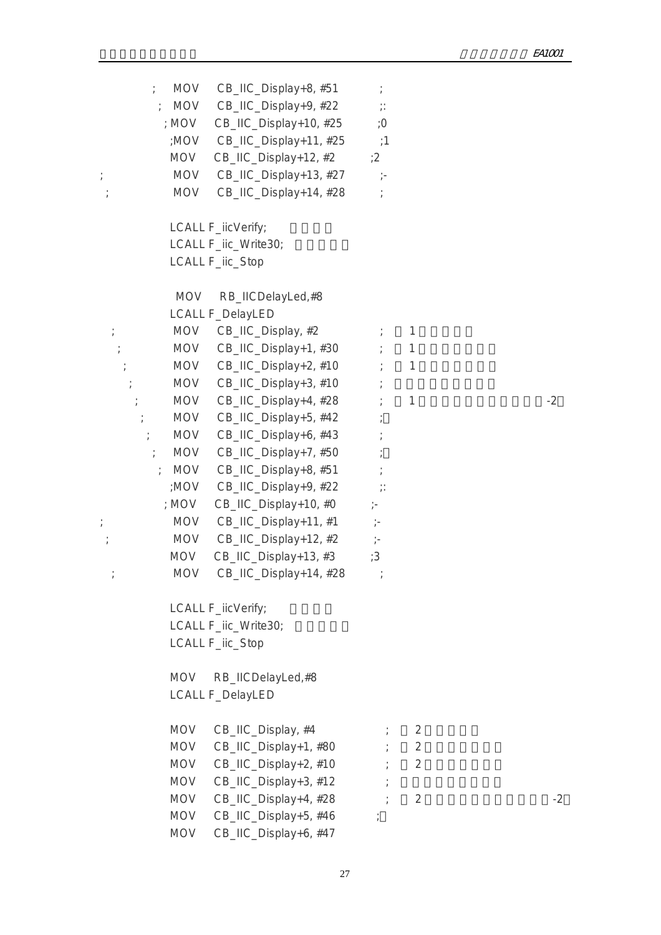| $\frac{1}{l}$    | MOV        | CB_IIC_Display+8, #51      |                          |                |      |
|------------------|------------|----------------------------|--------------------------|----------------|------|
| $\frac{1}{l}$    | <b>MOV</b> | CB_IIC_Display+9, #22      | $\dddot{\hspace{0.1cm}}$ |                |      |
|                  | ; MOV      | CB_IIC_Display+10, #25     | ;Ο                       |                |      |
|                  | ;MOV       | CB_IIC_Display+11, #25     | :1                       |                |      |
|                  | <b>MOV</b> | CB_IIC_Display+12, #2      | :2                       |                |      |
| $\cdot$          | <b>MOV</b> | CB_IIC_Display+13, #27     | $\gamma-$                |                |      |
|                  | <b>MOV</b> | CB_IIC_Display+14, #28     |                          |                |      |
|                  |            | LCALL F_iicVerify;         |                          |                |      |
|                  |            | LCALL F_iic_Write30;       |                          |                |      |
|                  |            | LCALL F_iic_Stop           |                          |                |      |
|                  | MOV        | RB_IICDelayLed,#8          |                          |                |      |
|                  |            | <b>LCALL F_DelayLED</b>    |                          |                |      |
|                  | <b>MOV</b> | CB_IIC_Display, #2         |                          | 1              |      |
| $\frac{1}{l}$    | MOV        | CB_IIC_Display+1, #30      |                          | 1              |      |
|                  | <b>MOV</b> | CB_IIC_Display+2, #10      |                          | $\mathbf{1}$   |      |
|                  | MOV        | CB_IIC_Display+3, #10      |                          |                |      |
|                  | MOV        | CB_IIC_Display+4, #28      |                          | $\mathbf{1}$   | $-2$ |
| $\frac{1}{l}$    | <b>MOV</b> | CB_IIC_Display+5, #42      |                          |                |      |
|                  | <b>MOV</b> | CB_IIC_Display+6, #43      |                          |                |      |
| $\ddot{ }$       | <b>MOV</b> | CB_IIC_Display+7, #50      |                          |                |      |
|                  | MOV        | CB_IIC_Display+8, #51      |                          |                |      |
|                  | ;MOV       | CB_IIC_Display+9, #22      | $\dddot{\cdot}$          |                |      |
|                  | ; $MOV$    | CB_IIC_Display+10, #0      | $\frac{1}{\ell}$         |                |      |
| $\ddot{ }$       | <b>MOV</b> | CB_IIC_Display+11, #1      | $\mathcal{I}^{\perp}$    |                |      |
| $\frac{1}{\ell}$ | <b>MOV</b> | CB_IIC_Display+12, #2      | $\dot{\mathcal{E}}$      |                |      |
|                  | MOV        | CB_IIC_Display+13, #3      | :3                       |                |      |
|                  |            | MOV CB_IIC_Display+14, #28 |                          |                |      |
|                  |            | LCALL F_iicVerify;         |                          |                |      |
|                  |            | LCALL F_iic_Write30;       |                          |                |      |
|                  |            | LCALL F_iic_Stop           |                          |                |      |
|                  | <b>MOV</b> | RB_IICDelayLed,#8          |                          |                |      |
|                  |            | <b>LCALL F_DelayLED</b>    |                          |                |      |
|                  | MOV        | CB_IIC_Display, #4         |                          | 2              |      |
|                  | <b>MOV</b> | CB_IIC_Display+1, #80      |                          | $\overline{2}$ |      |
|                  | <b>MOV</b> | CB_IIC_Display+2, #10      |                          | $\overline{2}$ |      |
|                  | MOV        | CB_IIC_Display+3, #12      |                          |                |      |
|                  | <b>MOV</b> | CB_IIC_Display+4, #28      |                          | 2              | $-2$ |
|                  | <b>MOV</b> | CB_IIC_Display+5, #46      |                          |                |      |
|                  | <b>MOV</b> | CB_IIC_Display+6, #47      |                          |                |      |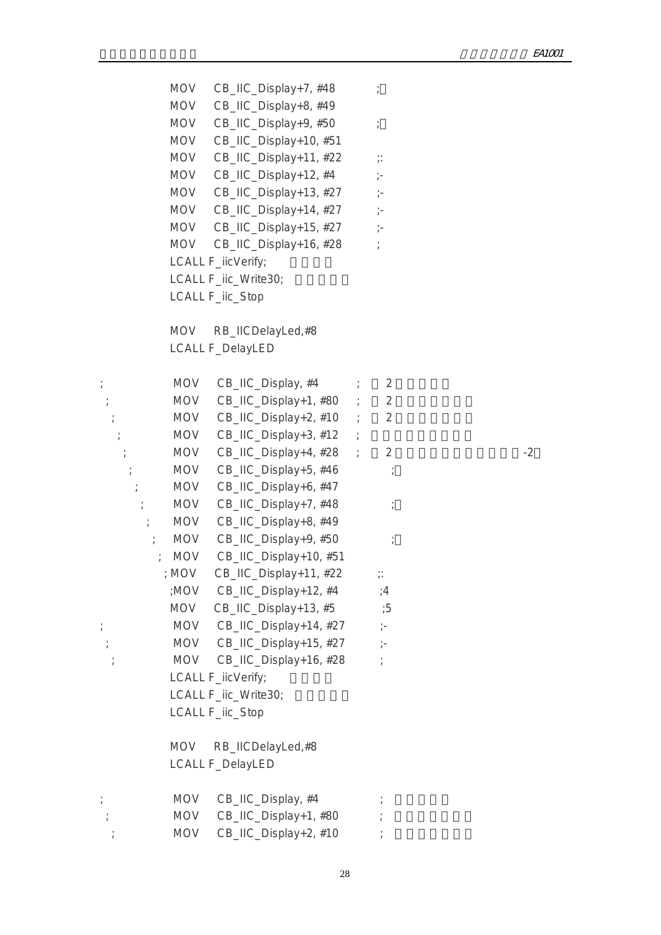|                  |            | MOV CB_IIC_Display+7, #48  | $\cdot$                  |      |
|------------------|------------|----------------------------|--------------------------|------|
|                  | <b>MOV</b> | CB_IIC_Display+8, #49      |                          |      |
|                  | MOV        | CB_IIC_Display+9, #50      | $\frac{\bullet}{I}$      |      |
|                  | <b>MOV</b> | CB_IIC_Display+10, #51     |                          |      |
|                  | <b>MOV</b> | CB_IIC_Display+11, #22     | $\dddot{\hspace{0.1cm}}$ |      |
|                  | <b>MOV</b> | CB_IIC_Display+12, #4      | $\frac{1}{l}$ –          |      |
|                  | MOV        | CB_IIC_Display+13, #27     | $\frac{1}{l}$            |      |
|                  | MOV        | CB_IIC_Display+14, #27     | $\frac{1}{l}$            |      |
|                  | MOV        | CB_IIC_Display+15, #27     | $\frac{1}{l}$            |      |
|                  |            | MOV CB_IIC_Display+16, #28 |                          |      |
|                  |            | LCALL F_iicVerify;         |                          |      |
|                  |            | LCALL F_iic_Write30;       |                          |      |
|                  |            | LCALL F_iic_Stop           |                          |      |
|                  | <b>MOV</b> | RB_IICDelayLed,#8          |                          |      |
|                  |            | <b>LCALL F_DelayLED</b>    |                          |      |
|                  |            |                            |                          |      |
| $\rlap{.}^\ast$  | MOV        | CB_IIC_Display, #4         | $\overline{2}$           |      |
| $\frac{1}{\ell}$ | MOV        | CB_IIC_Display+1, #80 ;    | $\overline{2}$           |      |
|                  | MOV        | $CB$ _IIC_Display+2, #10 ; | $\overline{2}$           |      |
|                  | MOV        | $CB$ _IIC_Display+3, #12 ; |                          |      |
| $\frac{1}{l}$    | <b>MOV</b> | CB_IIC_Display+4, #28 ;    | $\overline{2}$           | $-2$ |
|                  | MOV        | CB_IIC_Display+5, #46      |                          |      |
| $\frac{1}{l}$    | MOV        | CB_IIC_Display+6, #47      |                          |      |
| $\frac{1}{l}$    | <b>MOV</b> | CB_IIC_Display+7, #48      |                          |      |
| $\frac{1}{l}$    | <b>MOV</b> | CB_IIC_Display+8, #49      |                          |      |
| $\frac{1}{l}$    | <b>MOV</b> | CB_IIC_Display+9, #50      |                          |      |
|                  | <b>MOV</b> | CB_IIC_Display+10, #51     |                          |      |
|                  | ; MOV      | CB_IIC_Display+11, #22     | $\mathbb{R}$             |      |
|                  | ;MOV       | CB_IIC_Display+12, #4      | ;4                       |      |
|                  |            | MOV CB_IIC_Display+13, #5  | :5                       |      |
|                  |            | MOV CB_IIC_Display+14, #27 | $\frac{1}{\epsilon}$     |      |
|                  |            | MOV CB_IIC_Display+15, #27 | $\frac{1}{l}$            |      |
|                  | <b>MOV</b> | CB_IIC_Display+16, #28     |                          |      |
|                  |            | LCALL F_iicVerify;         |                          |      |
|                  |            | LCALL F_iic_Write30;       |                          |      |
|                  |            | LCALL F_iic_Stop           |                          |      |
|                  |            |                            |                          |      |
|                  | <b>MOV</b> | RB_IICDelayLed,#8          |                          |      |
|                  |            | <b>LCALL F_DelayLED</b>    |                          |      |
|                  | <b>MOV</b> | CB_IIC_Display, #4         |                          |      |
|                  | <b>MOV</b> | CB_IIC_Display+1, #80      |                          |      |
|                  | MOV        | CB_IIC_Display+2, #10      |                          |      |
|                  |            |                            |                          |      |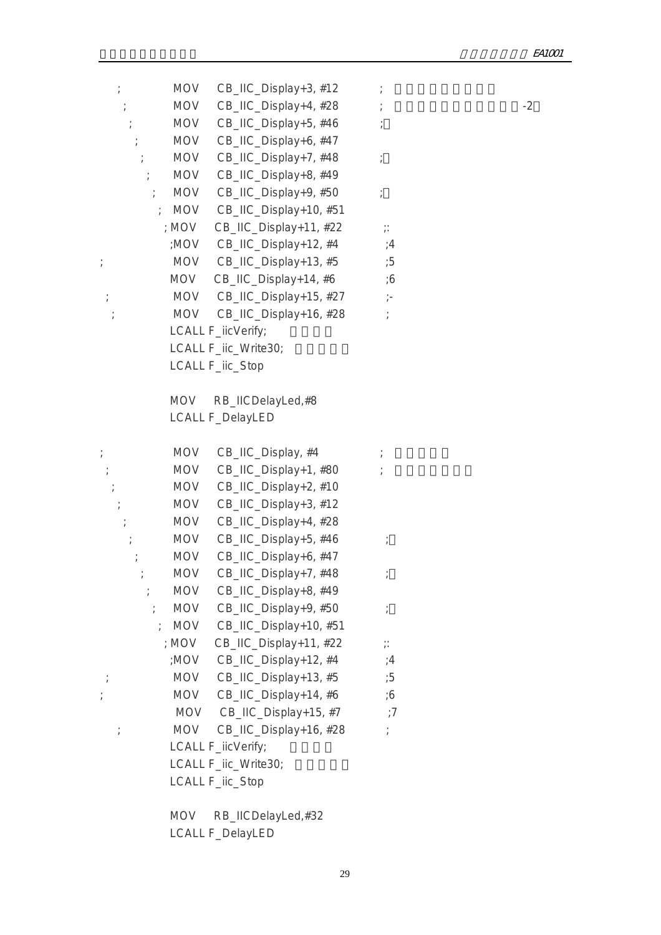|               | <b>MOV</b> | CB_IIC_Display+3, #12      |                  |      |
|---------------|------------|----------------------------|------------------|------|
|               | <b>MOV</b> | CB_IIC_Display+4, #28      |                  | $-2$ |
|               | MOV        | CB_IIC_Display+5, #46      |                  |      |
|               | MOV        | CB_IIC_Display+6, #47      |                  |      |
|               | <b>MOV</b> | CB_IIC_Display+7, #48      |                  |      |
|               | MOV        | CB_IIC_Display+8, #49      |                  |      |
| $\frac{1}{k}$ | MOV        | CB_IIC_Display+9, #50      |                  |      |
|               | <b>MOV</b> | CB_IIC_Display+10, #51     |                  |      |
|               | ; MOV      | CB_IIC_Display+11, #22     | $\vdots$         |      |
|               |            | :MOV CB_IIC_Display+12, #4 | ;4               |      |
|               |            | MOV CB_IIC_Display+13, #5  | ;5               |      |
|               | <b>MOV</b> | CB_IIC_Display+14, #6      | $\cdot 6$        |      |
| $\frac{1}{I}$ |            | MOV CB_IIC_Display+15, #27 | $\dot{\gamma}$ – |      |
|               | <b>MOV</b> | CB_IIC_Display+16, #28     |                  |      |
|               |            | LCALL F_iicVerify;         |                  |      |
|               |            | LCALL F_iic_Write30;       |                  |      |
|               |            | LCALL F_iic_Stop           |                  |      |
|               |            |                            |                  |      |
|               | <b>MOV</b> | RB_IICDelayLed,#8          |                  |      |
|               |            | <b>LCALL F_DelayLED</b>    |                  |      |
|               |            |                            |                  |      |
|               | <b>MOV</b> | CB_IIC_Display, #4         |                  |      |
|               | MOV        | CB_IIC_Display+1, #80      |                  |      |
|               | MOV        | CB_IIC_Display+2, #10      |                  |      |
|               | <b>MOV</b> | CB_IIC_Display+3, #12      |                  |      |
|               | MOV        | CB_IIC_Display+4, #28      |                  |      |
|               | <b>MOV</b> | CB_IIC_Display+5, #46      |                  |      |
|               | <b>MOV</b> | CB_IIC_Display+6, #47      |                  |      |
|               | <b>MOV</b> | CB_IIC_Display+7, #48      |                  |      |
|               | <b>MOV</b> | CB_IIC_Display+8, #49      |                  |      |
|               | MOV        | CB_IIC_Display+9, #50      |                  |      |
|               | <b>MOV</b> | CB_IIC_Display+10, #51     |                  |      |
|               | ; MOV      | CB_IIC_Display+11, #22     | $\vdots$         |      |
|               | ;MOV       | CB_IIC_Display+12, #4      | ;4               |      |
|               | MOV        | CB_IIC_Display+13, #5      | ;5               |      |
|               | <b>MOV</b> | CB_IIC_Display+14, #6      | $\cdot 6$        |      |
|               | <b>MOV</b> | CB_IIC_Display+15, #7      | $\cdot$ 7        |      |
|               | <b>MOV</b> | CB_IIC_Display+16, #28     |                  |      |
|               |            | LCALL F_iicVerify;         |                  |      |
|               |            | LCALL F_iic_Write30;       |                  |      |
|               |            | LCALL F_iic_Stop           |                  |      |
|               |            |                            |                  |      |

 MOV RB\_IICDelayLed,#32 LCALL F\_DelayLED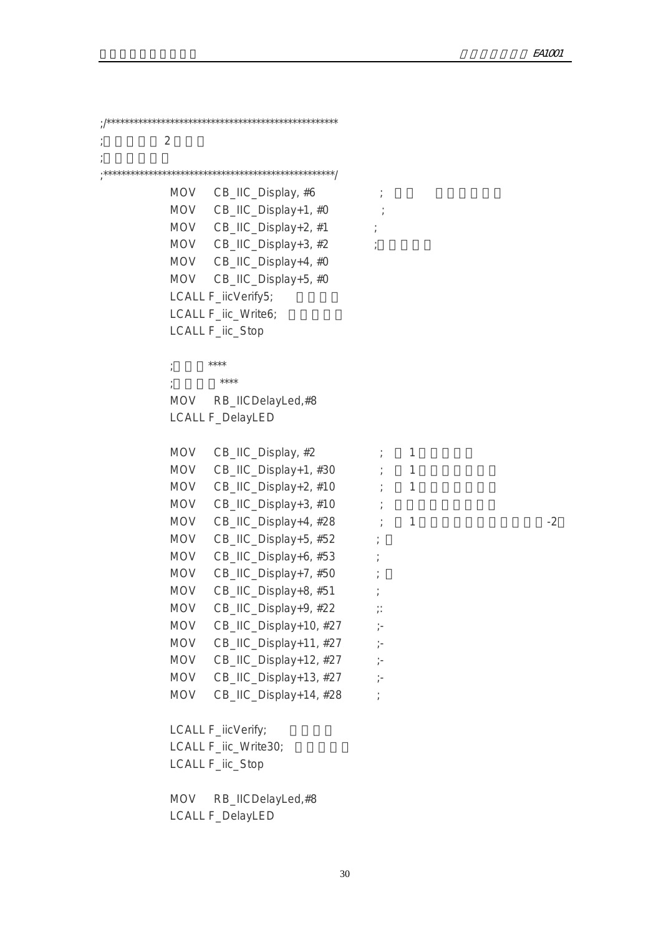;/\*\*\*\*\*\*\*\*\*\*\*\*\*\*\*\*\*\*\*\*\*\*\*\*\*\*\*\*\*\*\*\*\*\*\*\*\*\*\*\*\*\*\*\*\*\*\*\*\*\*\* ;  $2 \t 2$  $\frac{1}{k}$ ;\*\*\*\*\*\*\*\*\*\*\*\*\*\*\*\*\*\*\*\*\*\*\*\*\*\*\*\*\*\*\*\*\*\*\*\*\*\*\*\*\*\*\*\*\*\*\*\*\*\*\*/  $MOV$  CB\_IIC\_Display, #6  $;$ MOV CB\_IIC\_Display+1, #0 ; MOV  $CB$ \_IIC\_Display+2, #1 ; MOV  $CB\_HC\_Display+3, #2$ MOV CB\_IIC\_Display+4, #0 MOV CB\_IIC\_Display+5, #0 LCALL F\_iicVerify5; LCALL F\_iic\_Write6; LCALL F\_iic\_Stop ;<br>, \*\*\*\* ;房间号:\*\*\*\* MOV RB\_IICDelayLed,#8 LCALL F\_DelayLED  $MOV$   $CB$ \_IIC\_Display, #2  $\hspace{1.6cm}$  ; 1 MOV CB\_IIC\_Display+1, #30 ; 1 MOV  $CB\_HC\_Display+2, #10$  ; 1  $MOV$  CB\_IIC\_Display+3, #10 ; MOV  $CB\_HC\_Display+4$ ,  $#28$  ; 1  $-2$ MOV CB\_IIC\_Display+5, #52 ; MOV CB\_IIC\_Display+6, #53 ; MOV CB\_IIC\_Display+7, #50 ; MOV CB\_IIC\_Display+8, #51 ; MOV CB\_IIC\_Display+9, #22 ;: MOV CB\_IIC\_Display+10, #27 ;-MOV CB\_IIC\_Display+11, #27 ;-MOV  $CB_$ IIC\_Display+12, #27 ;-MOV CB\_IIC\_Display+13, #27 ;-MOV CB\_IIC\_Display+14, #28 ; LCALL F\_iicVerify; LCALL F\_iic\_Write30; LCALL F\_iic\_Stop MOV RB\_IICDelayLed,#8 LCALL F\_DelayLED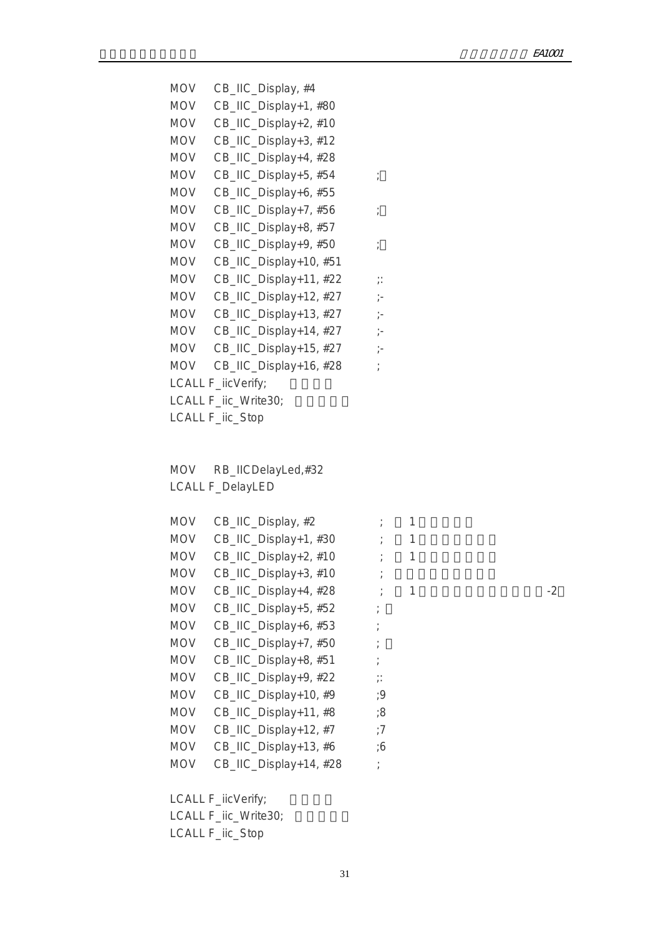MOV CB\_IIC\_Display, #4 MOV CB\_IIC\_Display+1, #80 MOV CB\_IIC\_Display+2, #10 MOV CB\_IIC\_Display+3, #12 MOV CB\_IIC\_Display+4, #28 MOV CB\_IIC\_Display+5, #54 ; MOV CB\_IIC\_Display+6, #55 MOV CB\_IIC\_Display+7, #56 ; MOV CB\_IIC\_Display+8, #57 MOV CB\_IIC\_Display+9, #50 ; MOV CB\_IIC\_Display+10, #51 MOV CB\_IIC\_Display+11, #22 ;: MOV CB\_IIC\_Display+12, #27 ;-MOV CB\_IIC\_Display+13, #27 ;-MOV CB\_IIC\_Display+14, #27 ;-MOV CB\_IIC\_Display+15, #27 ;-MOV CB\_IIC\_Display+16, #28 ; LCALL F\_iicVerify; LCALL F\_iic\_Write30; LCALL F\_iic\_Stop

 MOV RB\_IICDelayLed,#32 LCALL F\_DelayLED

| <b>MOV</b> | CB_IIC_Display, #2     |                                    |   |      |
|------------|------------------------|------------------------------------|---|------|
| <b>MOV</b> | CB_IIC_Display+1, #30  |                                    |   |      |
| <b>MOV</b> | CB_IIC_Display+2, #10  |                                    | 1 |      |
| <b>MOV</b> | CB_IIC_Display+3, #10  |                                    |   |      |
| <b>MOV</b> | CB_IIC_Display+4, #28  |                                    |   | $-2$ |
| <b>MOV</b> | CB_IIC_Display+5, #52  |                                    |   |      |
| <b>MOV</b> | CB_IIC_Display+6, #53  |                                    |   |      |
| <b>MOV</b> | CB_IIC_Display+7, #50  |                                    |   |      |
| <b>MOV</b> | CB_IIC_Display+8, #51  |                                    |   |      |
| <b>MOV</b> | CB_IIC_Display+9, #22  | $\ddot{\phantom{0}}$<br>$\sqrt{1}$ |   |      |
| <b>MOV</b> | CB_IIC_Display+10, #9  | ;9                                 |   |      |
| <b>MOV</b> | CB_IIC_Display+11, #8  | ;8                                 |   |      |
| <b>MOV</b> | CB_IIC_Display+12, #7  | :7                                 |   |      |
| <b>MOV</b> | CB_IIC_Display+13, #6  | 6;                                 |   |      |
| <b>MOV</b> | CB_IIC_Display+14, #28 | $\prime$                           |   |      |

LCALL F\_iicVerify;

LCALL F\_iic\_Write30;

LCALL F\_iic\_Stop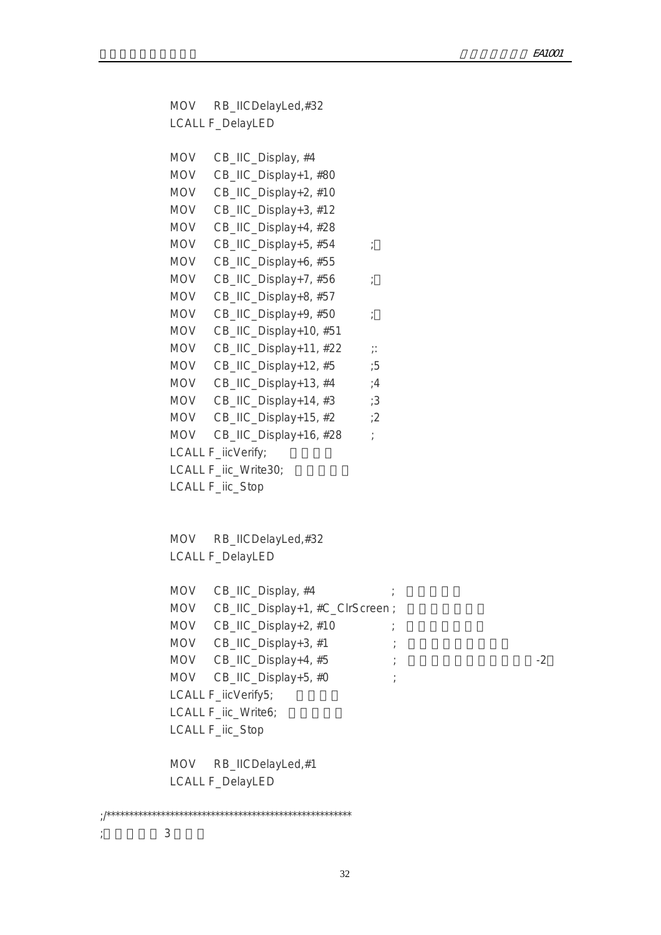```
 MOV RB_IICDelayLed,#32 
           LCALL F_DelayLED
           MOV CB_IIC_Display, #4 
           MOV CB_IIC_Display+1, #80 
           MOV CB_IIC_Display+2, #10 
           MOV CB_IIC_Display+3, #12 
           MOV CB_IIC_Display+4, #28 
          MOV CB_IIC_Display+5, #54 ;
           MOV CB_IIC_Display+6, #55
          MOV CB_IIC_Display+7, #56 ;
           MOV CB_IIC_Display+8, #57
          MOV CB_IIC_Display+9, #50 ;
           MOV CB_IIC_Display+10, #51 
          MOV CB_IIC_Display+11, #22 ;:
          MOV CB_IIC_Display+12, #5 ;5
          MOV CB_IIC_Display+13, #4 \qquad ;4
          MOV CB_IIC_Display+14, #3 ;3
          MOV CB_IIC_Display+15, #2 ;2
          MOV CB_IIC_Display+16, #28 ;
          LCALL F_iicVerify;
          LCALL F_iic_Write30;
           LCALL F_iic_Stop
          MOV RB_IICDelayLed,#32
           LCALL F_DelayLED
          MOV CB IIC Display, #4MOV CB_IIC_Display+1, #C_ClrScreen ;
          MOV CB_IIC_Display+2, #10 ;
          MOV CB_IIC_Display+3, #1 ;
          MOV CB<sub>-IIC</sub> Display+4, #5 ; \hspace{2cm} ;
          MOV CB_IIC_Display+5, #0 ;
          LCALL F_iicVerify5;
          LCALL F_iic_Write6;
           LCALL F_iic_Stop
           MOV RB_IICDelayLed,#1 
           LCALL F_DelayLED
;/****************************************************** 
; and 3
```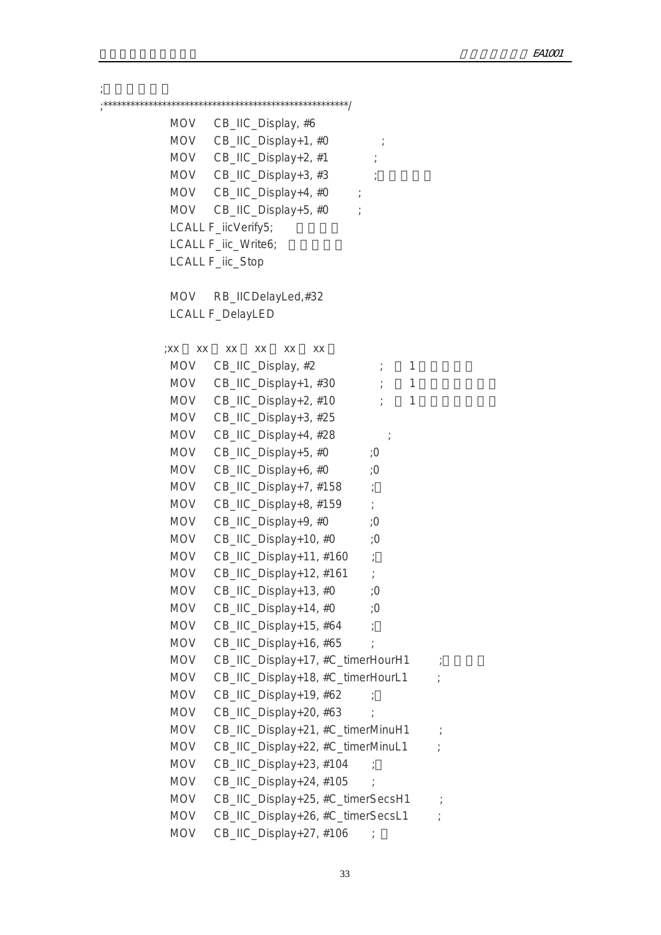;输入时间日期 ;\*\*\*\*\*\*\*\*\*\*\*\*\*\*\*\*\*\*\*\*\*\*\*\*\*\*\*\*\*\*\*\*\*\*\*\*\*\*\*\*\*\*\*\*\*\*\*\*\*\*\*\*\*\*/ MOV CB\_IIC\_Display, #6 MOV CB\_IIC\_Display+1, #0 MOV  $CB$ \_IIC\_Display+2, #1 ;  $MOV$  CB\_IIC\_Display+3, #3 ; MOV CB\_IIC\_Display+4, #0 MOV CB\_IIC\_Display+5, #0 ; LCALL F\_iicVerify5; LCALL F\_iic\_Write6; LCALL F\_iic\_Stop MOV RB\_IICDelayLed,#32 LCALL F\_DelayLED ;xx xx xx xx xx xx  $MOV$  CB\_IIC\_Display, #2  $\qquad \qquad ; \qquad 1$ MOV CB\_IIC\_Display+1,  $#30$   $\qquad$   $\qquad$  1 MOV  $CB\_HC\_Display+2, #10$  ; 1 MOV CB\_IIC\_Display+3, #25 MOV CB\_IIC\_Display+4, #28 ; MOV CB\_IIC\_Display+5, #0 ;0 MOV CB\_IIC\_Display+6, #0 ;0 MOV CB\_IIC\_Display+7, #158 ; MOV CB\_IIC\_Display+8, #159 ; MOV CB\_IIC\_Display+9, #0 ;0 MOV CB\_IIC\_Display+10, #0 ;0 MOV CB\_IIC\_Display+11, #160 ; MOV CB\_IIC\_Display+12, #161 ; MOV CB IIC Display+13,  $#0$  ;0 MOV CB\_IIC\_Display+14, #0 ;0 MOV CB\_IIC\_Display+15, #64 ; MOV CB\_IIC\_Display+16, #65 ; MOV CB\_IIC\_Display+17, #C\_timerHourH1 ; MOV CB\_IIC\_Display+18, #C\_timerHourL1 ; MOV CB\_IIC\_Display+19, #62 ; MOV CB\_IIC\_Display+20, #63 MOV CB\_IIC\_Display+21, #C\_timerMinuH1 ; MOV CB\_IIC\_Display+22, #C\_timerMinuL1 ; MOV CB\_IIC\_Display+23, #104 ; MOV CB\_IIC\_Display+24, #105 ; MOV CB\_IIC\_Display+25, #C\_timerSecsH1 MOV CB\_IIC\_Display+26, #C\_timerSecsL1 ; MOV CB\_IIC\_Display+27, #106 ;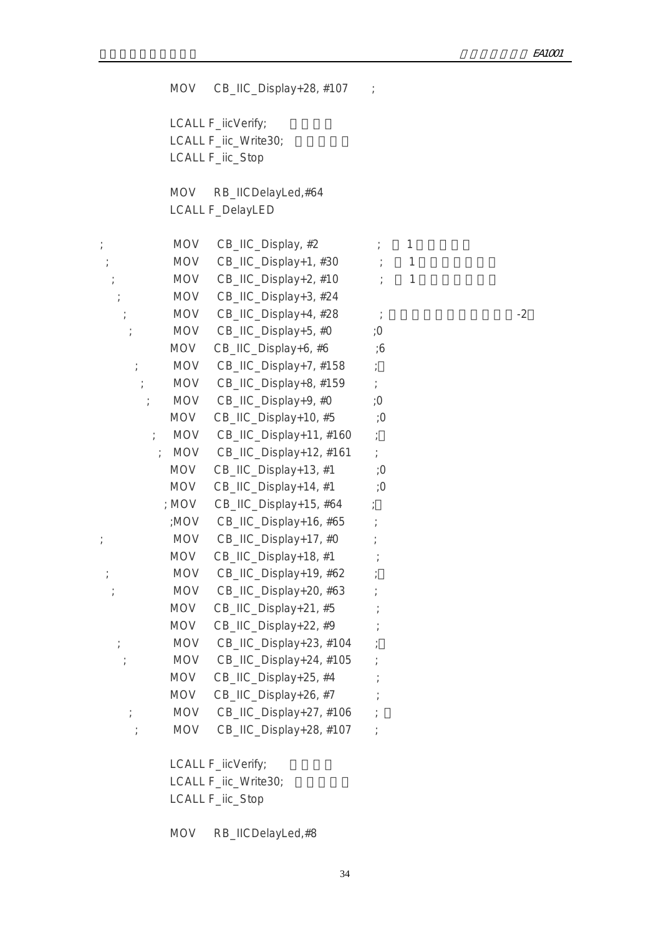MOV CB\_IIC\_Display+28, #107 ; LCALL F\_iicVerify; LCALL F\_iic\_Write30; LCALL F\_iic\_Stop MOV RB\_IICDelayLed,#64 LCALL F\_DelayLED ;  $MOV$   $CB$ \_IIC\_Display, #2  $\hspace{1cm}$  ; 1  $;\hspace{1cm}$  MOV CB\_IIC\_Display+1, #30  $\hspace{1cm}$  ; 1  $MOV$  CB\_IIC\_Display+2, #10  $\longrightarrow$  1 ; MOV CB\_IIC\_Display+3, #24 ; MOV CB\_IIC\_Display+4,  $\#28$  ;  $\qquad \qquad$  -2 MOV CB\_IIC\_Display+5, #0 ;0 MOV CB\_IIC\_Display+6, #6 ;6 ; MOV CB\_IIC\_Display+7, #158 ; ; MOV  $CB$ \_IIC\_Display+8, #159 ; ; MOV CB\_IIC\_Display+9, #0 ;0 MOV CB\_IIC\_Display+10, #5 ;0 ; MOV CB\_IIC\_Display+11, #160 ; ; MOV CB\_IIC\_Display+12, #161 ; MOV  $CB$ \_IIC\_Display+13, #1 ;0 MOV CB\_IIC\_Display+14, #1 ;0 ; MOV CB\_IIC\_Display+15, #64 ; ;MOV CB\_IIC\_Display+16, #65 ; ; MOV CB\_IIC\_Display+17, #0 ; MOV CB\_IIC\_Display+18, #1 ; ; MOV CB\_IIC\_Display+19, #62 ; ; MOV CB\_IIC\_Display+20, #63 ; MOV CB\_IIC\_Display+21, #5 ; MOV CB\_IIC\_Display+22, #9 ; ; MOV CB\_IIC\_Display+23, #104 ; ; MOV CB\_IIC\_Display+24, #105 ; MOV CB\_IIC\_Display+25, #4 ; MOV CB\_IIC\_Display+26, #7 ; ; MOV CB\_IIC\_Display+27, #106 ; ; MOV CB\_IIC\_Display+28, #107 ; LCALL F\_iicVerify; LCALL F\_iic\_Write30; LCALL F\_iic\_Stop

MOV RB\_IICDelayLed,#8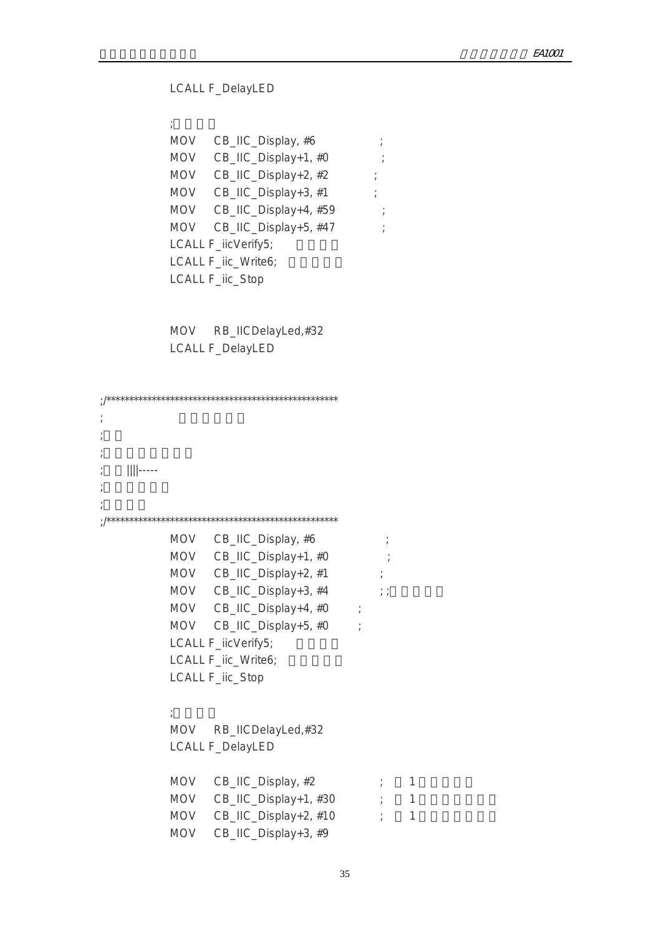LCALL F\_DelayLED

 $\mathcal{R}$  ; and  $\mathcal{R}$ MOV CB\_IIC\_Display, #6 ; MOV CB\_IIC\_Display+1, #0 ; MOV CB\_IIC\_Display+2, #2 ; MOV CB\_IIC\_Display+3, #1 ; MOV CB\_IIC\_Display+4, #59 ; MOV CB\_IIC\_Display+5, #47 ; LCALL F\_iicVerify5; LCALL F\_iic\_Write6; LCALL F\_iic\_Stop

> MOV RB\_IICDelayLed,#32 LCALL F\_DelayLED

| $\ $ $\ $ ----- |            |                             |            |   |  |
|-----------------|------------|-----------------------------|------------|---|--|
|                 |            |                             |            |   |  |
|                 |            |                             |            |   |  |
|                 |            |                             |            |   |  |
|                 |            | MOV CB_IIC_Display, #6      |            |   |  |
|                 |            | MOV CB_IIC_Display+1, #0    |            |   |  |
|                 |            | MOV CB_IIC_Display+2, #1    |            |   |  |
|                 |            | MOV CB_IIC_Display+3, #4 ;; |            |   |  |
|                 |            | MOV CB_IIC_Display+4, #0 ;  |            |   |  |
|                 |            | MOV CB_IIC_Display+5, #0 ;  |            |   |  |
|                 |            | LCALL F_iicVerify5;         |            |   |  |
|                 |            | LCALL F_iic_Write6;         |            |   |  |
|                 |            | LCALL F_iic_Stop            |            |   |  |
|                 |            |                             |            |   |  |
|                 |            |                             |            |   |  |
|                 |            | MOV RB_IICDelayLed,#32      |            |   |  |
|                 |            | <b>LCALL F_DelayLED</b>     |            |   |  |
|                 |            |                             |            |   |  |
|                 |            | MOV CB_IIC_Display, #2      | $\ddot{r}$ | 1 |  |
|                 |            | MOV CB_IIC_Display+1, #30 ; |            | 1 |  |
|                 |            | MOV CB_IIC_Display+2, #10   |            | 1 |  |
|                 | <b>MOV</b> | CB_IIC_Display+3, #9        |            |   |  |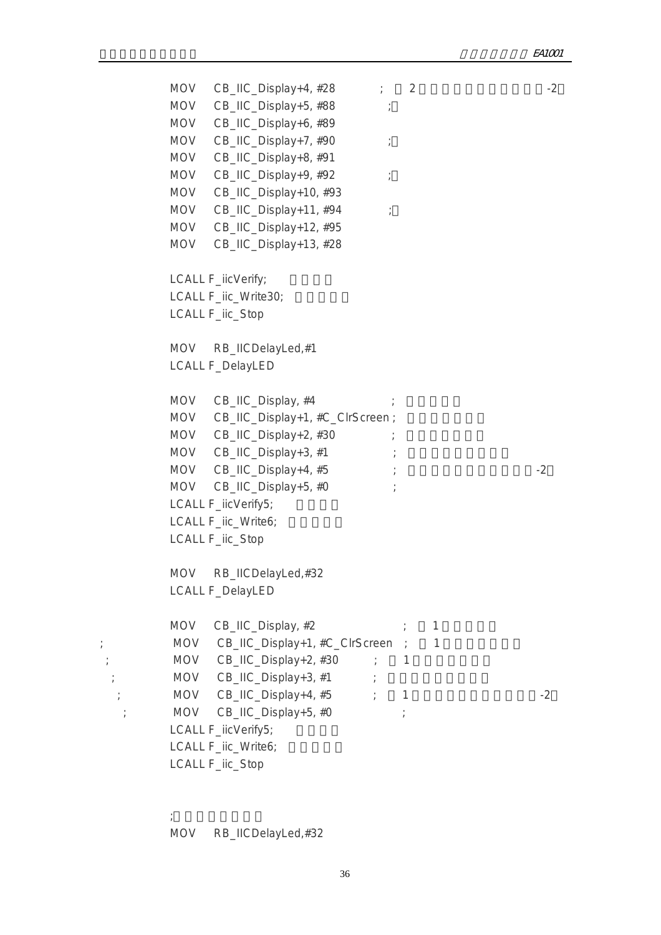MOV CB\_IIC\_Display+4,  $#28$   $?$  2 MOV CB\_IIC\_Display+5, #88 ; MOV CB\_IIC\_Display+6, #89 MOV CB\_IIC\_Display+7, #90 ; MOV CB\_IIC\_Display+8, #91 MOV CB\_IIC\_Display+9, #92 ; MOV CB\_IIC\_Display+10, #93 MOV CB\_IIC\_Display+11, #94 ; MOV CB\_IIC\_Display+12, #95 MOV CB\_IIC\_Display+13, #28 LCALL F\_iicVerify; LCALL F\_iic\_Write30; LCALL F\_iic\_Stop MOV RB\_IICDelayLed,#1 LCALL F\_DelayLED MOV CB\_IIC\_Display, #4 MOV CB\_IIC\_Display+1, #C\_ClrScreen ;  $MOV$  CB\_IIC\_Display+2, #30  $MOV$  CB\_IIC\_Display+3, #1 ; MOV CB\_IIC\_Display+4,  $#5$  ;  $\hspace{1.6cm}$  ; MOV CB\_IIC\_Display+5, #0 ; LCALL F\_iicVerify5; LCALL F\_iic\_Write6; LCALL F\_iic\_Stop MOV RB\_IICDelayLed,#32 LCALL F\_DelayLED  $MOV$  CB\_IIC\_Display,  $#2$  ; 1 ; MOV CB\_IIC\_Display+1, #C\_ClrScreen ; 1  $;\hspace{1cm}$  MOV CB\_IIC\_Display+2, #30  $\hspace{1cm}$  ; 1  $MOV$  CB\_IIC\_Display+3, #1 ; ; MOV CB\_IIC\_Display+4, #5  $\hspace{1cm}$  ; 1  $\hspace{1cm}$  -2 ; MOV CB\_IIC\_Display+5, #0 ; LCALL F\_iicVerify5; LCALL F\_iic\_Write6; LCALL F\_iic\_Stop

MOV RB\_IICDelayLed,#32

 $\mathcal{L}_{\mathcal{P}}$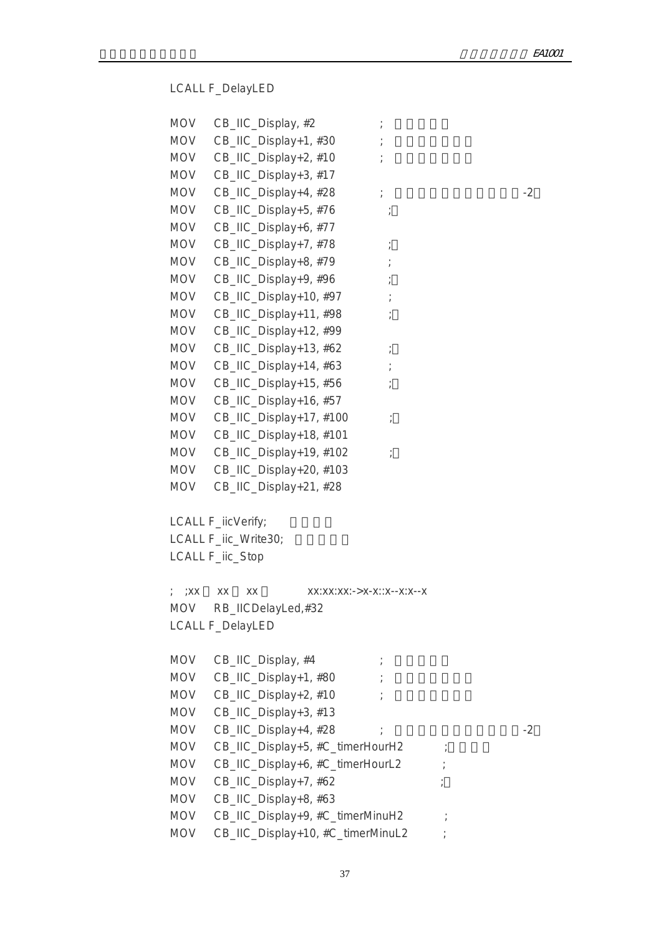LCALL F\_DelayLED

| <b>MOV</b> | CB_IIC_Display, #2                     |      |
|------------|----------------------------------------|------|
| <b>MOV</b> | CB_IIC_Display+1, #30                  |      |
| MOV        | CB_IIC_Display+2, #10                  |      |
| <b>MOV</b> | CB_IIC_Display+3, #17                  |      |
| <b>MOV</b> | CB_IIC_Display+4, #28<br>$\frac{1}{l}$ | $-2$ |
| <b>MOV</b> | CB_IIC_Display+5, #76                  |      |
| <b>MOV</b> | CB_IIC_Display+6, #77                  |      |
| <b>MOV</b> | CB_IIC_Display+7, #78                  |      |
| MOV        | CB_IIC_Display+8, #79                  |      |
| <b>MOV</b> | CB_IIC_Display+9, #96                  |      |
| <b>MOV</b> | CB_IIC_Display+10, #97                 |      |
| <b>MOV</b> | CB_IIC_Display+11, #98                 |      |
| <b>MOV</b> | CB_IIC_Display+12, #99                 |      |
| <b>MOV</b> | CB_IIC_Display+13, #62                 |      |
| <b>MOV</b> | CB_IIC_Display+14, #63                 |      |
| <b>MOV</b> | CB_IIC_Display+15, #56                 |      |
| <b>MOV</b> | CB_IIC_Display+16, #57                 |      |
| MOV        | CB_IIC_Display+17, #100                |      |
| MOV        | CB_IIC_Display+18, #101                |      |
| <b>MOV</b> | CB_IIC_Display+19, #102                |      |
| <b>MOV</b> | CB_IIC_Display+20, #103                |      |
| <b>MOV</b> | CB_IIC_Display+21, #28                 |      |
|            | LCALL F_iicVerify;                     |      |
|            | LCALL F_iic_Write30;                   |      |
|            | LCALL F_iic_Stop                       |      |
| ;XX        | XX<br>XX<br>XX:XX:XX:->X-X::X--X:X--X  |      |
| <b>MOV</b> | RB_IICDelayLed,#32                     |      |
|            | <b>LCALL F_DelayLED</b>                |      |
| <b>MOV</b> | CB_IIC_Display, #4                     |      |
| <b>MOV</b> | CB_IIC_Display+1, #80                  |      |
| MOV        | CB_IIC_Display+2, #10                  |      |
| <b>MOV</b> | CB_IIC_Display+3, #13                  |      |
| <b>MOV</b> | CB_IIC_Display+4, #28                  | -2   |
| <b>MOV</b> | CB_IIC_Display+5, #C_timerHourH2       |      |
| <b>MOV</b> | CB_IIC_Display+6, #C_timerHourL2       |      |
| <b>MOV</b> | CB_IIC_Display+7, #62                  |      |
| <b>MOV</b> | CB_IIC_Display+8, #63                  |      |
| MOV        | CB_IIC_Display+9, #C_timerMinuH2       |      |
| <b>MOV</b> | CB_IIC_Display+10, #C_timerMinuL2      |      |

37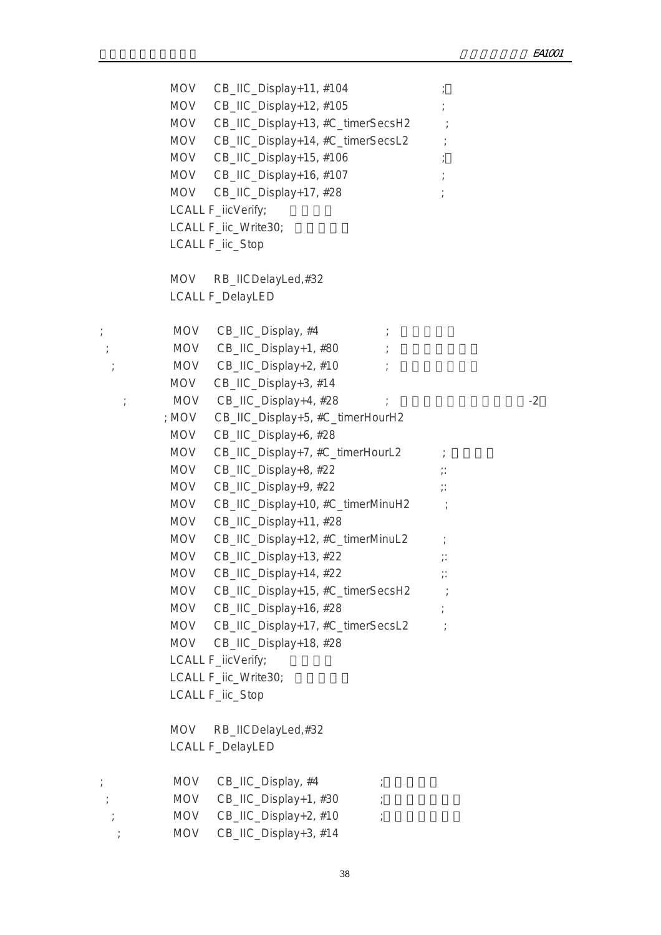MOV CB\_IIC\_Display+11, #104 MOV CB\_IIC\_Display+12, #105 MOV CB\_IIC\_Display+13, #C\_timerSecsH2 MOV CB\_IIC\_Display+14, #C\_timerSecsL2 MOV CB\_IIC\_Display+15, #106 MOV CB\_IIC\_Display+16, #107 MOV CB\_IIC\_Display+17, #28 LCALL F\_iicVerify; LCALL F\_iic\_Write30; LCALL F\_iic\_Stop MOV RB\_IICDelayLed,#32 LCALL F\_DelayLED  $;$  MOV CB\_IIC\_Display,  $#4$  ; ; MOV CB\_IIC\_Display+1, #80  $;$  MOV CB\_IIC\_Display+2,  $#10$ MOV CB IIC Display+3, #14 ; MOV  $CB\_HC\_Display+4$ ,  $\#28$  ;  $\qquad \qquad$  -2 ; MOV CB\_IIC\_Display+5, #C\_timerHourH2 MOV CB\_IIC\_Display+6, #28 MOV CB\_IIC\_Display+7, #C\_timerHourL2 ; MOV  $CB$  IIC Display+8, #22  $\therefore$ MOV CB\_IIC\_Display+9, #22 ;: MOV CB\_IIC\_Display+10, #C\_timerMinuH2 ; MOV CB\_IIC\_Display+11, #28 MOV CB\_IIC\_Display+12, #C\_timerMinuL2 ; MOV  $CB$ \_IIC\_Display+13, #22  $\therefore$ MOV CB\_IIC\_Display+14, #22 ;: MOV CB\_IIC\_Display+15, #C\_timerSecsH2 ; MOV CB\_IIC\_Display+16, #28 MOV CB\_IIC\_Display+17, #C\_timerSecsL2 ; MOV CB\_IIC\_Display+18, #28 LCALL F\_iicVerify; LCALL F\_iic\_Write30; LCALL F\_iic\_Stop MOV RB\_IICDelayLed,#32 LCALL F\_DelayLED  $;$  MOV CB\_IIC\_Display,  $#4$  ; ; MOV CB\_IIC\_Display+1, #30 ;  $;\hspace{2cm}$  MOV CB\_IIC\_Display+2, #10  $\hspace{2cm}$ ; MOV CB\_IIC\_Display+3, #14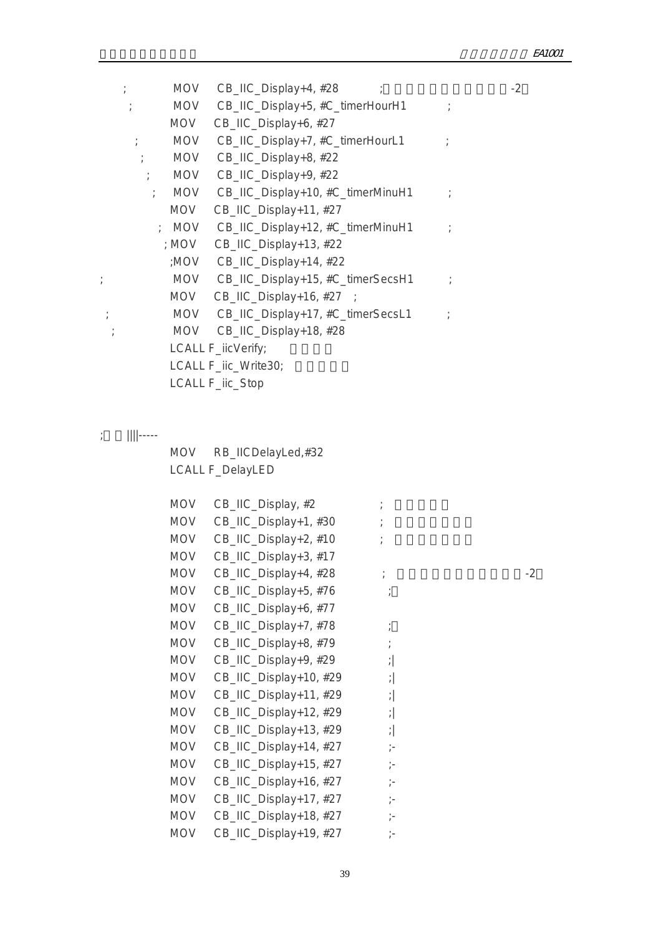|            | $\ddot{ }$                  | MOV CB_IIC_Display+4, #28               |               | $-2$ |
|------------|-----------------------------|-----------------------------------------|---------------|------|
|            | $\mathcal{L} = \mathcal{L}$ | MOV CB_IIC_Display+5, #C_timerHourH1    |               |      |
|            | <b>MOV</b>                  | CB_IIC_Display+6, #27                   |               |      |
|            |                             | ; MOV CB_IIC_Display+7, #C_timerHourL1  |               |      |
|            |                             | ; MOV CB_IIC_Display+8, #22             |               |      |
|            |                             | ; MOV CB_IIC_Display+9, #22             |               |      |
|            | $\ddot{ }$                  | MOV CB_IIC_Display+10, #C_timerMinuH1   |               |      |
|            | <b>MOV</b>                  | CB_IIC_Display+11, #27                  |               |      |
|            |                             | ; MOV CB_IIC_Display+12, #C_timerMinuH1 |               |      |
|            |                             | ; MOV CB_IIC_Display+13, #22            |               |      |
|            |                             | ;MOV CB_IIC_Display+14, #22             |               |      |
|            |                             | MOV CB_IIC_Display+15, #C_timerSecsH1   | $\mathcal{L}$ |      |
|            | <b>MOV</b>                  | $CB$ _IIC_Display+16, #27 ;             |               |      |
| $\ddot{ }$ |                             | MOV CB_IIC_Display+17, #C_timerSecsL1   |               |      |
|            |                             | MOV CB_IIC_Display+18, #28              |               |      |
|            |                             | LCALL F_iicVerify;                      |               |      |
|            |                             | LCALL F_iic_Write30;                    |               |      |
|            |                             | LCALL F_iic_Stop                        |               |      |
|            |                             |                                         |               |      |

;  $\parallel$  ||||-----

 MOV RB\_IICDelayLed,#32 LCALL F\_DelayLED

| <b>MOV</b> | CB_IIC_Display, #2     |                        |      |
|------------|------------------------|------------------------|------|
| <b>MOV</b> | CB_IIC_Display+1, #30  |                        |      |
| <b>MOV</b> | CB_IIC_Display+2, #10  |                        |      |
| <b>MOV</b> | CB_IIC_Display+3, #17  |                        |      |
| <b>MOV</b> | CB_IIC_Display+4, #28  | $\ddot{ }$             | $-2$ |
| <b>MOV</b> | CB_IIC_Display+5, #76  |                        |      |
| <b>MOV</b> | CB_IIC_Display+6, #77  |                        |      |
| <b>MOV</b> | CB_IIC_Display+7, #78  |                        |      |
| <b>MOV</b> | CB_IIC_Display+8, #79  |                        |      |
| <b>MOV</b> | CB_IIC_Display+9, #29  | $\left  \cdot \right $ |      |
| <b>MOV</b> | CB_IIC_Display+10, #29 | $\left  \cdot \right $ |      |
| <b>MOV</b> | CB_IIC_Display+11, #29 | $\left  \cdot \right $ |      |
| <b>MOV</b> | CB_IIC_Display+12, #29 | $\frac{1}{\ell}$       |      |
| <b>MOV</b> | CB_IIC_Display+13, #29 | $\left  \cdot \right $ |      |
| <b>MOV</b> | CB_IIC_Display+14, #27 | $\frac{1}{l}$ =        |      |
| <b>MOV</b> | CB_IIC_Display+15, #27 | $\frac{1}{\ell}$       |      |
| <b>MOV</b> | CB_IIC_Display+16, #27 | $\frac{1}{\ell}$       |      |
| <b>MOV</b> | CB_IIC_Display+17, #27 | $\frac{1}{l}$          |      |
| <b>MOV</b> | CB_IIC_Display+18, #27 | $\frac{1}{\ell}$       |      |
| <b>MOV</b> | CB_IIC_Display+19, #27 | $\frac{1}{2}$          |      |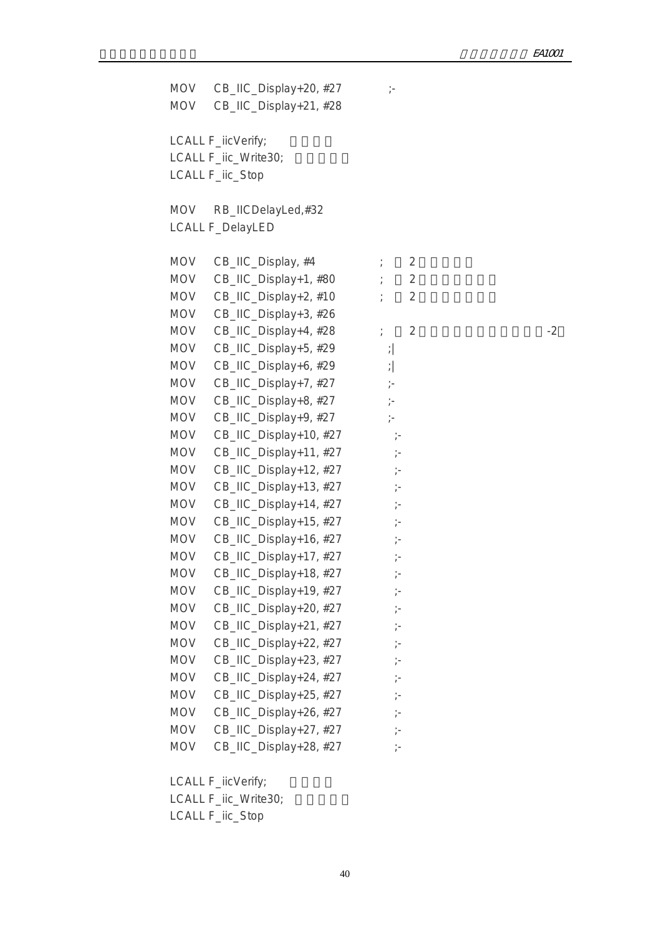MOV  $CB$ \_IIC\_Display+20, #27 ;- MOV CB\_IIC\_Display+21, #28 LCALL F\_iicVerify; LCALL F\_iic\_Write30; LCALL F\_iic\_Stop MOV RB\_IICDelayLed,#32 LCALL F\_DelayLED MOV CB\_IIC\_Display,  $#4$   $\qquad \qquad ; \qquad 2$ MOV  $CB\_HC\_Display+1, #80$  ; 2 MOV  $CB\_HC\_Display+2, #10$  ; 2 MOV CB\_IIC\_Display+3, #26 MOV  $CB\_HC\_Display+4, #28$  ; 2 MOV CB\_IIC\_Display+5, #29 ; MOV CB\_IIC\_Display+6, #29 ; MOV CB IIC Display+7,  $#27$  ;-MOV CB\_IIC\_Display+8, #27 ;-MOV CB\_IIC\_Display+9, #27 ;-MOV  $CB$ \_IIC\_Display+10, #27  $\vdots$ MOV CB\_IIC\_Display+11, #27 ;-MOV  $CB$  IIC Display+12, #27  $\vdots$ MOV CB\_IIC\_Display+13, #27 ;-MOV  $CB$ \_IIC\_Display+14, #27  $\vdots$ MOV CB\_IIC\_Display+15, #27 ;-MOV  $CB$ \_IIC\_Display+16, #27  $\vdots$ MOV  $CB\_HC\_Display+17, #27$  ;-MOV CB\_IIC\_Display+18, #27 ;-MOV CB IIC Display+19,  $#27$  ;-MOV CB\_IIC\_Display+20, #27 ;-MOV  $CB$  IIC Display+21, #27  $\vdots$ MOV CB\_IIC\_Display+22, #27 ;-MOV  $CB$ \_IIC\_Display+23, #27 ;-MOV CB IIC Display+24,  $#27$  ;-MOV  $CB\_HC\_Display+25, #27$  ;-MOV  $CB$ \_IIC\_Display+26, #27  $\vdots$ MOV  $CB$ \_IIC\_Display+27, #27 ;-MOV CB\_IIC\_Display+28, #27 ;-

LCALL F\_iicVerify;

LCALL F\_iic\_Write30;

LCALL F\_iic\_Stop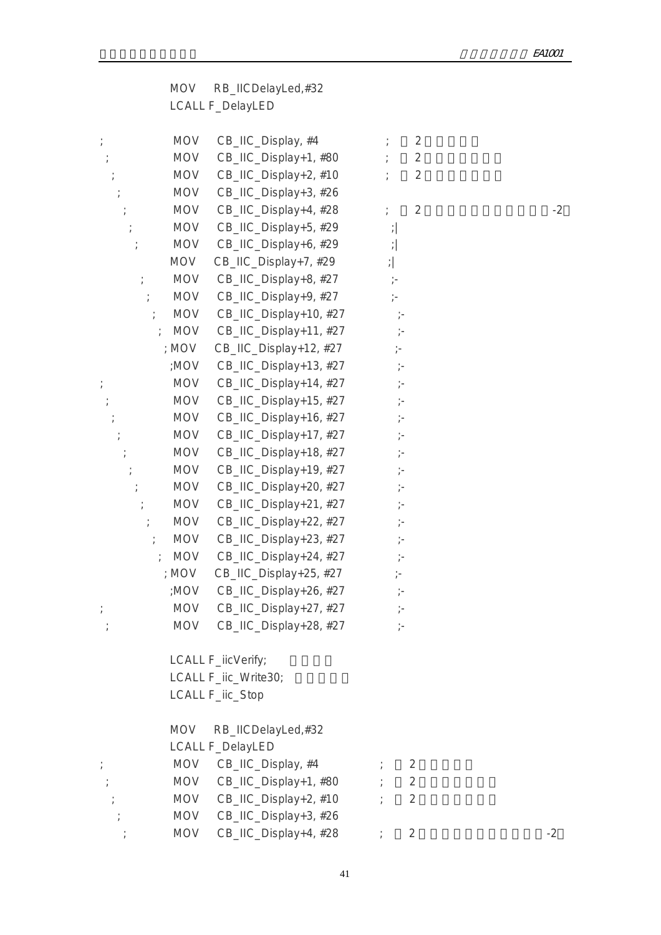| <b>MOV</b> | RB_IICDelayLed,#32 |
|------------|--------------------|
|            | LCALL F_DelayLED   |

| $\frac{1}{l}$    | <b>MOV</b>                  | CB_IIC_Display, #4         |                        | $\overline{2}$ |      |
|------------------|-----------------------------|----------------------------|------------------------|----------------|------|
| $\frac{1}{\ell}$ | <b>MOV</b>                  | CB_IIC_Display+1, #80      |                        | $\overline{2}$ |      |
|                  | <b>MOV</b>                  | CB_IIC_Display+2, #10      |                        | $\overline{2}$ |      |
|                  | <b>MOV</b>                  | CB_IIC_Display+3, #26      |                        |                |      |
|                  | <b>MOV</b>                  | CB_IIC_Display+4, #28      | $\frac{1}{l}$          | $\overline{2}$ | $-2$ |
|                  | <b>MOV</b>                  | CB_IIC_Display+5, #29      | $\frac{1}{\ell}$       |                |      |
|                  | <b>MOV</b>                  | CB_IIC_Display+6, #29      | $\left  \cdot \right $ |                |      |
|                  | <b>MOV</b>                  | CB_IIC_Display+7, #29      | $\left  \cdot \right $ |                |      |
| $\frac{1}{l}$    | <b>MOV</b>                  | CB_IIC_Display+8, #27      | $\dot{\bar{}}$ -       |                |      |
| $\frac{1}{l}$    | <b>MOV</b>                  | CB_IIC_Display+9, #27      | $\frac{1}{l}$ =        |                |      |
|                  | <b>MOV</b>                  | CB_IIC_Display+10, #27     |                        |                |      |
|                  | <b>MOV</b><br>$\cdot$       | CB_IIC_Display+11, #27     | $\frac{1}{l}$ =        |                |      |
|                  | ; MOV                       | CB_IIC_Display+12, #27     | $\frac{1}{l}$          |                |      |
|                  | ;MOV                        | CB_IIC_Display+13, #27     | $\frac{1}{l}$ –        |                |      |
|                  | <b>MOV</b>                  | CB_IIC_Display+14, #27     | $\frac{1}{l}$ –        |                |      |
|                  | <b>MOV</b>                  | CB_IIC_Display+15, #27     | $\frac{1}{\ell}$       |                |      |
|                  | <b>MOV</b>                  | CB_IIC_Display+16, #27     | $\frac{1}{l}$          |                |      |
|                  | <b>MOV</b>                  | CB_IIC_Display+17, #27     | $\frac{1}{l}$          |                |      |
|                  | <b>MOV</b>                  | CB_IIC_Display+18, #27     | $\frac{1}{l}$ –        |                |      |
|                  | <b>MOV</b>                  | CB_IIC_Display+19, #27     | $\frac{1}{l}$ –        |                |      |
|                  | <b>MOV</b>                  | CB_IIC_Display+20, #27     | $\frac{1}{\ell}$       |                |      |
|                  | <b>MOV</b>                  | CB_IIC_Display+21, #27     | $\frac{1}{l}$          |                |      |
| $\frac{1}{l}$    | <b>MOV</b>                  | CB_IIC_Display+22, #27     | $\frac{1}{\ell}$       |                |      |
|                  | <b>MOV</b>                  | CB_IIC_Display+23, #27     |                        |                |      |
|                  | <b>MOV</b><br>$\frac{1}{l}$ | CB_IIC_Display+24, #27     | $\frac{1}{l}$ –        |                |      |
|                  | ; MOV                       | CB_IIC_Display+25, #27     | $\frac{1}{2}$          |                |      |
|                  | ;MOV                        | CB_IIC_Display+26, #27     | $\frac{1}{\ell}$ –     |                |      |
|                  | <b>MOV</b>                  | CB_IIC_Display+27, #27     | $\frac{1}{\ell}$       |                |      |
|                  |                             | MOV CB_IIC_Display+28, #27 |                        |                |      |
|                  |                             | LCALL F_iicVerify;         |                        |                |      |
|                  |                             | LCALL F_iic_Write30;       |                        |                |      |
|                  |                             | LCALL F_iic_Stop           |                        |                |      |
|                  | <b>MOV</b>                  | RB_IICDelayLed,#32         |                        |                |      |
|                  |                             | <b>LCALL F_DelayLED</b>    |                        |                |      |
|                  | <b>MOV</b>                  | CB_IIC_Display, #4         |                        | $\overline{2}$ |      |
|                  |                             | MOV CB_IIC_Display+1, #80  |                        | $\overline{2}$ |      |
|                  |                             | MOV CB_IIC_Display+2, #10  |                        | $\overline{2}$ |      |
|                  | MOV                         | CB_IIC_Display+3, #26      |                        |                |      |

 $\therefore$  MOV CB\_IIC\_Display+4, #28  $\therefore$  2 -2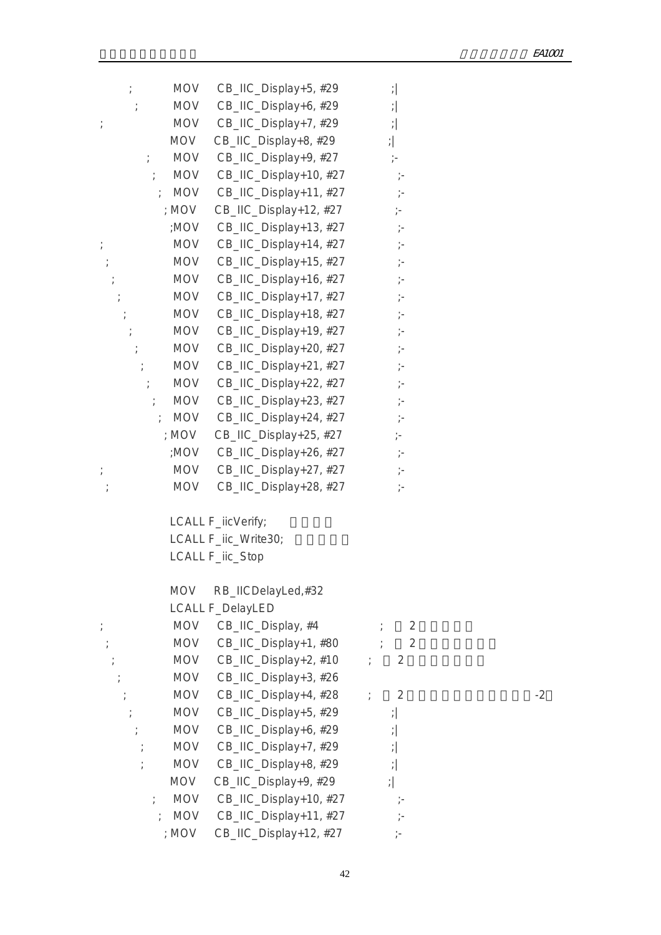|               | <b>MOV</b> | CB_IIC_Display+5, #29   | $\left  \cdot \right $ |    |
|---------------|------------|-------------------------|------------------------|----|
|               | <b>MOV</b> | CB_IIC_Display+6, #29   | $\frac{1}{l}$          |    |
| $\frac{1}{l}$ | <b>MOV</b> | CB_IIC_Display+7, #29   | $\left  \cdot \right $ |    |
|               | MOV        | CB_IIC_Display+8, #29   | $\left  \cdot \right $ |    |
|               | <b>MOV</b> | CB_IIC_Display+9, #27   | $\frac{1}{l}$          |    |
|               | <b>MOV</b> | CB_IIC_Display+10, #27  | $\ddot{ }$             |    |
|               | ; MOV      | CB_IIC_Display+11, #27  | $\frac{1}{l}$ =        |    |
|               | ; MOV      | CB_IIC_Display+12, #27  | $\frac{1}{2}$          |    |
|               | ;MOV       | CB_IIC_Display+13, #27  | $\frac{1}{l}$ =        |    |
| $\frac{1}{l}$ | MOV        | CB_IIC_Display+14, #27  | $\frac{1}{l}$ =        |    |
|               | <b>MOV</b> | CB_IIC_Display+15, #27  | $\frac{1}{\ell}$       |    |
|               | <b>MOV</b> | CB_IIC_Display+16, #27  | $\frac{1}{l}$ =        |    |
|               | <b>MOV</b> | CB_IIC_Display+17, #27  | $\frac{1}{2}$          |    |
|               | <b>MOV</b> | CB_IIC_Display+18, #27  | $\frac{1}{\epsilon}$   |    |
|               | <b>MOV</b> | CB_IIC_Display+19, #27  | $\frac{1}{l}$ =        |    |
|               | <b>MOV</b> | CB_IIC_Display+20, #27  | $\frac{1}{\ell}$       |    |
|               | <b>MOV</b> | CB_IIC_Display+21, #27  | $\frac{1}{l}$ =        |    |
|               | <b>MOV</b> | CB_IIC_Display+22, #27  | $\frac{1}{\epsilon}$   |    |
| $\frac{1}{l}$ | <b>MOV</b> | CB_IIC_Display+23, #27  | $\frac{1}{\ell}$       |    |
|               | MOV        | CB_IIC_Display+24, #27  |                        |    |
|               | ; MOV      | CB_IIC_Display+25, #27  | $\frac{1}{2}$          |    |
|               | ;MOV       | CB_IIC_Display+26, #27  | $\frac{1}{\ell}$       |    |
| $\frac{1}{l}$ | MOV        | CB_IIC_Display+27, #27  | $\frac{1}{2}$          |    |
|               | <b>MOV</b> | CB_IIC_Display+28, #27  | $\frac{1}{2}$          |    |
|               |            | LCALL F_iicVerify;      |                        |    |
|               |            | LCALL F_iic_Write30;    |                        |    |
|               |            | LCALL F_iic_Stop        |                        |    |
|               | <b>MOV</b> | RB_IICDelayLed,#32      |                        |    |
|               |            | <b>LCALL F_DelayLED</b> |                        |    |
|               | <b>MOV</b> | CB_IIC_Display, #4      | $\overline{2}$         |    |
|               | <b>MOV</b> | CB_IIC_Display+1, #80   | $\overline{2}$         |    |
|               | <b>MOV</b> | CB_IIC_Display+2, #10   | $\overline{2}$         |    |
|               | <b>MOV</b> | CB_IIC_Display+3, #26   |                        |    |
|               | <b>MOV</b> | CB_IIC_Display+4, #28   | $\overline{2}$         | -2 |
|               | <b>MOV</b> | CB_IIC_Display+5, #29   | $\left  \cdot \right $ |    |
|               | <b>MOV</b> | CB_IIC_Display+6, #29   | $\left  \cdot \right $ |    |
|               | <b>MOV</b> | CB_IIC_Display+7, #29   | $\frac{1}{l}$          |    |
|               | <b>MOV</b> | CB_IIC_Display+8, #29   | $\frac{1}{\ell}$       |    |
|               | MOV        | CB_IIC_Display+9, #29   | $\left  \cdot \right $ |    |
| $\frac{1}{l}$ | <b>MOV</b> | CB_IIC_Display+10, #27  | $\frac{1}{2}$          |    |
|               | <b>MOV</b> | CB_IIC_Display+11, #27  |                        |    |
|               | ; MOV      | CB_IIC_Display+12, #27  | ÷.                     |    |
|               |            |                         |                        |    |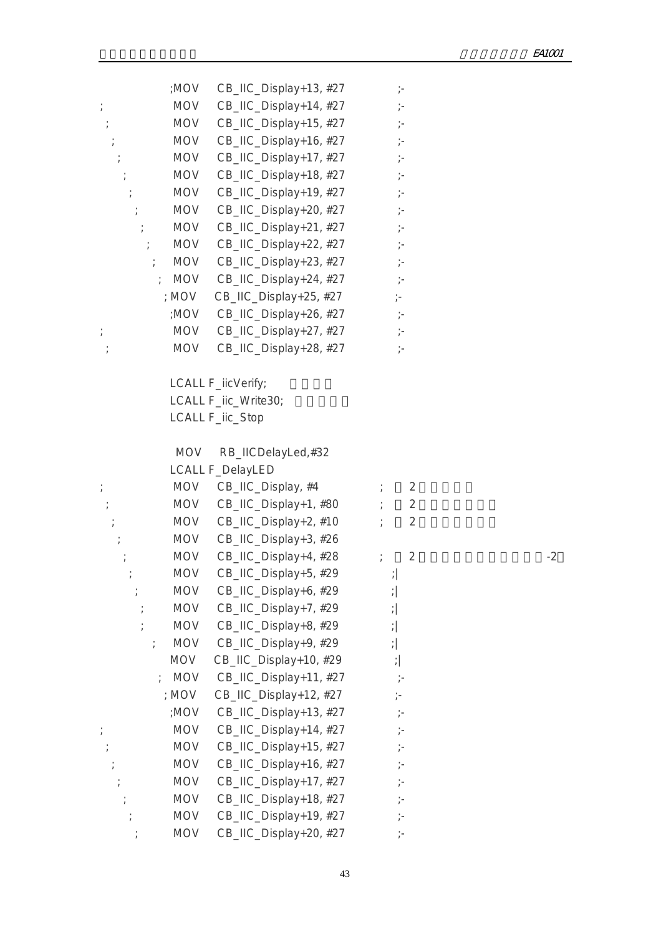|                      | ;MOV       | CB_IIC_Display+13, #27    | $\dot{\gamma}$ –       |      |
|----------------------|------------|---------------------------|------------------------|------|
| $\ddot{\phantom{a}}$ | MOV        | CB_IIC_Display+14, #27    | $\frac{1}{l}$          |      |
|                      | <b>MOV</b> | CB_IIC_Display+15, #27    | $\frac{1}{\ell}$ –     |      |
|                      | <b>MOV</b> | CB_IIC_Display+16, #27    |                        |      |
|                      | MOV        | CB_IIC_Display+17, #27    |                        |      |
|                      | <b>MOV</b> | CB_IIC_Display+18, #27    | $\frac{1}{l}$          |      |
|                      | MOV        | CB_IIC_Display+19, #27    | $\frac{1}{l}$          |      |
| $\frac{1}{l}$        | MOV        | CB_IIC_Display+20, #27    |                        |      |
|                      | <b>MOV</b> | CB_IIC_Display+21, #27    | $\frac{1}{l}$          |      |
| $\ddot{\tau}$        | MOV        | CB_IIC_Display+22, #27    | $\dot{\gamma}$ –       |      |
| $\frac{1}{l}$        | MOV        | CB_IIC_Display+23, #27    |                        |      |
|                      | <b>MOV</b> | CB_IIC_Display+24, #27    | $\dot{r}$              |      |
|                      | ; MOV      | CB_IIC_Display+25, #27    | $\frac{1}{l}$          |      |
|                      | ;MOV       | CB_IIC_Display+26, #27    | $\frac{1}{\ell}$ –     |      |
| $\frac{1}{l}$        | MOV        | CB_IIC_Display+27, #27    | $\dot{r}$              |      |
|                      | <b>MOV</b> | CB_IIC_Display+28, #27    | $\frac{1}{l}$ –        |      |
|                      |            |                           |                        |      |
|                      |            | LCALL F_iicVerify;        |                        |      |
|                      |            | LCALL F_iic_Write30;      |                        |      |
|                      |            | LCALL F_iic_Stop          |                        |      |
|                      | <b>MOV</b> | RB_IICDelayLed,#32        |                        |      |
|                      |            | <b>LCALL F_DelayLED</b>   |                        |      |
| $\frac{1}{l}$        |            | MOV CB_IIC_Display, #4    | 2                      |      |
| $\cdot$              |            | MOV CB_IIC_Display+1, #80 | $\overline{2}$         |      |
|                      | <b>MOV</b> | CB_IIC_Display+2, #10     | 2                      |      |
|                      | <b>MOV</b> | CB_IIC_Display+3, #26     |                        |      |
|                      | <b>MOV</b> | CB_IIC_Display+4, #28     | $\overline{2}$         | $-2$ |
|                      | <b>MOV</b> | CB_IIC_Display+5, #29     | $\left  \cdot \right $ |      |
|                      | MOV        | CB_IIC_Display+6, #29     | $\left  \cdot \right $ |      |
|                      | <b>MOV</b> | CB_IIC_Display+7, #29     | $\left  \cdot \right $ |      |
|                      | <b>MOV</b> | CB_IIC_Display+8, #29     | $\left  \cdot \right $ |      |
|                      | <b>MOV</b> | CB_IIC_Display+9, #29     | $\left  \cdot \right $ |      |
|                      | <b>MOV</b> | CB_IIC_Display+10, #29    | $\left  \cdot \right $ |      |
|                      | <b>MOV</b> | CB_IIC_Display+11, #27    | $\frac{1}{\ell}$       |      |
|                      | ; MOV      | CB_IIC_Display+12, #27    |                        |      |
|                      | ;MOV       | CB_IIC_Display+13, #27    | $\frac{1}{l}$          |      |
|                      | <b>MOV</b> | CB_IIC_Display+14, #27    | $\frac{1}{\ell}$ –     |      |
|                      | <b>MOV</b> | CB_IIC_Display+15, #27    | $\frac{1}{\ell}$ –     |      |
|                      | <b>MOV</b> | CB_IIC_Display+16, #27    | $\frac{1}{\ell}$       |      |
|                      | <b>MOV</b> | CB_IIC_Display+17, #27    | $\frac{1}{2}$          |      |
|                      | <b>MOV</b> | CB_IIC_Display+18, #27    | $\frac{1}{l}$ –        |      |
|                      | <b>MOV</b> | CB_IIC_Display+19, #27    | $\frac{1}{\ell}$ –     |      |
|                      | <b>MOV</b> | CB_IIC_Display+20, #27    | $\frac{1}{l}$ –        |      |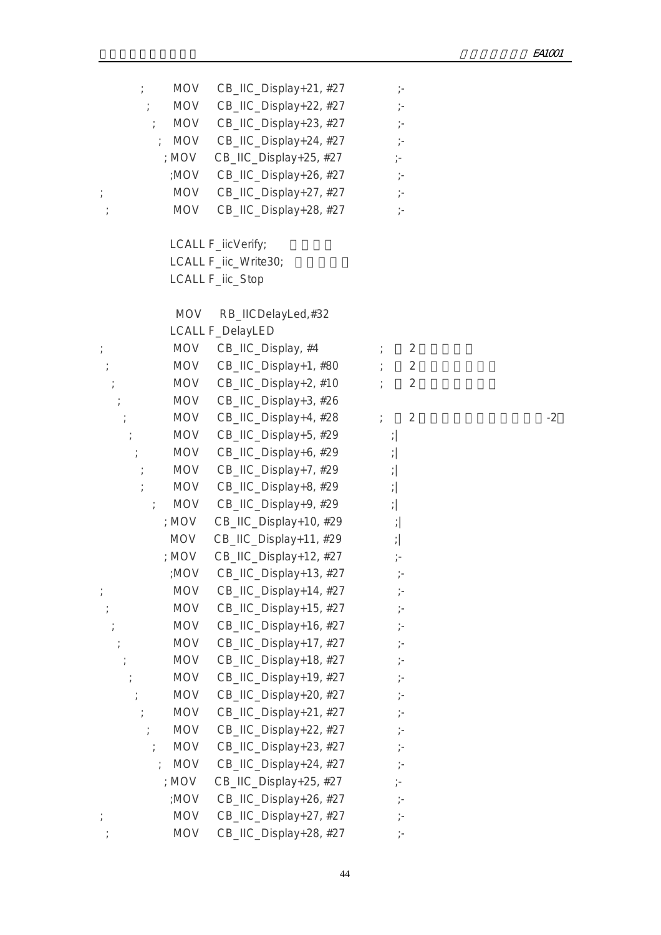|               | MOV        | CB_IIC_Display+21, #27    |                        |      |
|---------------|------------|---------------------------|------------------------|------|
| $\frac{1}{l}$ | MOV        | CB_IIC_Display+22, #27    | $\frac{1}{l}$          |      |
| $\frac{1}{l}$ | MOV        | CB_IIC_Display+23, #27    |                        |      |
|               | <b>MOV</b> | CB_IIC_Display+24, #27    | $\frac{1}{l}$          |      |
|               | ; MOV      | CB_IIC_Display+25, #27    | $\frac{1}{l}$          |      |
|               | ;MOV       | CB_IIC_Display+26, #27    | $\frac{1}{\ell}$ –     |      |
| $\frac{1}{l}$ | MOV        | CB_IIC_Display+27, #27    | $\frac{1}{l}$ –        |      |
|               | <b>MOV</b> | CB_IIC_Display+28, #27    | $\frac{1}{l}$          |      |
|               |            |                           |                        |      |
|               |            | LCALL F_iicVerify;        |                        |      |
|               |            | LCALL F_iic_Write30;      |                        |      |
|               |            | LCALL F_iic_Stop          |                        |      |
|               |            |                           |                        |      |
|               | <b>MOV</b> | RB_IICDelayLed,#32        |                        |      |
|               |            | <b>LCALL F_DelayLED</b>   |                        |      |
| $\frac{1}{l}$ |            | MOV CB_IIC_Display, #4    | $\overline{2}$         |      |
|               |            | MOV CB_IIC_Display+1, #80 | $\overline{2}$         |      |
|               | MOV        | CB_IIC_Display+2, #10     | $\overline{2}$         |      |
|               | <b>MOV</b> | CB_IIC_Display+3, #26     |                        |      |
|               | MOV        | CB_IIC_Display+4, #28     | $\overline{2}$         | $-2$ |
|               | <b>MOV</b> | CB_IIC_Display+5, #29     | $\cdot$                |      |
| $\frac{1}{l}$ | MOV        | CB_IIC_Display+6, #29     | $\left  \cdot \right $ |      |
|               | MOV        | CB_IIC_Display+7, #29     | $\left  \cdot \right $ |      |
|               | <b>MOV</b> | CB_IIC_Display+8, #29     | $\left  \cdot \right $ |      |
|               | MOV        | CB_IIC_Display+9, #29     | $\left  \cdot \right $ |      |
|               | ; MOV      | CB_IIC_Display+10, #29    | $\left  \cdot \right $ |      |
|               | <b>MOV</b> | CB_IIC_Display+11, #29    | $\left  \cdot \right $ |      |
|               | ; MOV      | CB_IIC_Display+12, #27    | $\frac{1}{l}$ –        |      |
|               | ;MOV       | CB_IIC_Display+13, #27    | $\dot{\mathcal{E}}$    |      |
| $\frac{1}{l}$ | <b>MOV</b> | CB_IIC_Display+14, #27    |                        |      |
|               | <b>MOV</b> | CB_IIC_Display+15, #27    | $\frac{1}{l}$ –        |      |
|               | <b>MOV</b> | CB_IIC_Display+16, #27    | $\frac{1}{2}$          |      |
|               | <b>MOV</b> | CB_IIC_Display+17, #27    | $\frac{1}{\ell}$ –     |      |
|               | <b>MOV</b> | CB_IIC_Display+18, #27    | $\frac{1}{\ell}$ –     |      |
|               | <b>MOV</b> | CB_IIC_Display+19, #27    | $\frac{1}{\ell}$       |      |
|               | <b>MOV</b> | CB_IIC_Display+20, #27    | $\frac{1}{\ell}$       |      |
|               | <b>MOV</b> | CB_IIC_Display+21, #27    | $\frac{1}{l}$ –        |      |
|               | <b>MOV</b> | CB_IIC_Display+22, #27    | $\frac{1}{l}$ –        |      |
|               | <b>MOV</b> | CB_IIC_Display+23, #27    | $\frac{1}{\ell}$ –     |      |
|               | <b>MOV</b> | CB_IIC_Display+24, #27    | $\frac{1}{\ell}$ –     |      |
|               | ; MOV      | CB_IIC_Display+25, #27    | $\frac{1}{l}$          |      |
|               | ;MOV       | CB_IIC_Display+26, #27    | $\frac{1}{l}$ =        |      |
|               | <b>MOV</b> | CB_IIC_Display+27, #27    | $\frac{1}{l}$ =        |      |
|               | <b>MOV</b> | CB_IIC_Display+28, #27    | $\frac{1}{\ell}$       |      |
|               |            |                           |                        |      |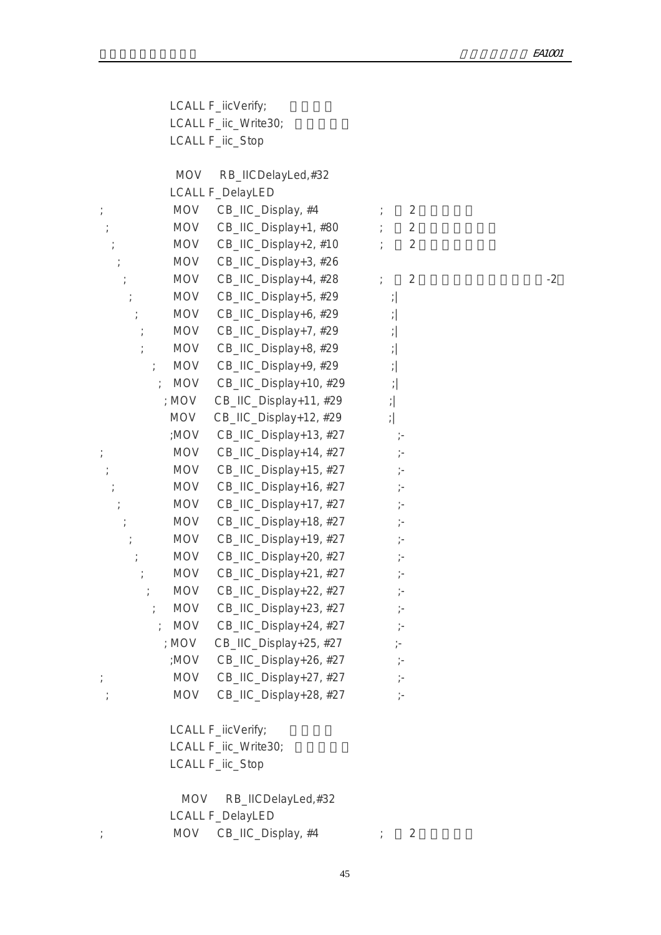LCALL F\_iicVerify; LCALL F\_iic\_Write30; LCALL F\_iic\_Stop

MOV RB\_IICDelayLed,#32

|               | <b>LCALL F_DelayLED</b>              |                        |      |
|---------------|--------------------------------------|------------------------|------|
| $\frac{1}{l}$ | CB_IIC_Display, #4<br><b>MOV</b>     | $\overline{2}$         |      |
| $\frac{1}{l}$ | <b>MOV</b><br>CB_IIC_Display+1, #80  | $\sqrt{2}$             |      |
|               | <b>MOV</b><br>CB_IIC_Display+2, #10  | $\overline{2}$         |      |
|               | <b>MOV</b><br>CB_IIC_Display+3, #26  |                        |      |
|               | CB_IIC_Display+4, #28<br><b>MOV</b>  | $\overline{2}$         | $-2$ |
|               | CB_IIC_Display+5, #29<br><b>MOV</b>  | $\left  \cdot \right $ |      |
|               | <b>MOV</b><br>CB_IIC_Display+6, #29  | $\left  \cdot \right $ |      |
|               | <b>MOV</b><br>CB_IIC_Display+7, #29  | $\left  \cdot \right $ |      |
|               | <b>MOV</b><br>CB_IIC_Display+8, #29  | $\left  \cdot \right $ |      |
|               | <b>MOV</b><br>CB_IIC_Display+9, #29  | $\left  \cdot \right $ |      |
|               | <b>MOV</b><br>CB_IIC_Display+10, #29 | $\left  \cdot \right $ |      |
|               | ; MOV<br>CB_IIC_Display+11, #29      | $\left  \cdot \right $ |      |
|               | MOV<br>CB_IIC_Display+12, #29        | $\left  \cdot \right $ |      |
|               | ;MOV<br>CB_IIC_Display+13, #27       | $\frac{1}{\ell}$ =     |      |
| $\frac{1}{l}$ | <b>MOV</b><br>CB_IIC_Display+14, #27 | $\frac{1}{\ell}$ –     |      |
|               | <b>MOV</b><br>CB_IIC_Display+15, #27 | $\frac{1}{l}$ =        |      |
|               | <b>MOV</b><br>CB_IIC_Display+16, #27 | $\frac{1}{\ell}$       |      |
|               | <b>MOV</b><br>CB_IIC_Display+17, #27 | $\frac{1}{l}$ =        |      |
|               | <b>MOV</b><br>CB_IIC_Display+18, #27 | $\frac{1}{\ell}$       |      |
|               | <b>MOV</b><br>CB_IIC_Display+19, #27 | $\frac{1}{l}$ =        |      |
|               | <b>MOV</b><br>CB_IIC_Display+20, #27 | $\frac{1}{l}$          |      |
|               | <b>MOV</b><br>CB_IIC_Display+21, #27 | $\frac{1}{\ell}$       |      |
|               | <b>MOV</b><br>CB_IIC_Display+22, #27 | $\frac{1}{\ell}$       |      |
|               | <b>MOV</b><br>CB_IIC_Display+23, #27 | $\frac{1}{l}$ =        |      |
| $\cdot$       | <b>MOV</b><br>CB_IIC_Display+24, #27 | $\frac{1}{l}$ =        |      |
|               | ; $MOV$<br>CB_IIC_Display+25, #27    | $\frac{1}{l}$ =        |      |
|               | ;MOV<br>CB_IIC_Display+26, #27       | $\frac{1}{\ell}$ –     |      |
| $\frac{1}{2}$ | <b>MOV</b><br>CB_IIC_Display+27, #27 | $\frac{1}{\ell}$ –     |      |
| $\frac{1}{2}$ | <b>MOV</b><br>CB_IIC_Display+28, #27 | $\frac{1}{2}$          |      |
|               |                                      |                        |      |
|               |                                      |                        |      |

LCALL F\_iicVerify; LCALL F\_iic\_Write30; LCALL F\_iic\_Stop

 MOV RB\_IICDelayLed,#32 LCALL F\_DelayLED ; MOV CB\_IIC\_Display, #4  $\qquad$  ; 2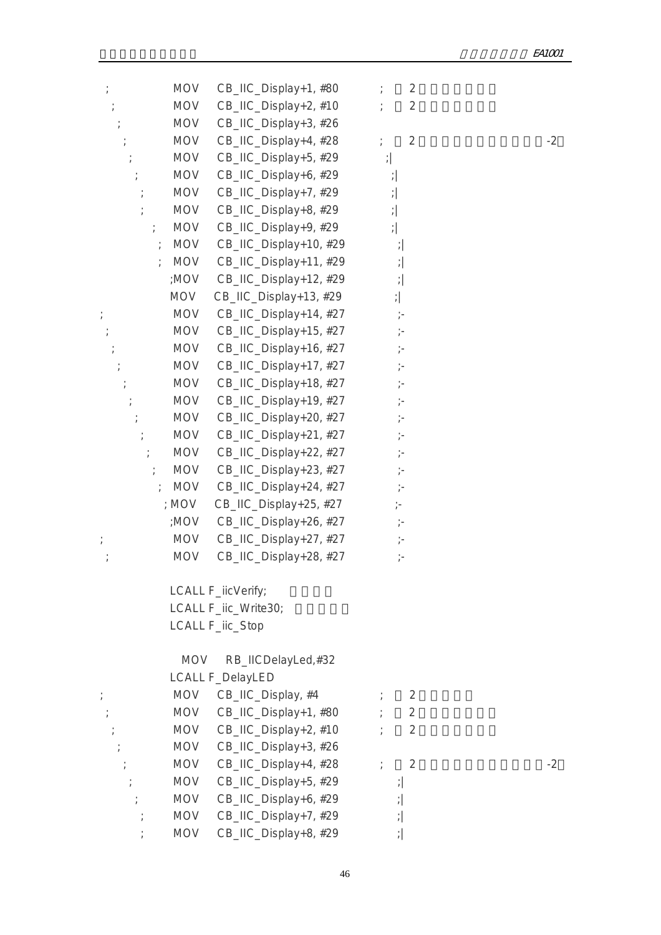| $\frac{1}{l}$ | <b>MOV</b>                  | CB_IIC_Display+1, #80   | $\overline{2}$                  |      |
|---------------|-----------------------------|-------------------------|---------------------------------|------|
|               | <b>MOV</b>                  | CB_IIC_Display+2, #10   | 2                               |      |
|               | <b>MOV</b>                  | CB_IIC_Display+3, #26   |                                 |      |
|               | <b>MOV</b>                  | CB_IIC_Display+4, #28   | $\overline{2}$<br>$\frac{1}{l}$ | $-2$ |
|               | <b>MOV</b>                  | CB_IIC_Display+5, #29   | $\left  \cdot \right $          |      |
|               | <b>MOV</b>                  | CB_IIC_Display+6, #29   | $\frac{1}{\ell}$                |      |
|               | <b>MOV</b>                  | CB_IIC_Display+7, #29   | $\left  \cdot \right $          |      |
|               | <b>MOV</b>                  | CB_IIC_Display+8, #29   | $\left  \cdot \right $          |      |
| $\frac{1}{l}$ | <b>MOV</b>                  | CB_IIC_Display+9, #29   | $\left  \cdot \right $          |      |
|               | <b>MOV</b>                  | CB_IIC_Display+10, #29  | $\frac{1}{l}$                   |      |
|               | <b>MOV</b><br>$\frac{1}{l}$ | CB_IIC_Display+11, #29  | $\frac{1}{\ell}$                |      |
|               | ;MOV                        | CB_IIC_Display+12, #29  | $\frac{1}{l}$                   |      |
|               | <b>MOV</b>                  | CB_IIC_Display+13, #29  | $\left  \cdot \right $          |      |
| $\frac{1}{l}$ | <b>MOV</b>                  | CB_IIC_Display+14, #27  | $\frac{1}{\ell}$                |      |
|               | <b>MOV</b>                  | CB_IIC_Display+15, #27  | $\frac{1}{\ell}$ –              |      |
|               | <b>MOV</b>                  | CB_IIC_Display+16, #27  | $\frac{1}{\ell}$ –              |      |
|               | <b>MOV</b>                  | CB_IIC_Display+17, #27  | $\frac{1}{\ell}$                |      |
|               | <b>MOV</b>                  | CB_IIC_Display+18, #27  | $\frac{1}{\ell}$ –              |      |
|               | <b>MOV</b>                  | CB_IIC_Display+19, #27  | $\frac{1}{\ell}$ –              |      |
|               | <b>MOV</b>                  | CB_IIC_Display+20, #27  | $\frac{1}{2}$                   |      |
|               | <b>MOV</b>                  | CB_IIC_Display+21, #27  | $\frac{1}{\ell}$ –              |      |
|               | <b>MOV</b>                  | CB_IIC_Display+22, #27  | $\frac{1}{\ell}$                |      |
| $\frac{1}{l}$ | <b>MOV</b>                  | CB_IIC_Display+23, #27  | $\frac{1}{\ell}$ –              |      |
|               | <b>MOV</b>                  | CB_IIC_Display+24, #27  | $\frac{1}{l}$ –                 |      |
|               | ; MOV                       | CB_IIC_Display+25, #27  | $\frac{1}{2}$                   |      |
|               | <b>VON;</b>                 | CB_IIC_Display+26, #27  | $\frac{1}{\ell}$ –              |      |
|               | MOV                         | CB_IIC_Display+27, #27  |                                 |      |
|               | <b>MOV</b>                  | CB_IIC_Display+28, #27  | $\frac{1}{\ell}$ –              |      |
|               |                             | LCALL F_iicVerify;      |                                 |      |
|               |                             | LCALL F_iic_Write30;    |                                 |      |
|               |                             | LCALL F_iic_Stop        |                                 |      |
|               | <b>MOV</b>                  | RB_IICDelayLed,#32      |                                 |      |
|               |                             | <b>LCALL F_DelayLED</b> |                                 |      |
|               |                             | MOV CB_IIC_Display, #4  | $\overline{2}$                  |      |
|               | <b>MOV</b>                  | CB_IIC_Display+1, #80   | $\overline{2}$                  |      |
|               | MOV                         | CB_IIC_Display+2, #10   | 2                               |      |
|               | <b>MOV</b>                  | CB_IIC_Display+3, #26   |                                 |      |
|               | <b>MOV</b>                  | CB_IIC_Display+4, #28   | $\overline{2}$                  | $-2$ |
|               | <b>MOV</b>                  | CB_IIC_Display+5, #29   | $\frac{1}{2}$                   |      |
|               | MOV                         | CB_IIC_Display+6, #29   | $\left  \cdot \right $          |      |
|               | MOV                         | CB_IIC_Display+7, #29   | $\left  \cdot \right $          |      |
|               | <b>MOV</b>                  | CB_IIC_Display+8, #29   | $\left  \cdot \right $          |      |
|               |                             |                         |                                 |      |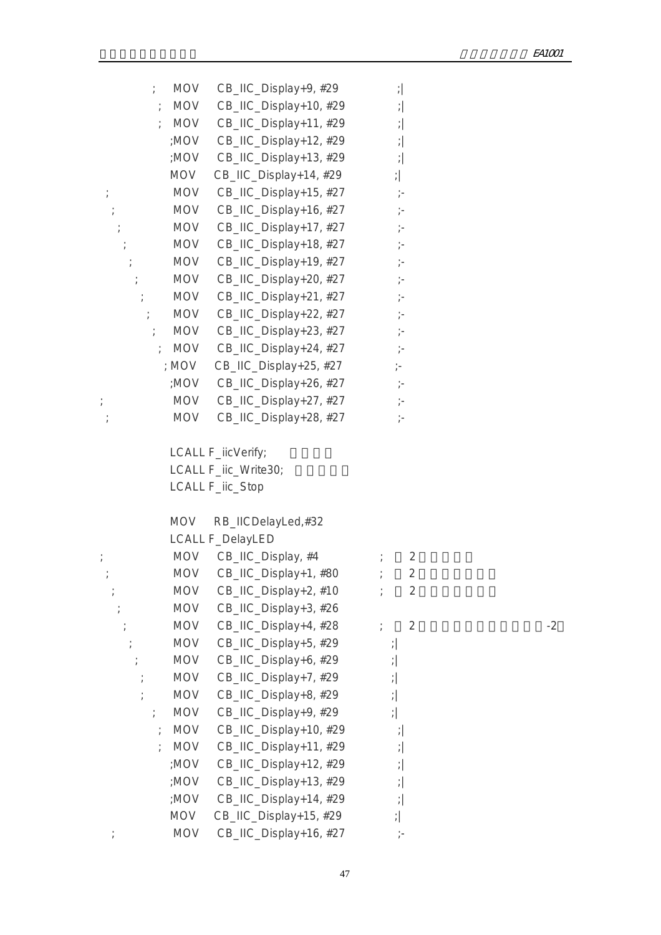| $\frac{1}{l}$ |            | MOV CB_IIC_Display+9, #29                                      | $\left  \cdot \right $ |      |
|---------------|------------|----------------------------------------------------------------|------------------------|------|
| $\cdot$       | <b>MOV</b> | CB_IIC_Display+10, #29                                         | $\left  \cdot \right $ |      |
|               |            | MOV CB_IIC_Display+11, #29                                     | $\left  \cdot \right $ |      |
|               |            | :MOV CB_IIC_Display+12, #29                                    | $\left  \cdot \right $ |      |
|               | ;MOV       | CB_IIC_Display+13, #29                                         | $\left  \cdot \right $ |      |
|               | MOV        | CB_IIC_Display+14, #29                                         | $\left  \cdot \right $ |      |
|               | <b>MOV</b> | CB_IIC_Display+15, #27                                         |                        |      |
|               |            | MOV CB_IIC_Display+16, #27                                     |                        |      |
|               | <b>MOV</b> | CB_IIC_Display+17, #27                                         |                        |      |
|               | MOV        | CB_IIC_Display+18, #27                                         |                        |      |
|               |            | MOV CB_IIC_Display+19, #27                                     |                        |      |
|               | <b>MOV</b> | CB_IIC_Display+20, #27                                         |                        |      |
| $\frac{1}{l}$ | MOV        | CB_IIC_Display+21, #27                                         | $\dot{\gamma}$ –       |      |
| $\frac{1}{l}$ |            | MOV CB_IIC_Display+22, #27                                     |                        |      |
| $\ddot{r}$    | MOV        | CB_IIC_Display+23, #27                                         | $\dot{\gamma}$ –       |      |
| $\cdot$ .     |            | MOV CB_IIC_Display+24, #27                                     | $\frac{1}{\ell}$ –     |      |
|               | ; MOV      | CB_IIC_Display+25, #27                                         | $\frac{1}{l}$          |      |
|               |            | :MOV CB_IIC_Display+26, #27                                    | $\mathbb{H}^+$         |      |
| $\frac{1}{l}$ | <b>MOV</b> | CB_IIC_Display+27, #27                                         | $\dot{\gamma}$ -       |      |
|               | MOV        | CB_IIC_Display+28, #27                                         | $\frac{1}{\ell}$       |      |
|               |            | LCALL F_iicVerify;<br>LCALL F_iic_Write30;<br>LCALL F_iic_Stop |                        |      |
|               | MOV        | RB_IICDelayLed,#32                                             |                        |      |
|               |            | LCALL F_DelayLED                                               |                        |      |
| $\frac{1}{l}$ |            | MOV CB_IIC_Display, #4                                         | $\overline{2}$         |      |
|               |            | MOV CB_IIC_Display+1, #80                                      | $\overline{2}$         |      |
|               | <b>MOV</b> | CB_IIC_Display+2, #10                                          | $\overline{2}$         |      |
|               | <b>MOV</b> | CB_IIC_Display+3, #26                                          |                        |      |
|               | <b>MOV</b> | CB_IIC_Display+4, #28                                          | $\overline{2}$         | $-2$ |
|               | <b>MOV</b> | CB_IIC_Display+5, #29                                          | $\left  \cdot \right $ |      |
|               | <b>MOV</b> | CB_IIC_Display+6, #29                                          | $\frac{1}{l}$          |      |
|               | <b>MOV</b> | CB_IIC_Display+7, #29                                          | $\frac{1}{l}$          |      |
|               | <b>MOV</b> | CB_IIC_Display+8, #29                                          | $\left  \cdot \right $ |      |
|               | <b>MOV</b> | CB_IIC_Display+9, #29                                          | $\left  \cdot \right $ |      |
|               | <b>MOV</b> | CB_IIC_Display+10, #29                                         | $\frac{1}{l}$          |      |
|               | <b>MOV</b> | CB_IIC_Display+11, #29                                         | $\frac{1}{\ell}$       |      |
|               | ;MOV       | CB_IIC_Display+12, #29                                         | $\frac{1}{l}$          |      |
|               | ;MOV       | CB_IIC_Display+13, #29                                         | $\frac{1}{l}$          |      |
|               | ;MOV       | CB_IIC_Display+14, #29                                         | $\frac{1}{\ell}$       |      |
|               | <b>MOV</b> | CB_IIC_Display+15, #29                                         | $\frac{1}{\ell}$       |      |
|               | <b>MOV</b> | CB_IIC_Display+16, #27                                         |                        |      |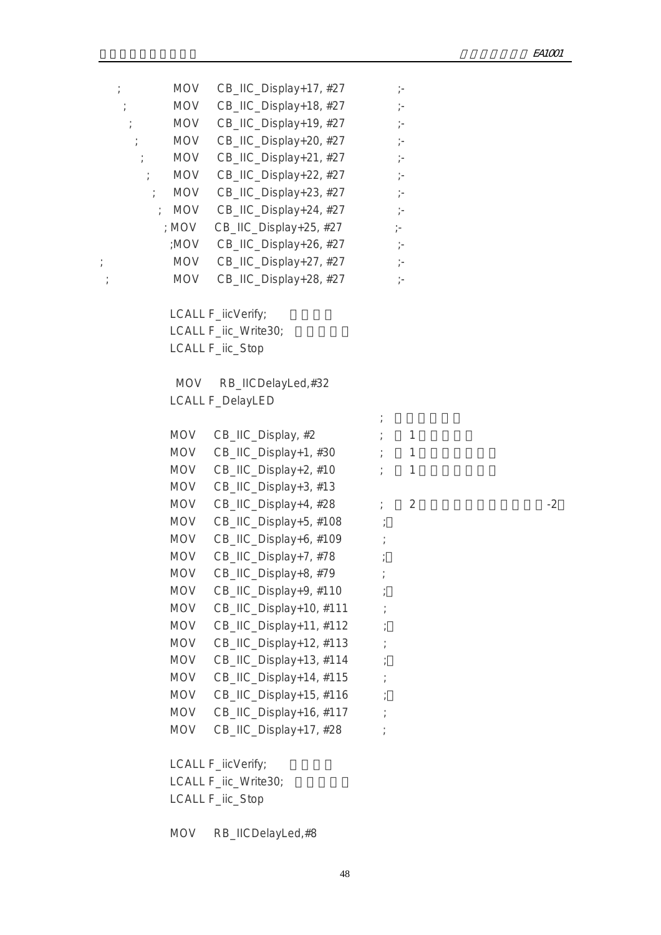|               | <b>MOV</b> | CB_IIC_Display+17, #27      | $\dot{\gamma}$ –   |      |
|---------------|------------|-----------------------------|--------------------|------|
|               | MOV        | CB_IIC_Display+18, #27      | $\dot{r}$          |      |
|               | MOV        | CB_IIC_Display+19, #27      | $\dot{\gamma}$ –   |      |
|               | MOV        | CB_IIC_Display+20, #27      |                    |      |
|               | MOV        | CB_IIC_Display+21, #27      | $\dot{\gamma}$ –   |      |
| $\frac{1}{l}$ | MOV        | CB_IIC_Display+22, #27      | $\frac{1}{\ell}$ – |      |
| $\frac{1}{l}$ | MOV        | CB_IIC_Display+23, #27      | $\dot{\gamma}$ –   |      |
|               | ; MOV      | CB_IIC_Display+24, #27      | $\frac{1}{\ell}$ – |      |
|               | ; MOV      | CB_IIC_Display+25, #27      | $\frac{1}{l}$ =    |      |
|               |            | ;MOV CB_IIC_Display+26, #27 | $\gamma-$          |      |
| $\frac{1}{2}$ | <b>MOV</b> | CB_IIC_Display+27, #27      | $\dot{\gamma}$ –   |      |
|               | <b>MOV</b> | CB_IIC_Display+28, #27      | $\frac{1}{\ell}$ = |      |
|               |            | LCALL F_iicVerify;          |                    |      |
|               |            | LCALL F_iic_Write30;        |                    |      |
|               |            | LCALL F_iic_Stop            |                    |      |
|               | MOV        | RB_IICDelayLed,#32          |                    |      |
|               |            | <b>LCALL F_DelayLED</b>     |                    |      |
|               |            | MOV CB_IIC_Display, #2      | $\mathbf{1}$       |      |
|               | <b>MOV</b> | CB_IIC_Display+1, #30       | $\mathbf{1}$       |      |
|               | MOV        | CB_IIC_Display+2, #10       | $\mathbf{1}$       |      |
|               | MOV        | CB_IIC_Display+3, #13       |                    |      |
|               | MOV        | CB_IIC_Display+4, #28       | $\overline{2}$     | $-2$ |
|               | MOV        | CB_IIC_Display+5, #108      |                    |      |
|               | MOV        | CB_IIC_Display+6, #109      |                    |      |
|               | MOV        | CB_IIC_Display+7, #78       |                    |      |
|               | <b>MOV</b> | CB_IIC_Display+8, #79       |                    |      |
|               | <b>MOV</b> | CB_IIC_Display+9, #110      |                    |      |
|               | <b>MOV</b> | CB_IIC_Display+10, #111     |                    |      |
|               | <b>MOV</b> | CB_IIC_Display+11, #112     |                    |      |
|               | <b>MOV</b> | CB_IIC_Display+12, #113     |                    |      |
|               | <b>MOV</b> | CB_IIC_Display+13, #114     |                    |      |
|               | <b>MOV</b> | CB_IIC_Display+14, #115     |                    |      |
|               | <b>MOV</b> | CB_IIC_Display+15, #116     |                    |      |
|               | <b>MOV</b> | CB_IIC_Display+16, #117     |                    |      |
|               | <b>MOV</b> | CB_IIC_Display+17, #28      |                    |      |
|               |            | LCALL F_iicVerify;          |                    |      |
|               |            | LCALL F_iic_Write30;        |                    |      |
|               |            | LCALL F_iic_Stop            |                    |      |
|               |            |                             |                    |      |

MOV RB\_IICDelayLed,#8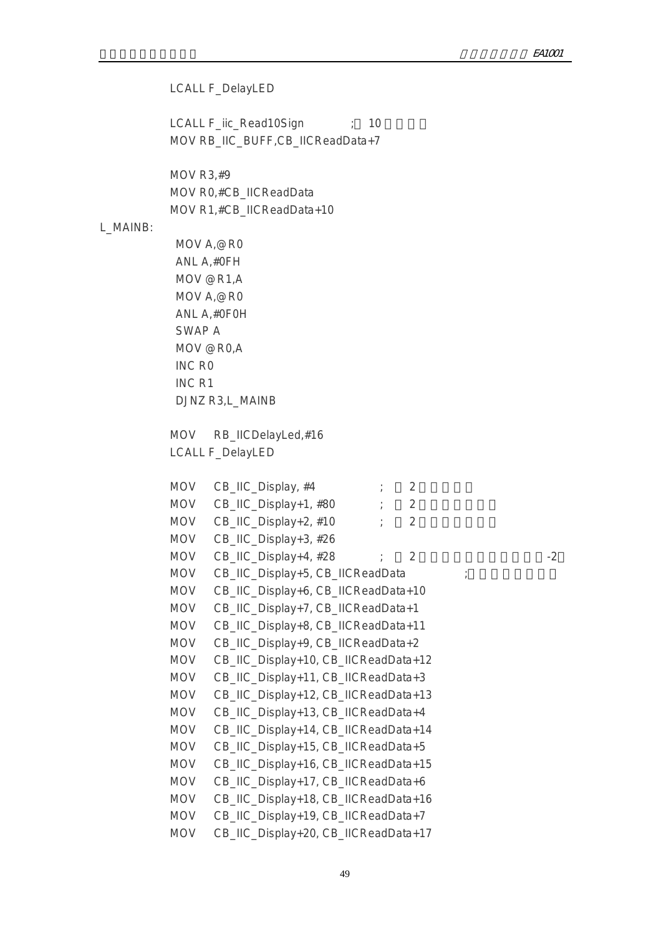LCALL F\_DelayLED

LCALL F\_iic\_Read10Sign ; 10 MOV RB\_IIC\_BUFF,CB\_IICReadData+7

 MOV R3,#9 MOV R0,#CB\_IICReadData MOV R1,#CB\_IICReadData+10

### L\_MAINB:

 MOV A,@R0 ANL A,#0FH MOV @R1,A MOV A,@R0 ANL A,#0F0H SWAP A MOV @R0,A INC R0 INC R1 DJNZ R3,L\_MAINB

 MOV RB\_IICDelayLed,#16 LCALL F\_DelayLED

 $MOV$  CB\_IIC\_Display, #4  $\qquad \qquad ;$  2 MOV  $CB$ \_IIC\_Display+1, #80  $\qquad$   $\qquad$   $\qquad$  2 MOV CB\_IIC\_Display+2, #10 ; 2 MOV CB\_IIC\_Display+3, #26 MOV  $CB\_HC\_Display+4, #28$  ; 2 MOV CB\_IIC\_Display+5, CB\_IICReadData MOV CB\_IIC\_Display+6, CB\_IICReadData+10 MOV CB\_IIC\_Display+7, CB\_IICReadData+1 MOV CB\_IIC\_Display+8, CB\_IICReadData+11 MOV CB\_IIC\_Display+9, CB\_IICReadData+2 MOV CB\_IIC\_Display+10, CB\_IICReadData+12 MOV CB\_IIC\_Display+11, CB\_IICReadData+3 MOV CB\_IIC\_Display+12, CB\_IICReadData+13 MOV CB\_IIC\_Display+13, CB\_IICReadData+4 MOV CB\_IIC\_Display+14, CB\_IICReadData+14 MOV CB\_IIC\_Display+15, CB\_IICReadData+5 MOV CB\_IIC\_Display+16, CB\_IICReadData+15 MOV CB\_IIC\_Display+17, CB\_IICReadData+6 MOV CB\_IIC\_Display+18, CB\_IICReadData+16 MOV CB\_IIC\_Display+19, CB\_IICReadData+7 MOV CB\_IIC\_Display+20, CB\_IICReadData+17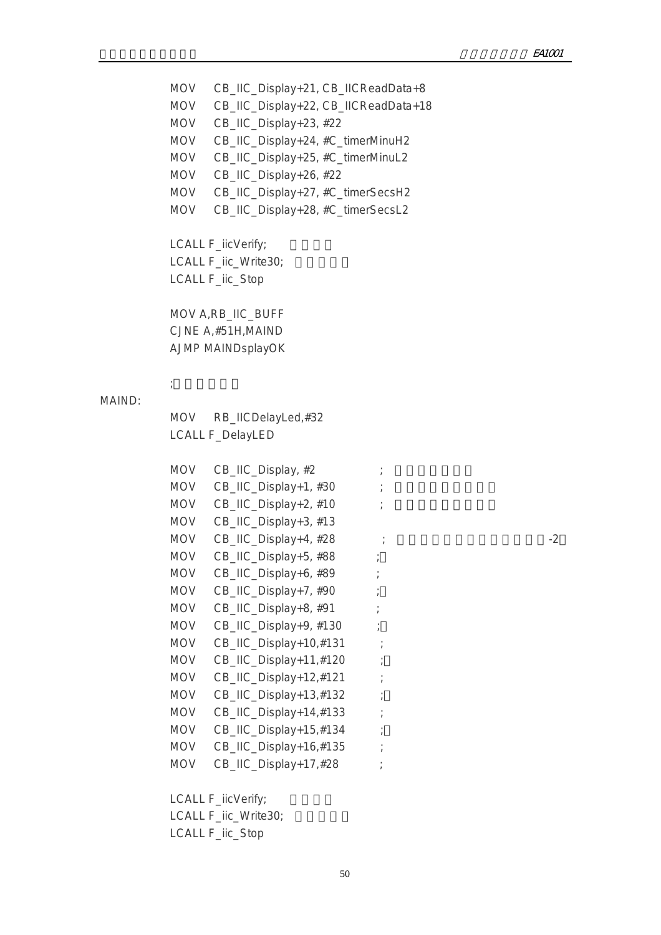MOV CB\_IIC\_Display+21, CB\_IICReadData+8 MOV CB\_IIC\_Display+22, CB\_IICReadData+18 MOV CB\_IIC\_Display+23, #22 MOV CB\_IIC\_Display+24, #C\_timerMinuH2 MOV CB\_IIC\_Display+25, #C\_timerMinuL2 MOV CB\_IIC\_Display+26, #22 MOV CB\_IIC\_Display+27, #C\_timerSecsH2 MOV CB\_IIC\_Display+28, #C\_timerSecsL2 LCALL F\_iicVerify; LCALL F\_iic\_Write30: LCALL F\_iic\_Stop MOV A,RB\_IIC\_BUFF CJNE A,#51H,MAIND AJMP MAINDsplayOK  $\mathcal{L}$ ;  $\mathcal{L}$  MOV RB\_IICDelayLed,#32 LCALL F\_DelayLED  $MOV$  CB\_IIC\_Display,  $#2$  ;  $MOV$  CB\_IIC\_Display+1, #30 ;  $MOV$  CB\_IIC\_Display+2, #10 ; MOV CB\_IIC\_Display+3, #13 MOV  $CB$ <sub>IIC</sub> Display+4, #28  $\qquad \qquad$  ; MOV CB\_IIC\_Display+5, #88 ; MOV CB\_IIC\_Display+6, #89 ; MOV CB\_IIC\_Display+7, #90 MOV CB\_IIC\_Display+8, #91 ; MOV CB\_IIC\_Display+9, #130 ; MOV CB\_IIC\_Display+10,#131 ; MOV CB\_IIC\_Display+11,#120 ; MOV CB\_IIC\_Display+12,#121 ; MOV CB\_IIC\_Display+13,#132 ; MOV CB\_IIC\_Display+14,#133 ; MOV CB\_IIC\_Display+15,#134 MOV CB\_IIC\_Display+16,#135 ; MOV CB\_IIC\_Display+17,#28 ;

MAIND:

LCALL F\_iicVerify;

LCALL F\_iic\_Write30;

LCALL F\_iic\_Stop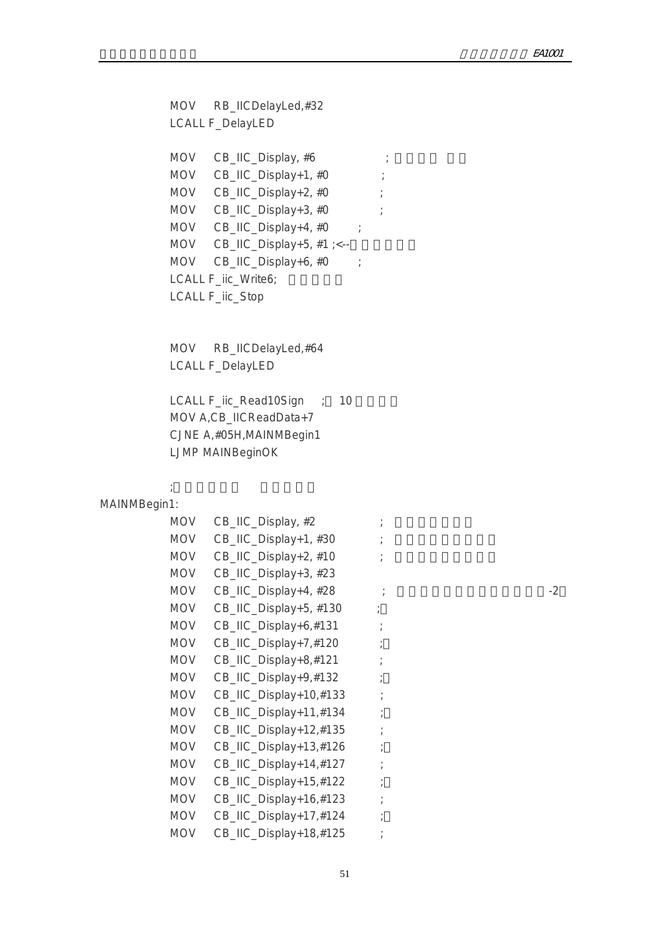MOV RB\_IICDelayLed,#32 LCALL F\_DelayLED MOV CB\_IIC\_Display, #6 ; MOV CB\_IIC\_Display+1, #0 ; MOV CB\_IIC\_Display+2, #0 ; MOV CB\_IIC\_Display+3, #0 ; MOV CB\_IIC\_Display+4, #0 ; MOV  $CB_$ IIC\_Display+5, #1 ;<--MOV CB\_IIC\_Display+6, #0 ; LCALL F\_iic\_Write6; LCALL F\_iic\_Stop MOV RB\_IICDelayLed,#64 LCALL F\_DelayLED LCALL F\_iic\_Read10Sign ; 10 MOV A,CB\_IICReadData+7 CJNE A,#05H,MAINMBegin1 LJMP MAINBeginOK  $\mathcal{L}(\mathcal{L}(\mathcal{L}(\mathcal{L}(\mathcal{L}(\mathcal{L}(\mathcal{L}(\mathcal{L}(\mathcal{L}(\mathcal{L}(\mathcal{L}(\mathcal{L}(\mathcal{L}(\mathcal{L}(\mathcal{L}(\mathcal{L}(\mathcal{L}(\mathcal{L}(\mathcal{L}(\mathcal{L}(\mathcal{L}(\mathcal{L}(\mathcal{L}(\mathcal{L}(\mathcal{L}(\mathcal{L}(\mathcal{L}(\mathcal{L}(\mathcal{L}(\mathcal{L}(\mathcal{L}(\mathcal{L}(\mathcal{L}(\mathcal{L}(\mathcal{L}(\mathcal{L}(\mathcal{$ MAINMBegin1: MOV CB\_IIC\_Display, #2 MOV  $CB$  IIC\_Display+1, #30 ;  $MOV$  CB\_IIC\_Display+2, #10 ; MOV CB\_IIC\_Display+3, #23 MOV CB\_IIC\_Display+4,  $#28$  ;  $22$ MOV CB\_IIC\_Display+5, #130 ; MOV CB\_IIC\_Display+6,#131 ; MOV CB\_IIC\_Display+7,#120 ; MOV CB\_IIC\_Display+8,#121 ; MOV CB\_IIC\_Display+9,#132 ; MOV CB\_IIC\_Display+10,#133 ; MOV CB\_IIC\_Display+11,#134 ; MOV CB\_IIC\_Display+12,#135 ; MOV CB\_IIC\_Display+13,#126 ; MOV CB\_IIC\_Display+14,#127 ; MOV CB\_IIC\_Display+15,#122 ; MOV CB\_IIC\_Display+16,#123 ; MOV CB\_IIC\_Display+17,#124 ; MOV CB\_IIC\_Display+18,#125 ;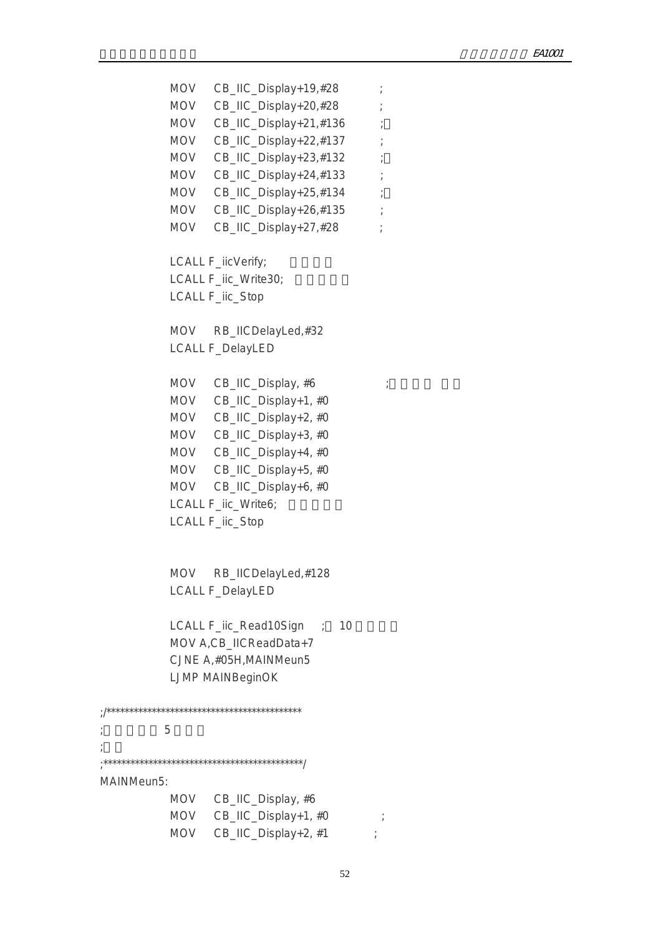MOV CB\_IIC\_Display+19,#28 ; MOV CB\_IIC\_Display+20,#28 ; MOV CB\_IIC\_Display+21,#136 ; MOV CB\_IIC\_Display+22,#137 ; MOV CB\_IIC\_Display+23,#132 ; MOV CB\_IIC\_Display+24,#133 ; MOV CB\_IIC\_Display+25,#134 ; MOV CB\_IIC\_Display+26,#135 ; MOV CB\_IIC\_Display+27,#28 ; LCALL F\_iicVerify; LCALL F\_iic\_Write30; LCALL F\_iic\_Stop MOV RB\_IICDelayLed,#32 LCALL F\_DelayLED MOV  $CB$ \_IIC\_Display, #6  $\qquad$  MOV CB\_IIC\_Display+1, #0 MOV CB\_IIC\_Display+2, #0 MOV CB\_IIC\_Display+3, #0 MOV CB\_IIC\_Display+4, #0 MOV CB\_IIC\_Display+5, #0 MOV CB\_IIC\_Display+6, #0 LCALL F\_iic\_Write6; LCALL F\_iic\_Stop MOV RB\_IICDelayLed,#128 LCALL F\_DelayLED LCALL F\_iic\_Read10Sign ; 10 MOV A,CB\_IICReadData+7 CJNE A,#05H,MAINMeun5 LJMP MAINBeginOK ;/\*\*\*\*\*\*\*\*\*\*\*\*\*\*\*\*\*\*\*\*\*\*\*\*\*\*\*\*\*\*\*\*\*\*\*\*\*\*\*\*\*\*\* ; and  $5$ ;<br>; ;\*\*\*\*\*\*\*\*\*\*\*\*\*\*\*\*\*\*\*\*\*\*\*\*\*\*\*\*\*\*\*\*\*\*\*\*\*\*\*\*\*\*\*\*/ MAINMeun5: MOV CB\_IIC\_Display, #6 MOV CB\_IIC\_Display+1, #0 ; MOV  $CB\_HC\_Display+2, #1$  ;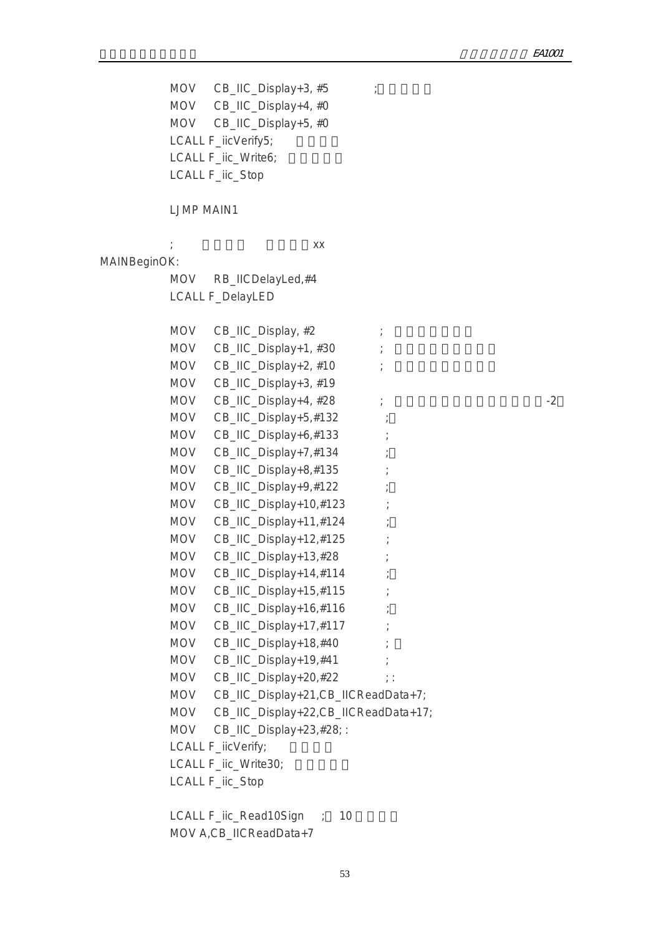MOV CB\_IIC\_Display+3,  $#5$  ; MOV CB\_IIC\_Display+4, #0 MOV CB\_IIC\_Display+5, #0 LCALL F\_iicVerify5; LCALL F\_iic\_Write6; LCALL F\_iic\_Stop LJMP MAIN1  $\mathbf{x}$ ;  $\mathbf{x}$ MAINBeginOK: MOV RB\_IICDelayLed,#4 LCALL F\_DelayLED  $MOV$   $CB$ <sub>-IIC</sub>-Display, #2 ;  $MOV$  CB\_IIC\_Display+1, #30 ;  $MOV$  CB\_IIC\_Display+2, #10 ; MOV CB\_IIC\_Display+3, #19  $MOV$   $CB$ \_IIC\_Display+4, #28  $\qquad$  ; MOV CB\_IIC\_Display+5,#132 ; MOV CB\_IIC\_Display+6,#133 MOV CB\_IIC\_Display+7,#134 MOV CB\_IIC\_Display+8,#135 MOV CB\_IIC\_Display+9,#122 MOV CB\_IIC\_Display+10,#123 MOV CB\_IIC\_Display+11,#124 MOV CB\_IIC\_Display+12,#125 MOV CB\_IIC\_Display+13,#28 MOV CB\_IIC\_Display+14,#114 MOV CB\_IIC\_Display+15,#115 MOV CB\_IIC\_Display+16,#116 MOV CB\_IIC\_Display+17,#117 MOV CB\_IIC\_Display+18,#40 MOV CB\_IIC\_Display+19,#41 MOV CB\_IIC\_Display+20,#22 ;: MOV CB\_IIC\_Display+21,CB\_IICReadData+7; MOV CB\_IIC\_Display+22,CB\_IICReadData+17; MOV CB\_IIC\_Display+23,#28;: LCALL F\_iicVerify; LCALL F\_iic\_Write30; LCALL F\_iic\_Stop LCALL F\_iic\_Read10Sign  $\,$  ; 10

MOV A,CB\_IICReadData+7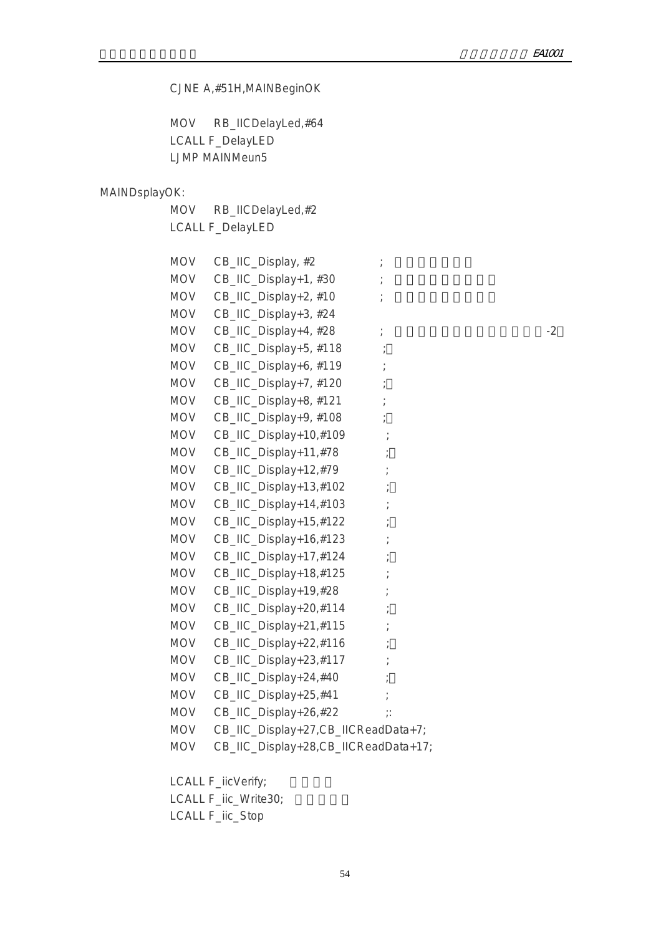## CJNE A,#51H,MAINBeginOK MOV RB\_IICDelayLed,#64 LCALL F\_DelayLED LJMP MAINMeun5 MAINDsplayOK: MOV RB\_IICDelayLed,#2 LCALL F\_DelayLED MOV CB\_IIC\_Display,  $#2$  ;  $MOV$  CB\_IIC\_Display+1, #30 ; MOV CB\_IIC\_Display+2, #10 ; MOV CB\_IIC\_Display+3, #24  $MOV$   $CB$ <sub>-IIC</sub>  $Display+4$ ,  $#28$  ;  $22$ MOV CB\_IIC\_Display+5, #118 ; MOV CB\_IIC\_Display+6, #119 ; MOV CB\_IIC\_Display+7, #120 ; MOV CB\_IIC\_Display+8, #121 ; MOV CB\_IIC\_Display+9, #108 ; MOV CB\_IIC\_Display+10,#109 ; MOV CB\_IIC\_Display+11,#78 MOV CB\_IIC\_Display+12,#79 MOV CB\_IIC\_Display+13,#102 MOV CB\_IIC\_Display+14,#103 MOV CB\_IIC\_Display+15,#122 MOV CB\_IIC\_Display+16,#123 MOV CB\_IIC\_Display+17,#124 MOV CB\_IIC\_Display+18,#125 MOV CB\_IIC\_Display+19,#28 MOV CB\_IIC\_Display+20,#114 MOV CB\_IIC\_Display+21,#115 MOV CB\_IIC\_Display+22,#116 MOV CB\_IIC\_Display+23,#117 MOV CB\_IIC\_Display+24,#40 MOV CB\_IIC\_Display+25,#41 ; MOV CB\_IIC\_Display+26,#22 ;: MOV CB\_IIC\_Display+27,CB\_IICReadData+7; MOV CB\_IIC\_Display+28,CB\_IICReadData+17;

LCALL F\_iicVerify;

LCALL F\_iic\_Write30;

LCALL F\_iic\_Stop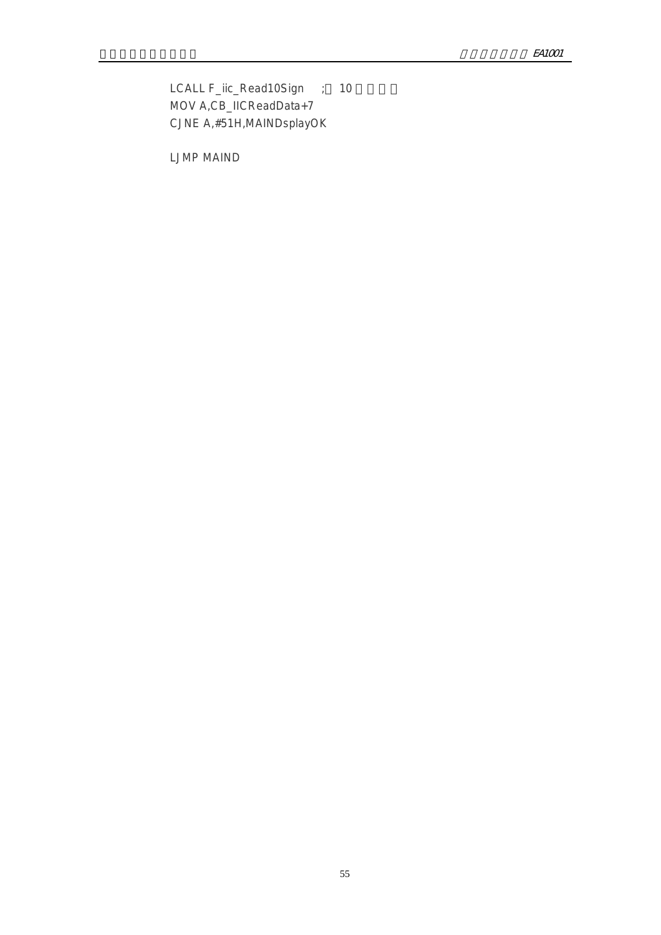LCALL F\_iic\_Read10Sign ; 10 MOV A,CB\_IICReadData+7 CJNE A,#51H,MAINDsplayOK

LJMP MAIND